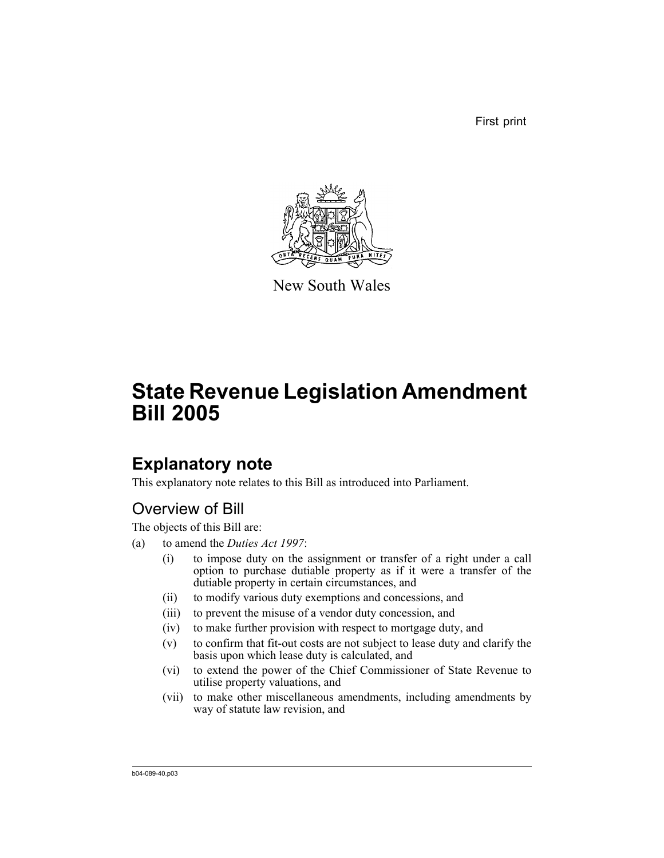First print



New South Wales

# **State Revenue Legislation Amendment Bill 2005**

# **Explanatory note**

This explanatory note relates to this Bill as introduced into Parliament.

# Overview of Bill

The objects of this Bill are:

- (a) to amend the *Duties Act 1997*:
	- (i) to impose duty on the assignment or transfer of a right under a call option to purchase dutiable property as if it were a transfer of the dutiable property in certain circumstances, and
	- (ii) to modify various duty exemptions and concessions, and
	- (iii) to prevent the misuse of a vendor duty concession, and
	- (iv) to make further provision with respect to mortgage duty, and
	- (v) to confirm that fit-out costs are not subject to lease duty and clarify the basis upon which lease duty is calculated, and
	- (vi) to extend the power of the Chief Commissioner of State Revenue to utilise property valuations, and
	- (vii) to make other miscellaneous amendments, including amendments by way of statute law revision, and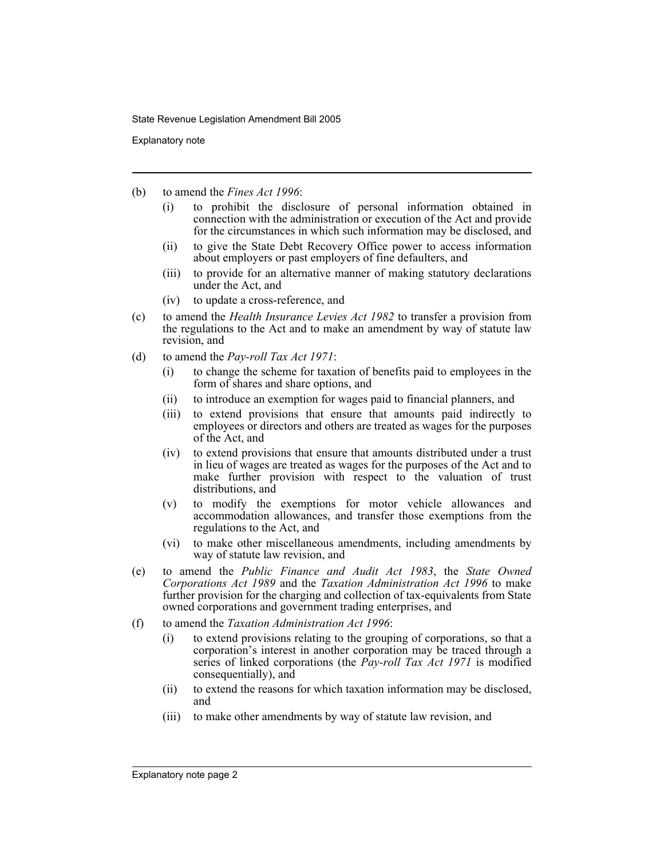Explanatory note

- (b) to amend the *Fines Act 1996*:
	- (i) to prohibit the disclosure of personal information obtained in connection with the administration or execution of the Act and provide for the circumstances in which such information may be disclosed, and
	- (ii) to give the State Debt Recovery Office power to access information about employers or past employers of fine defaulters, and
	- (iii) to provide for an alternative manner of making statutory declarations under the Act, and
	- (iv) to update a cross-reference, and
- (c) to amend the *Health Insurance Levies Act 1982* to transfer a provision from the regulations to the Act and to make an amendment by way of statute law revision, and
- (d) to amend the *Pay-roll Tax Act 1971*:
	- (i) to change the scheme for taxation of benefits paid to employees in the form of shares and share options, and
	- (ii) to introduce an exemption for wages paid to financial planners, and
	- (iii) to extend provisions that ensure that amounts paid indirectly to employees or directors and others are treated as wages for the purposes of the Act, and
	- (iv) to extend provisions that ensure that amounts distributed under a trust in lieu of wages are treated as wages for the purposes of the Act and to make further provision with respect to the valuation of trust distributions, and
	- (v) to modify the exemptions for motor vehicle allowances and accommodation allowances, and transfer those exemptions from the regulations to the Act, and
	- (vi) to make other miscellaneous amendments, including amendments by way of statute law revision, and
- (e) to amend the *Public Finance and Audit Act 1983*, the *State Owned Corporations Act 1989* and the *Taxation Administration Act 1996* to make further provision for the charging and collection of tax-equivalents from State owned corporations and government trading enterprises, and
- (f) to amend the *Taxation Administration Act 1996*:
	- (i) to extend provisions relating to the grouping of corporations, so that a corporation's interest in another corporation may be traced through a series of linked corporations (the *Pay-roll Tax Act 1971* is modified consequentially), and
	- (ii) to extend the reasons for which taxation information may be disclosed, and
	- (iii) to make other amendments by way of statute law revision, and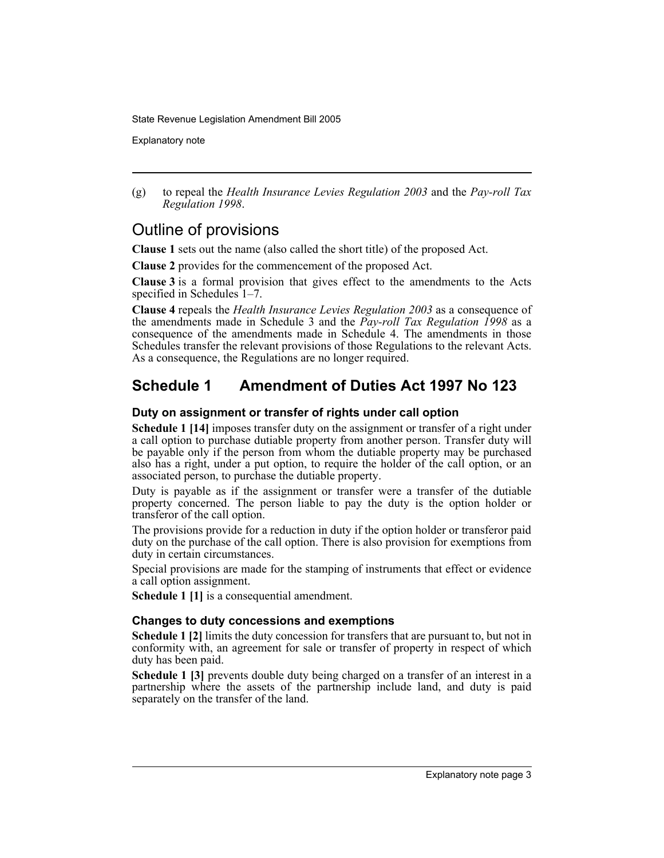Explanatory note

(g) to repeal the *Health Insurance Levies Regulation 2003* and the *Pay-roll Tax Regulation 1998*.

# Outline of provisions

**Clause 1** sets out the name (also called the short title) of the proposed Act.

**Clause 2** provides for the commencement of the proposed Act.

**Clause 3** is a formal provision that gives effect to the amendments to the Acts specified in Schedules 1–7.

**Clause 4** repeals the *Health Insurance Levies Regulation 2003* as a consequence of the amendments made in Schedule 3 and the *Pay-roll Tax Regulation 1998* as a consequence of the amendments made in Schedule 4. The amendments in those Schedules transfer the relevant provisions of those Regulations to the relevant Acts. As a consequence, the Regulations are no longer required.

# **Schedule 1 Amendment of Duties Act 1997 No 123**

#### **Duty on assignment or transfer of rights under call option**

**Schedule 1 [14]** imposes transfer duty on the assignment or transfer of a right under a call option to purchase dutiable property from another person. Transfer duty will be payable only if the person from whom the dutiable property may be purchased also has a right, under a put option, to require the holder of the call option, or an associated person, to purchase the dutiable property.

Duty is payable as if the assignment or transfer were a transfer of the dutiable property concerned. The person liable to pay the duty is the option holder or transferor of the call option.

The provisions provide for a reduction in duty if the option holder or transferor paid duty on the purchase of the call option. There is also provision for exemptions from duty in certain circumstances.

Special provisions are made for the stamping of instruments that effect or evidence a call option assignment.

**Schedule 1 [1]** is a consequential amendment.

### **Changes to duty concessions and exemptions**

**Schedule 1 [2]** limits the duty concession for transfers that are pursuant to, but not in conformity with, an agreement for sale or transfer of property in respect of which duty has been paid.

**Schedule 1 [3]** prevents double duty being charged on a transfer of an interest in a partnership where the assets of the partnership include land, and duty is paid separately on the transfer of the land.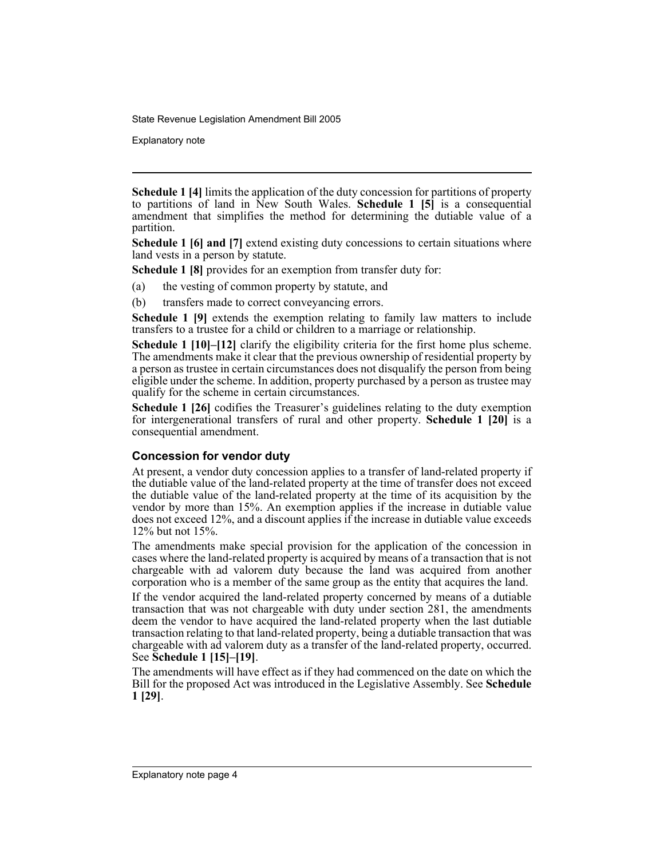Explanatory note

**Schedule 1 [4]** limits the application of the duty concession for partitions of property to partitions of land in New South Wales. **Schedule 1 [5]** is a consequential amendment that simplifies the method for determining the dutiable value of a partition.

**Schedule 1 [6] and [7]** extend existing duty concessions to certain situations where land vests in a person by statute.

**Schedule 1 [8]** provides for an exemption from transfer duty for:

- (a) the vesting of common property by statute, and
- (b) transfers made to correct conveyancing errors.

**Schedule 1 [9]** extends the exemption relating to family law matters to include transfers to a trustee for a child or children to a marriage or relationship.

**Schedule 1 [10]–[12]** clarify the eligibility criteria for the first home plus scheme. The amendments make it clear that the previous ownership of residential property by a person as trustee in certain circumstances does not disqualify the person from being eligible under the scheme. In addition, property purchased by a person as trustee may qualify for the scheme in certain circumstances.

**Schedule 1 [26]** codifies the Treasurer's guidelines relating to the duty exemption for intergenerational transfers of rural and other property. **Schedule 1 [20]** is a consequential amendment.

### **Concession for vendor duty**

At present, a vendor duty concession applies to a transfer of land-related property if the dutiable value of the land-related property at the time of transfer does not exceed the dutiable value of the land-related property at the time of its acquisition by the vendor by more than 15%. An exemption applies if the increase in dutiable value does not exceed 12%, and a discount applies if the increase in dutiable value exceeds 12% but not 15%.

The amendments make special provision for the application of the concession in cases where the land-related property is acquired by means of a transaction that is not chargeable with ad valorem duty because the land was acquired from another corporation who is a member of the same group as the entity that acquires the land.

If the vendor acquired the land-related property concerned by means of a dutiable transaction that was not chargeable with duty under section 281, the amendments deem the vendor to have acquired the land-related property when the last dutiable transaction relating to that land-related property, being a dutiable transaction that was chargeable with ad valorem duty as a transfer of the land-related property, occurred. See **Schedule 1 [15]–[19]**.

The amendments will have effect as if they had commenced on the date on which the Bill for the proposed Act was introduced in the Legislative Assembly. See **Schedule 1 [29]**.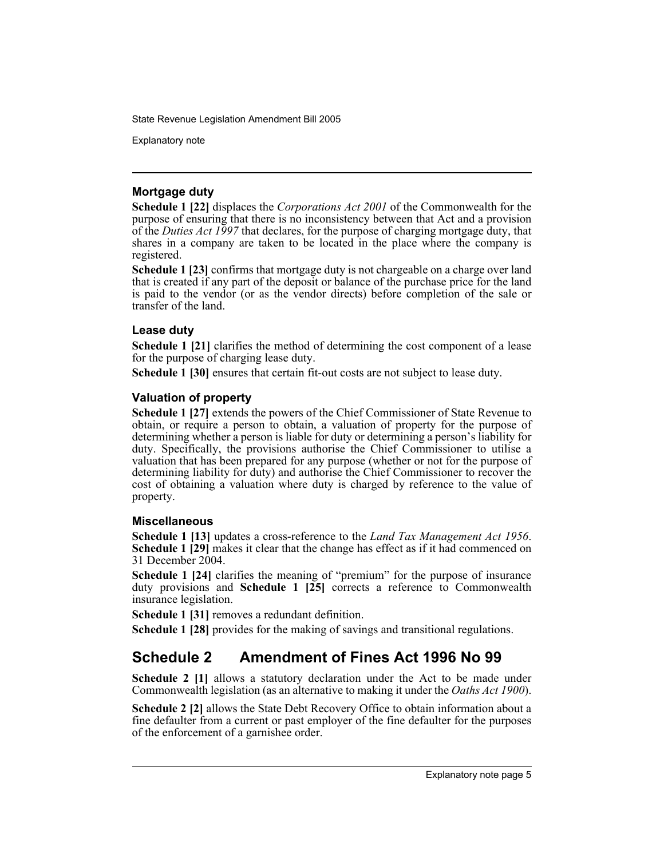Explanatory note

#### **Mortgage duty**

**Schedule 1 [22]** displaces the *Corporations Act 2001* of the Commonwealth for the purpose of ensuring that there is no inconsistency between that Act and a provision of the *Duties Act 1997* that declares, for the purpose of charging mortgage duty, that shares in a company are taken to be located in the place where the company is registered.

**Schedule 1 [23]** confirms that mortgage duty is not chargeable on a charge over land that is created if any part of the deposit or balance of the purchase price for the land is paid to the vendor (or as the vendor directs) before completion of the sale or transfer of the land.

#### **Lease duty**

**Schedule 1 [21]** clarifies the method of determining the cost component of a lease for the purpose of charging lease duty.

**Schedule 1 [30]** ensures that certain fit-out costs are not subject to lease duty.

#### **Valuation of property**

**Schedule 1 [27]** extends the powers of the Chief Commissioner of State Revenue to obtain, or require a person to obtain, a valuation of property for the purpose of determining whether a person is liable for duty or determining a person's liability for duty. Specifically, the provisions authorise the Chief Commissioner to utilise a valuation that has been prepared for any purpose (whether or not for the purpose of determining liability for duty) and authorise the Chief Commissioner to recover the cost of obtaining a valuation where duty is charged by reference to the value of property.

#### **Miscellaneous**

**Schedule 1 [13]** updates a cross-reference to the *Land Tax Management Act 1956*. **Schedule 1 [29]** makes it clear that the change has effect as if it had commenced on 31 December 2004.

**Schedule 1 [24]** clarifies the meaning of "premium" for the purpose of insurance duty provisions and **Schedule 1 [25]** corrects a reference to Commonwealth insurance legislation.

**Schedule 1 [31]** removes a redundant definition.

**Schedule 1 [28]** provides for the making of savings and transitional regulations.

# **Schedule 2 Amendment of Fines Act 1996 No 99**

**Schedule 2 [1]** allows a statutory declaration under the Act to be made under Commonwealth legislation (as an alternative to making it under the *Oaths Act 1900*).

**Schedule 2 [2]** allows the State Debt Recovery Office to obtain information about a fine defaulter from a current or past employer of the fine defaulter for the purposes of the enforcement of a garnishee order.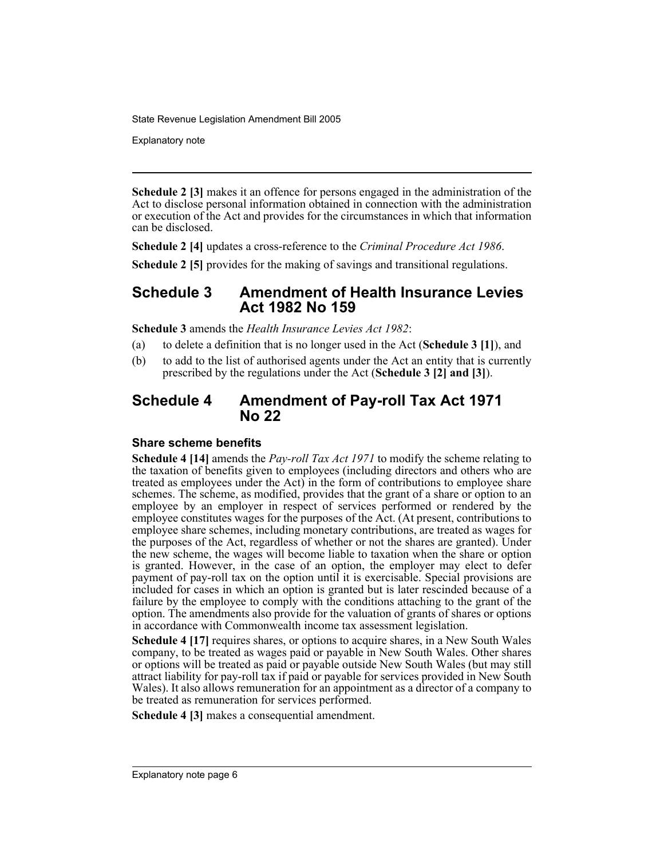Explanatory note

**Schedule 2 [3]** makes it an offence for persons engaged in the administration of the Act to disclose personal information obtained in connection with the administration or execution of the Act and provides for the circumstances in which that information can be disclosed.

**Schedule 2 [4]** updates a cross-reference to the *Criminal Procedure Act 1986*.

**Schedule 2 [5]** provides for the making of savings and transitional regulations.

# **Schedule 3 Amendment of Health Insurance Levies Act 1982 No 159**

**Schedule 3** amends the *Health Insurance Levies Act 1982*:

- (a) to delete a definition that is no longer used in the Act (**Schedule 3 [1]**), and
- (b) to add to the list of authorised agents under the Act an entity that is currently prescribed by the regulations under the Act (**Schedule 3 [2] and [3]**).

# **Schedule 4 Amendment of Pay-roll Tax Act 1971 No 22**

### **Share scheme benefits**

**Schedule 4 [14]** amends the *Pay-roll Tax Act 1971* to modify the scheme relating to the taxation of benefits given to employees (including directors and others who are treated as employees under the Act) in the form of contributions to employee share schemes. The scheme, as modified, provides that the grant of a share or option to an employee by an employer in respect of services performed or rendered by the employee constitutes wages for the purposes of the Act. (At present, contributions to employee share schemes, including monetary contributions, are treated as wages for the purposes of the Act, regardless of whether or not the shares are granted). Under the new scheme, the wages will become liable to taxation when the share or option is granted. However, in the case of an option, the employer may elect to defer payment of pay-roll tax on the option until it is exercisable. Special provisions are included for cases in which an option is granted but is later rescinded because of a failure by the employee to comply with the conditions attaching to the grant of the option. The amendments also provide for the valuation of grants of shares or options in accordance with Commonwealth income tax assessment legislation.

**Schedule 4 [17]** requires shares, or options to acquire shares, in a New South Wales company, to be treated as wages paid or payable in New South Wales. Other shares or options will be treated as paid or payable outside New South Wales (but may still attract liability for pay-roll tax if paid or payable for services provided in New South Wales). It also allows remuneration for an appointment as a director of a company to be treated as remuneration for services performed.

**Schedule 4 [3]** makes a consequential amendment.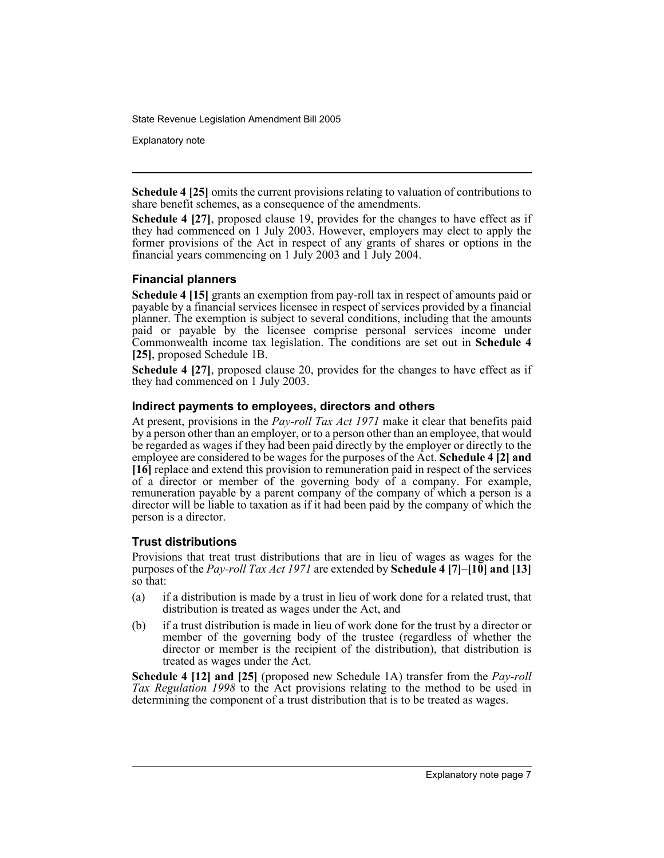Explanatory note

**Schedule 4 [25]** omits the current provisions relating to valuation of contributions to share benefit schemes, as a consequence of the amendments.

**Schedule 4 [27]**, proposed clause 19, provides for the changes to have effect as if they had commenced on 1 July 2003. However, employers may elect to apply the former provisions of the Act in respect of any grants of shares or options in the financial years commencing on 1 July 2003 and 1 July 2004.

#### **Financial planners**

**Schedule 4 [15]** grants an exemption from pay-roll tax in respect of amounts paid or payable by a financial services licensee in respect of services provided by a financial planner. The exemption is subject to several conditions, including that the amounts paid or payable by the licensee comprise personal services income under Commonwealth income tax legislation. The conditions are set out in **Schedule 4 [25]**, proposed Schedule 1B.

**Schedule 4 [27]**, proposed clause 20, provides for the changes to have effect as if they had commenced on 1 July 2003.

#### **Indirect payments to employees, directors and others**

At present, provisions in the *Pay-roll Tax Act 1971* make it clear that benefits paid by a person other than an employer, or to a person other than an employee, that would be regarded as wages if they had been paid directly by the employer or directly to the employee are considered to be wages for the purposes of the Act. **Schedule 4 [2] and [16]** replace and extend this provision to remuneration paid in respect of the services of a director or member of the governing body of a company. For example, remuneration payable by a parent company of the company of which a person is a director will be liable to taxation as if it had been paid by the company of which the person is a director.

### **Trust distributions**

Provisions that treat trust distributions that are in lieu of wages as wages for the purposes of the *Pay-roll Tax Act 1971* are extended by **Schedule 4 [7]–[10] and [13]** so that:

- (a) if a distribution is made by a trust in lieu of work done for a related trust, that distribution is treated as wages under the Act, and
- (b) if a trust distribution is made in lieu of work done for the trust by a director or member of the governing body of the trustee (regardless of whether the director or member is the recipient of the distribution), that distribution is treated as wages under the Act.

**Schedule 4 [12] and [25]** (proposed new Schedule 1A) transfer from the *Pay-roll Tax Regulation 1998* to the Act provisions relating to the method to be used in determining the component of a trust distribution that is to be treated as wages.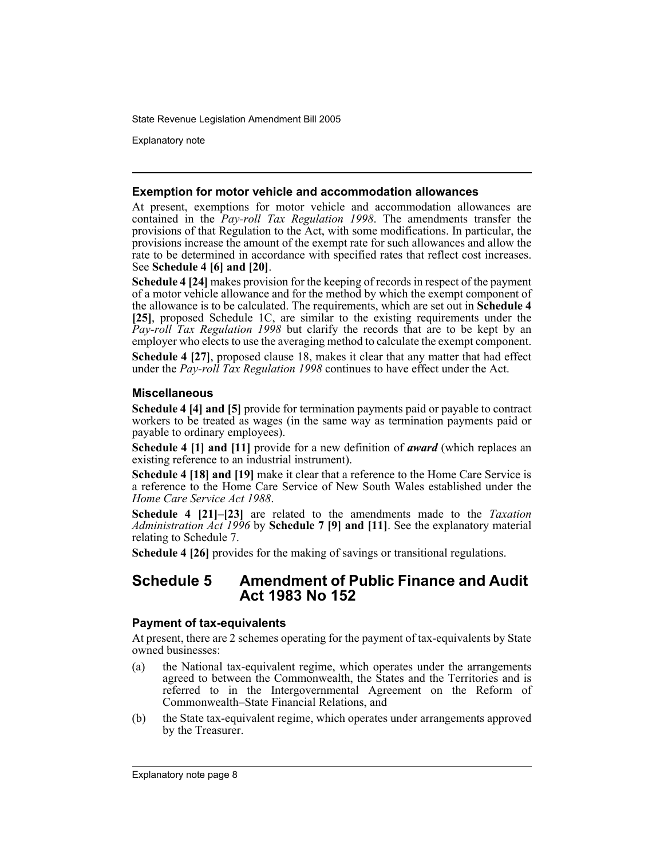Explanatory note

#### **Exemption for motor vehicle and accommodation allowances**

At present, exemptions for motor vehicle and accommodation allowances are contained in the *Pay-roll Tax Regulation 1998*. The amendments transfer the provisions of that Regulation to the Act, with some modifications. In particular, the provisions increase the amount of the exempt rate for such allowances and allow the rate to be determined in accordance with specified rates that reflect cost increases. See **Schedule 4 [6] and [20]**.

**Schedule 4 [24]** makes provision for the keeping of records in respect of the payment of a motor vehicle allowance and for the method by which the exempt component of the allowance is to be calculated. The requirements, which are set out in **Schedule 4 [25]**, proposed Schedule 1C, are similar to the existing requirements under the *Pay-roll Tax Regulation 1998* but clarify the records that are to be kept by an employer who elects to use the averaging method to calculate the exempt component.

**Schedule 4 [27]**, proposed clause 18, makes it clear that any matter that had effect under the *Pay-roll Tax Regulation 1998* continues to have effect under the Act.

#### **Miscellaneous**

**Schedule 4 [4] and [5]** provide for termination payments paid or payable to contract workers to be treated as wages (in the same way as termination payments paid or payable to ordinary employees).

**Schedule 4 [1] and [11]** provide for a new definition of *award* (which replaces an existing reference to an industrial instrument).

**Schedule 4 [18] and [19]** make it clear that a reference to the Home Care Service is a reference to the Home Care Service of New South Wales established under the *Home Care Service Act 1988*.

**Schedule 4 [21]–[23]** are related to the amendments made to the *Taxation Administration Act 1996* by **Schedule 7 [9] and [11]**. See the explanatory material relating to Schedule 7.

**Schedule 4 [26]** provides for the making of savings or transitional regulations.

## **Schedule 5 Amendment of Public Finance and Audit Act 1983 No 152**

#### **Payment of tax-equivalents**

At present, there are 2 schemes operating for the payment of tax-equivalents by State owned businesses:

- (a) the National tax-equivalent regime, which operates under the arrangements agreed to between the Commonwealth, the States and the Territories and is referred to in the Intergovernmental Agreement on the Reform of Commonwealth–State Financial Relations, and
- (b) the State tax-equivalent regime, which operates under arrangements approved by the Treasurer.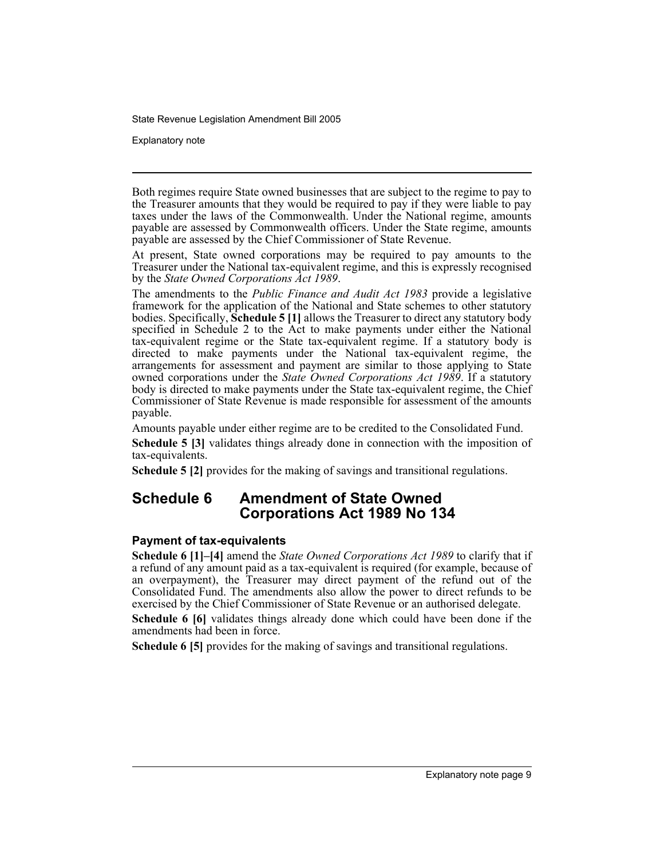Explanatory note

Both regimes require State owned businesses that are subject to the regime to pay to the Treasurer amounts that they would be required to pay if they were liable to pay taxes under the laws of the Commonwealth. Under the National regime, amounts payable are assessed by Commonwealth officers. Under the State regime, amounts payable are assessed by the Chief Commissioner of State Revenue.

At present, State owned corporations may be required to pay amounts to the Treasurer under the National tax-equivalent regime, and this is expressly recognised by the *State Owned Corporations Act 1989*.

The amendments to the *Public Finance and Audit Act 1983* provide a legislative framework for the application of the National and State schemes to other statutory bodies. Specifically, **Schedule 5 [1]** allows the Treasurer to direct any statutory body specified in Schedule 2 to the Act to make payments under either the National tax-equivalent regime or the State tax-equivalent regime. If a statutory body is directed to make payments under the National tax-equivalent regime, the arrangements for assessment and payment are similar to those applying to State owned corporations under the *State Owned Corporations Act 1989*. If a statutory body is directed to make payments under the State tax-equivalent regime, the Chief Commissioner of State Revenue is made responsible for assessment of the amounts payable.

Amounts payable under either regime are to be credited to the Consolidated Fund. **Schedule 5 [3]** validates things already done in connection with the imposition of tax-equivalents.

**Schedule 5 [2]** provides for the making of savings and transitional regulations.

# **Schedule 6 Amendment of State Owned Corporations Act 1989 No 134**

### **Payment of tax-equivalents**

**Schedule 6 [1]–[4]** amend the *State Owned Corporations Act 1989* to clarify that if a refund of any amount paid as a tax-equivalent is required (for example, because of an overpayment), the Treasurer may direct payment of the refund out of the Consolidated Fund. The amendments also allow the power to direct refunds to be exercised by the Chief Commissioner of State Revenue or an authorised delegate.

**Schedule 6 [6]** validates things already done which could have been done if the amendments had been in force.

**Schedule 6 [5]** provides for the making of savings and transitional regulations.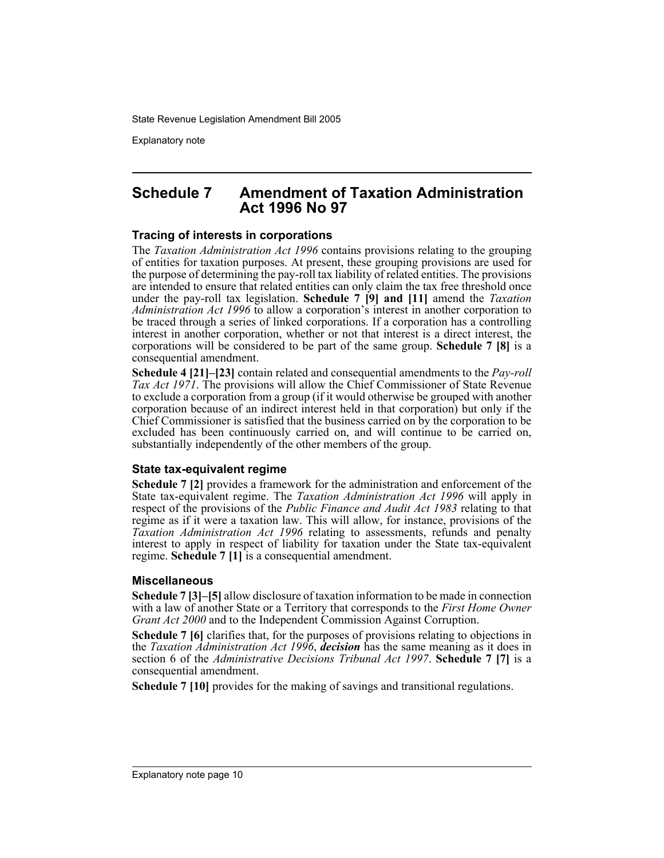Explanatory note

# **Schedule 7 Amendment of Taxation Administration Act 1996 No 97**

#### **Tracing of interests in corporations**

The *Taxation Administration Act 1996* contains provisions relating to the grouping of entities for taxation purposes. At present, these grouping provisions are used for the purpose of determining the pay-roll tax liability of related entities. The provisions are intended to ensure that related entities can only claim the tax free threshold once under the pay-roll tax legislation. **Schedule 7 [9] and [11]** amend the *Taxation Administration Act 1996* to allow a corporation's interest in another corporation to be traced through a series of linked corporations. If a corporation has a controlling interest in another corporation, whether or not that interest is a direct interest, the corporations will be considered to be part of the same group. **Schedule 7 [8]** is a consequential amendment.

**Schedule 4 [21]–[23]** contain related and consequential amendments to the *Pay-roll Tax Act 1971*. The provisions will allow the Chief Commissioner of State Revenue to exclude a corporation from a group (if it would otherwise be grouped with another corporation because of an indirect interest held in that corporation) but only if the Chief Commissioner is satisfied that the business carried on by the corporation to be excluded has been continuously carried on, and will continue to be carried on, substantially independently of the other members of the group.

#### **State tax-equivalent regime**

**Schedule 7 [2]** provides a framework for the administration and enforcement of the State tax-equivalent regime. The *Taxation Administration Act 1996* will apply in respect of the provisions of the *Public Finance and Audit Act 1983* relating to that regime as if it were a taxation law. This will allow, for instance, provisions of the *Taxation Administration Act 1996* relating to assessments, refunds and penalty interest to apply in respect of liability for taxation under the State tax-equivalent regime. **Schedule 7 [1]** is a consequential amendment.

#### **Miscellaneous**

**Schedule 7 [3]–[5]** allow disclosure of taxation information to be made in connection with a law of another State or a Territory that corresponds to the *First Home Owner Grant Act 2000* and to the Independent Commission Against Corruption.

**Schedule 7 [6]** clarifies that, for the purposes of provisions relating to objections in the *Taxation Administration Act 1996*, *decision* has the same meaning as it does in section 6 of the *Administrative Decisions Tribunal Act 1997*. **Schedule 7 [7]** is a consequential amendment.

**Schedule 7 [10]** provides for the making of savings and transitional regulations.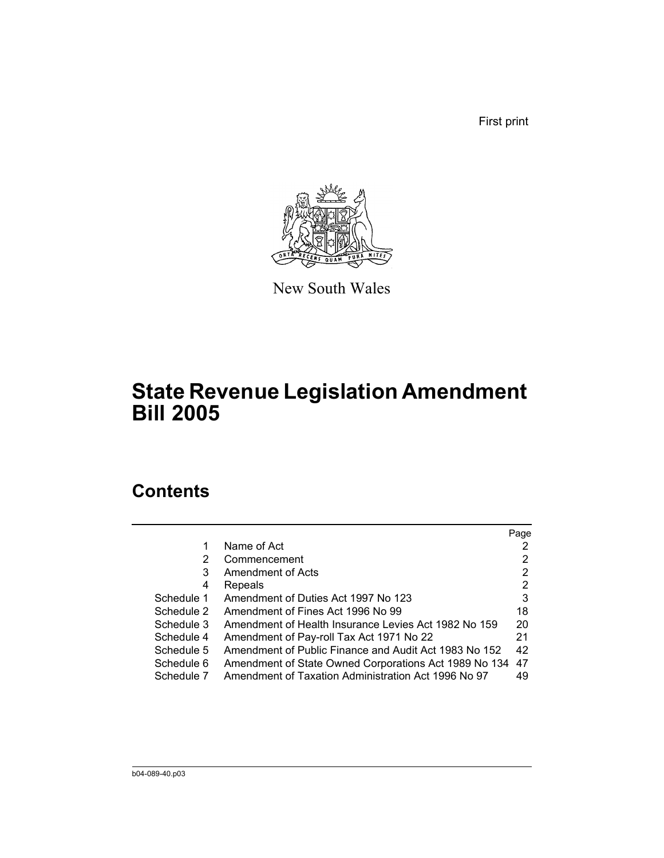First print



New South Wales

# **State Revenue Legislation Amendment Bill 2005**

# **Contents**

|            |                                                       | Page |
|------------|-------------------------------------------------------|------|
| 1          | Name of Act                                           |      |
| 2          | Commencement                                          | 2    |
| 3          | <b>Amendment of Acts</b>                              | 2    |
| 4          | Repeals                                               | 2    |
| Schedule 1 | Amendment of Duties Act 1997 No 123                   | 3    |
| Schedule 2 | Amendment of Fines Act 1996 No 99                     | 18   |
| Schedule 3 | Amendment of Health Insurance Levies Act 1982 No 159  | 20   |
| Schedule 4 | Amendment of Pay-roll Tax Act 1971 No 22              | 21   |
| Schedule 5 | Amendment of Public Finance and Audit Act 1983 No 152 | 42   |
| Schedule 6 | Amendment of State Owned Corporations Act 1989 No 134 | 47   |
| Schedule 7 | Amendment of Taxation Administration Act 1996 No 97   | 49   |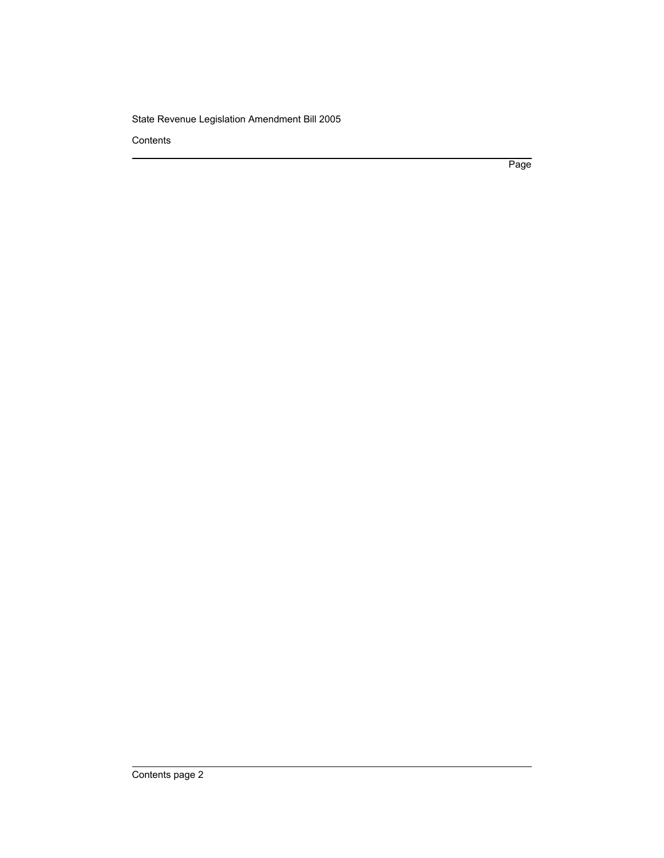**Contents** 

Page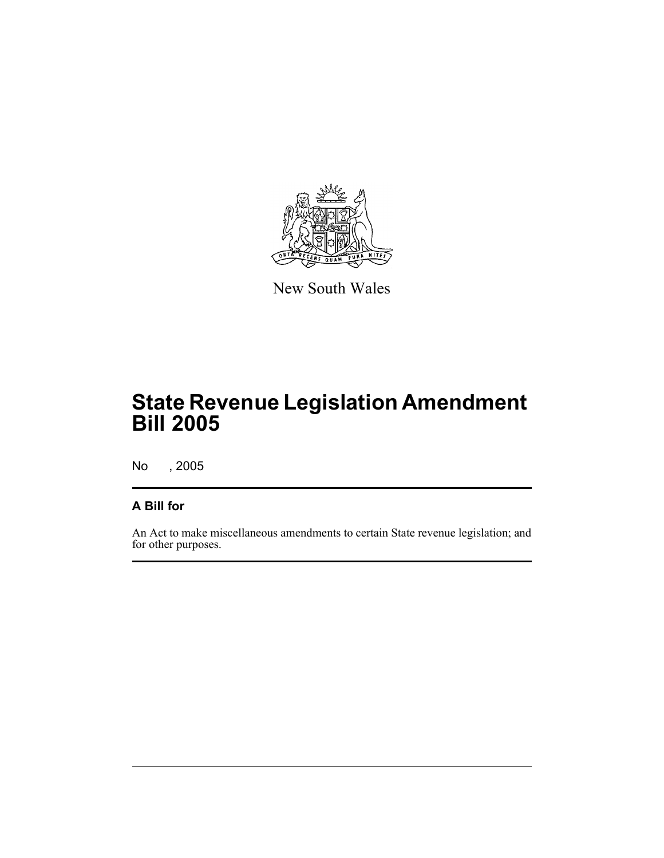

New South Wales

No , 2005

## **A Bill for**

An Act to make miscellaneous amendments to certain State revenue legislation; and for other purposes.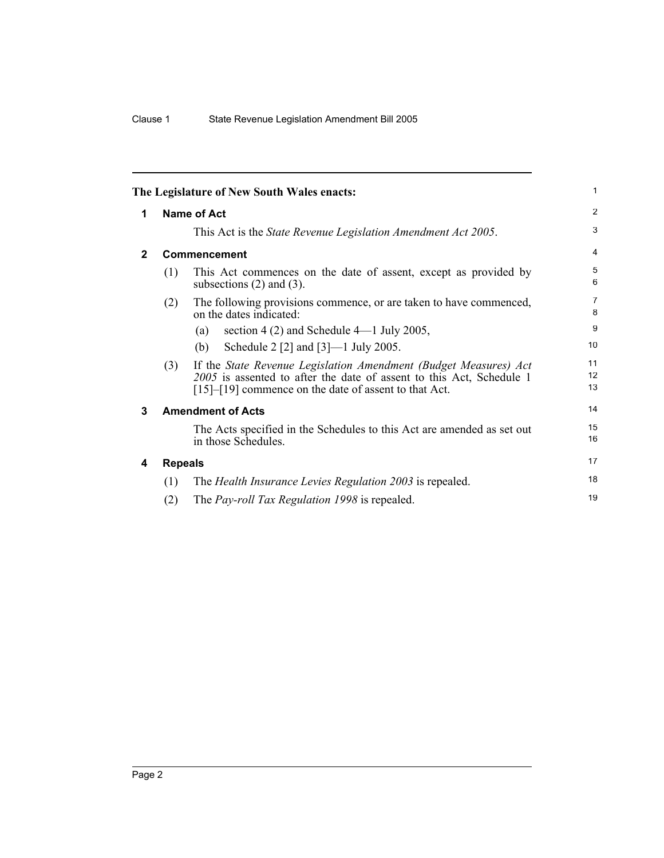|                |                    | The Legislature of New South Wales enacts:                                                                                                                                                              | 1                   |  |  |  |  |
|----------------|--------------------|---------------------------------------------------------------------------------------------------------------------------------------------------------------------------------------------------------|---------------------|--|--|--|--|
| 1              | <b>Name of Act</b> |                                                                                                                                                                                                         |                     |  |  |  |  |
|                |                    | This Act is the <i>State Revenue Legislation Amendment Act 2005</i> .                                                                                                                                   | 3                   |  |  |  |  |
| $\overline{2}$ |                    | <b>Commencement</b>                                                                                                                                                                                     | 4                   |  |  |  |  |
|                | (1)                | This Act commences on the date of assent, except as provided by<br>subsections $(2)$ and $(3)$ .                                                                                                        | 5<br>6              |  |  |  |  |
|                | (2)                | The following provisions commence, or are taken to have commenced,<br>on the dates indicated:                                                                                                           | $\overline{7}$<br>8 |  |  |  |  |
|                |                    | section 4 $(2)$ and Schedule 4—1 July 2005,<br>(a)                                                                                                                                                      | 9                   |  |  |  |  |
|                |                    | Schedule 2 [2] and $[3]$ —1 July 2005.<br>(b)                                                                                                                                                           | 10                  |  |  |  |  |
|                | (3)                | If the State Revenue Legislation Amendment (Budget Measures) Act<br>2005 is assented to after the date of assent to this Act, Schedule 1<br>$[15]$ – $[19]$ commence on the date of assent to that Act. | 11<br>12<br>13      |  |  |  |  |
| 3              |                    | <b>Amendment of Acts</b>                                                                                                                                                                                | 14                  |  |  |  |  |
|                |                    | The Acts specified in the Schedules to this Act are amended as set out<br>in those Schedules.                                                                                                           | 15<br>16            |  |  |  |  |
| 4              | <b>Repeals</b>     |                                                                                                                                                                                                         | 17                  |  |  |  |  |
|                | (1)                | The <i>Health Insurance Levies Regulation 2003</i> is repealed.                                                                                                                                         | 18                  |  |  |  |  |
|                | (2)                | The <i>Pay-roll Tax Regulation 1998</i> is repealed.                                                                                                                                                    | 19                  |  |  |  |  |
|                |                    |                                                                                                                                                                                                         |                     |  |  |  |  |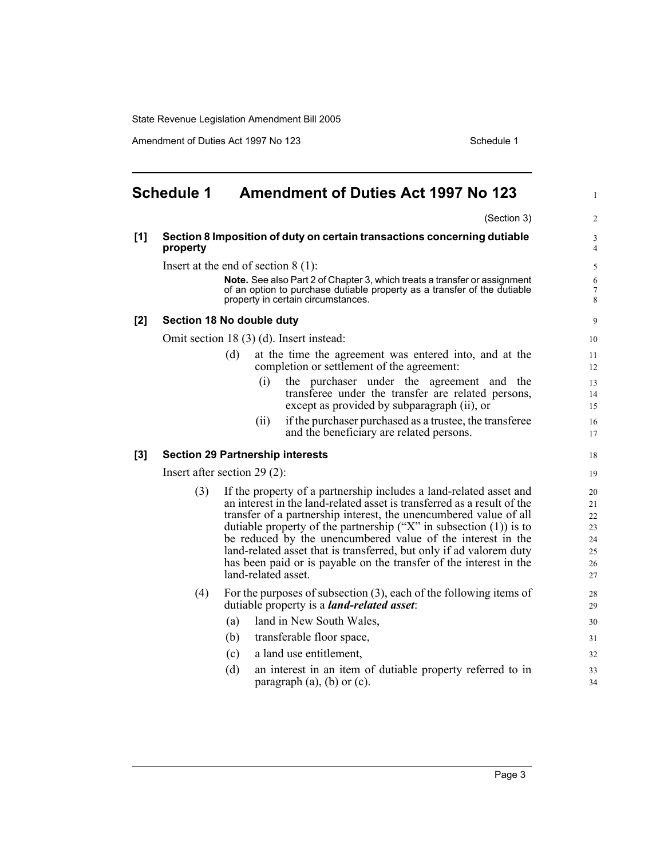Amendment of Duties Act 1997 No 123 Schedule 1

# **Schedule 1 Amendment of Duties Act 1997 No 123**

(Section 3)

1

2

| property                        |     | Section 8 Imposition of duty on certain transactions concerning dutiable                             | $\mathfrak{Z}$<br>$\overline{4}$                                                                                                                                                                                                                                                                                                                                                                                                                                                                                                                                                                                                                                                                                                                                                                                                                                                                                                                                                                                                                                                                                                                                                                                      |  |  |
|---------------------------------|-----|------------------------------------------------------------------------------------------------------|-----------------------------------------------------------------------------------------------------------------------------------------------------------------------------------------------------------------------------------------------------------------------------------------------------------------------------------------------------------------------------------------------------------------------------------------------------------------------------------------------------------------------------------------------------------------------------------------------------------------------------------------------------------------------------------------------------------------------------------------------------------------------------------------------------------------------------------------------------------------------------------------------------------------------------------------------------------------------------------------------------------------------------------------------------------------------------------------------------------------------------------------------------------------------------------------------------------------------|--|--|
|                                 |     |                                                                                                      | 5                                                                                                                                                                                                                                                                                                                                                                                                                                                                                                                                                                                                                                                                                                                                                                                                                                                                                                                                                                                                                                                                                                                                                                                                                     |  |  |
|                                 |     |                                                                                                      | 6                                                                                                                                                                                                                                                                                                                                                                                                                                                                                                                                                                                                                                                                                                                                                                                                                                                                                                                                                                                                                                                                                                                                                                                                                     |  |  |
|                                 |     |                                                                                                      | $\tau$<br>8                                                                                                                                                                                                                                                                                                                                                                                                                                                                                                                                                                                                                                                                                                                                                                                                                                                                                                                                                                                                                                                                                                                                                                                                           |  |  |
|                                 |     |                                                                                                      | 9                                                                                                                                                                                                                                                                                                                                                                                                                                                                                                                                                                                                                                                                                                                                                                                                                                                                                                                                                                                                                                                                                                                                                                                                                     |  |  |
|                                 |     |                                                                                                      | 10                                                                                                                                                                                                                                                                                                                                                                                                                                                                                                                                                                                                                                                                                                                                                                                                                                                                                                                                                                                                                                                                                                                                                                                                                    |  |  |
|                                 | (d) | at the time the agreement was entered into, and at the<br>completion or settlement of the agreement: | 11<br>12                                                                                                                                                                                                                                                                                                                                                                                                                                                                                                                                                                                                                                                                                                                                                                                                                                                                                                                                                                                                                                                                                                                                                                                                              |  |  |
|                                 |     | the purchaser under the agreement and the<br>(i)                                                     | 13                                                                                                                                                                                                                                                                                                                                                                                                                                                                                                                                                                                                                                                                                                                                                                                                                                                                                                                                                                                                                                                                                                                                                                                                                    |  |  |
|                                 |     | transferee under the transfer are related persons,                                                   | 14                                                                                                                                                                                                                                                                                                                                                                                                                                                                                                                                                                                                                                                                                                                                                                                                                                                                                                                                                                                                                                                                                                                                                                                                                    |  |  |
|                                 |     |                                                                                                      | 15                                                                                                                                                                                                                                                                                                                                                                                                                                                                                                                                                                                                                                                                                                                                                                                                                                                                                                                                                                                                                                                                                                                                                                                                                    |  |  |
|                                 |     | (ii)                                                                                                 | 16                                                                                                                                                                                                                                                                                                                                                                                                                                                                                                                                                                                                                                                                                                                                                                                                                                                                                                                                                                                                                                                                                                                                                                                                                    |  |  |
|                                 |     |                                                                                                      | 17                                                                                                                                                                                                                                                                                                                                                                                                                                                                                                                                                                                                                                                                                                                                                                                                                                                                                                                                                                                                                                                                                                                                                                                                                    |  |  |
|                                 |     |                                                                                                      | 18                                                                                                                                                                                                                                                                                                                                                                                                                                                                                                                                                                                                                                                                                                                                                                                                                                                                                                                                                                                                                                                                                                                                                                                                                    |  |  |
| Insert after section 29 $(2)$ : |     |                                                                                                      |                                                                                                                                                                                                                                                                                                                                                                                                                                                                                                                                                                                                                                                                                                                                                                                                                                                                                                                                                                                                                                                                                                                                                                                                                       |  |  |
| (3)                             |     |                                                                                                      | 20                                                                                                                                                                                                                                                                                                                                                                                                                                                                                                                                                                                                                                                                                                                                                                                                                                                                                                                                                                                                                                                                                                                                                                                                                    |  |  |
|                                 |     |                                                                                                      | 21                                                                                                                                                                                                                                                                                                                                                                                                                                                                                                                                                                                                                                                                                                                                                                                                                                                                                                                                                                                                                                                                                                                                                                                                                    |  |  |
|                                 |     |                                                                                                      | 22<br>23                                                                                                                                                                                                                                                                                                                                                                                                                                                                                                                                                                                                                                                                                                                                                                                                                                                                                                                                                                                                                                                                                                                                                                                                              |  |  |
|                                 |     |                                                                                                      | 24                                                                                                                                                                                                                                                                                                                                                                                                                                                                                                                                                                                                                                                                                                                                                                                                                                                                                                                                                                                                                                                                                                                                                                                                                    |  |  |
|                                 |     |                                                                                                      | 25                                                                                                                                                                                                                                                                                                                                                                                                                                                                                                                                                                                                                                                                                                                                                                                                                                                                                                                                                                                                                                                                                                                                                                                                                    |  |  |
|                                 |     |                                                                                                      | 26                                                                                                                                                                                                                                                                                                                                                                                                                                                                                                                                                                                                                                                                                                                                                                                                                                                                                                                                                                                                                                                                                                                                                                                                                    |  |  |
|                                 |     |                                                                                                      | 27                                                                                                                                                                                                                                                                                                                                                                                                                                                                                                                                                                                                                                                                                                                                                                                                                                                                                                                                                                                                                                                                                                                                                                                                                    |  |  |
| (4)                             |     |                                                                                                      | 28<br>29                                                                                                                                                                                                                                                                                                                                                                                                                                                                                                                                                                                                                                                                                                                                                                                                                                                                                                                                                                                                                                                                                                                                                                                                              |  |  |
|                                 | (a) | land in New South Wales,                                                                             | 30                                                                                                                                                                                                                                                                                                                                                                                                                                                                                                                                                                                                                                                                                                                                                                                                                                                                                                                                                                                                                                                                                                                                                                                                                    |  |  |
|                                 | (b) | transferable floor space,                                                                            | 31                                                                                                                                                                                                                                                                                                                                                                                                                                                                                                                                                                                                                                                                                                                                                                                                                                                                                                                                                                                                                                                                                                                                                                                                                    |  |  |
|                                 | (c) | a land use entitlement,                                                                              | 32                                                                                                                                                                                                                                                                                                                                                                                                                                                                                                                                                                                                                                                                                                                                                                                                                                                                                                                                                                                                                                                                                                                                                                                                                    |  |  |
|                                 | (d) | an interest in an item of dutiable property referred to in                                           | 33<br>34                                                                                                                                                                                                                                                                                                                                                                                                                                                                                                                                                                                                                                                                                                                                                                                                                                                                                                                                                                                                                                                                                                                                                                                                              |  |  |
|                                 |     |                                                                                                      | Insert at the end of section $8(1)$ :<br>Note. See also Part 2 of Chapter 3, which treats a transfer or assignment<br>of an option to purchase dutiable property as a transfer of the dutiable<br>property in certain circumstances.<br>Section 18 No double duty<br>Omit section 18 (3) (d). Insert instead:<br>except as provided by subparagraph (ii), or<br>if the purchaser purchased as a trustee, the transferee<br>and the beneficiary are related persons.<br><b>Section 29 Partnership interests</b><br>If the property of a partnership includes a land-related asset and<br>an interest in the land-related asset is transferred as a result of the<br>transfer of a partnership interest, the unencumbered value of all<br>dutiable property of the partnership ("X" in subsection $(1)$ ) is to<br>be reduced by the unencumbered value of the interest in the<br>land-related asset that is transferred, but only if ad valorem duty<br>has been paid or is payable on the transfer of the interest in the<br>land-related asset.<br>For the purposes of subsection $(3)$ , each of the following items of<br>dutiable property is a <i>land-related asset</i> :<br>paragraph $(a)$ , $(b)$ or $(c)$ . |  |  |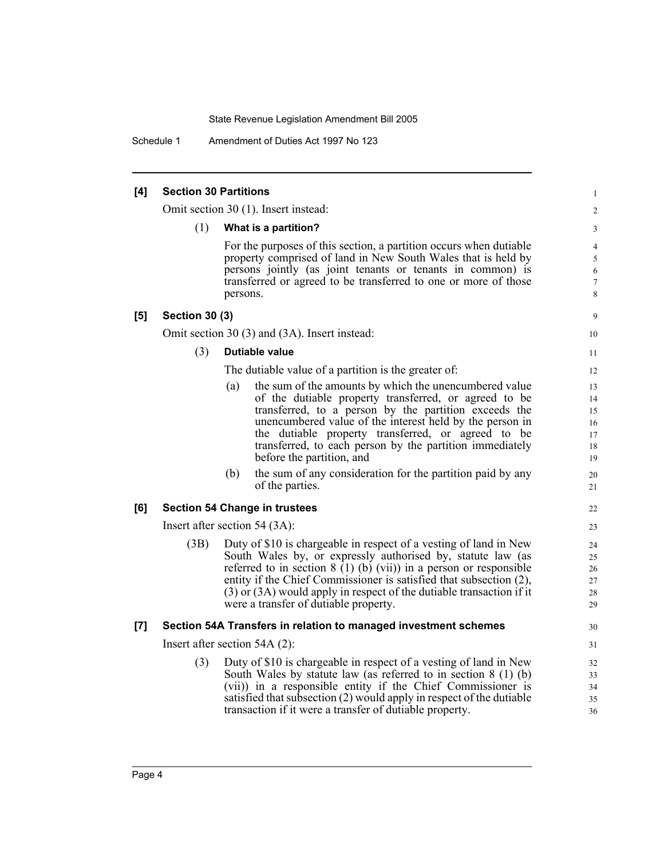Schedule 1 Amendment of Duties Act 1997 No 123

#### **[4] Section 30 Partitions**

Omit section 30 (1). Insert instead:

#### (1) **What is a partition?**

For the purposes of this section, a partition occurs when dutiable property comprised of land in New South Wales that is held by persons jointly (as joint tenants or tenants in common) is transferred or agreed to be transferred to one or more of those persons.

#### **[5] Section 30 (3)**

Omit section 30 (3) and (3A). Insert instead:

(3) **Dutiable value**

The dutiable value of a partition is the greater of:

(a) the sum of the amounts by which the unencumbered value of the dutiable property transferred, or agreed to be transferred, to a person by the partition exceeds the unencumbered value of the interest held by the person in the dutiable property transferred, or agreed to be transferred, to each person by the partition immediately before the partition, and (b) the sum of any consideration for the partition paid by any of the parties. **[6] Section 54 Change in trustees** Insert after section 54 (3A): (3B) Duty of \$10 is chargeable in respect of a vesting of land in New South Wales by, or expressly authorised by, statute law (as referred to in section  $8(1)(b)(vii)$  in a person or responsible entity if the Chief Commissioner is satisfied that subsection (2), (3) or (3A) would apply in respect of the dutiable transaction if it were a transfer of dutiable property.

#### **[7] Section 54A Transfers in relation to managed investment schemes**

Insert after section 54A (2):

(3) Duty of \$10 is chargeable in respect of a vesting of land in New South Wales by statute law (as referred to in section 8 (1) (b) (vii)) in a responsible entity if the Chief Commissioner is satisfied that subsection (2) would apply in respect of the dutiable transaction if it were a transfer of dutiable property.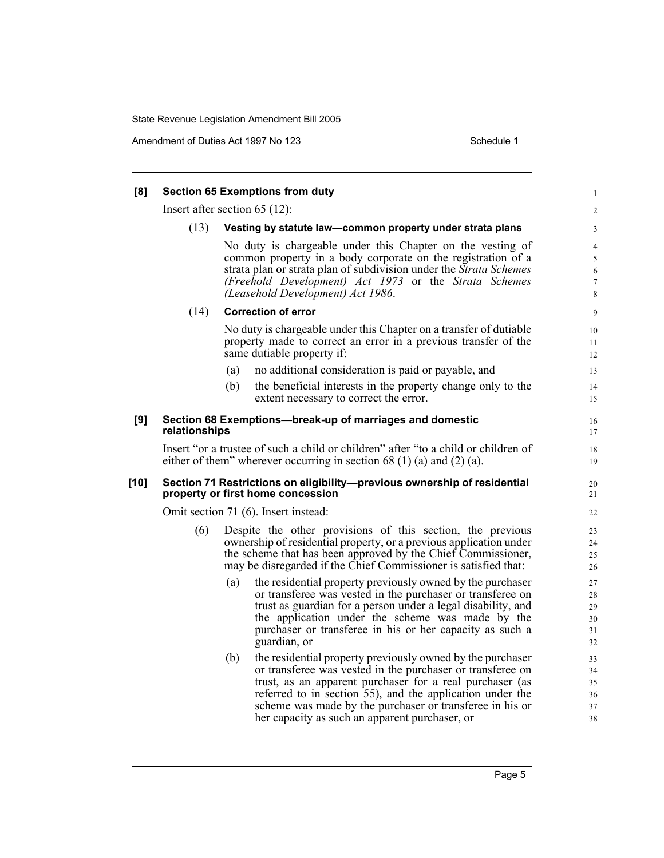Amendment of Duties Act 1997 No 123 Schedule 1

| [8]    | <b>Section 65 Exemptions from duty</b>                                                                                                                        |     |                                                                                                                                                                                                                                                                                                                                                                 |                                         |  |  |  |  |
|--------|---------------------------------------------------------------------------------------------------------------------------------------------------------------|-----|-----------------------------------------------------------------------------------------------------------------------------------------------------------------------------------------------------------------------------------------------------------------------------------------------------------------------------------------------------------------|-----------------------------------------|--|--|--|--|
|        | Insert after section $65$ (12):                                                                                                                               |     |                                                                                                                                                                                                                                                                                                                                                                 | $\overline{c}$                          |  |  |  |  |
|        | (13)                                                                                                                                                          |     | Vesting by statute law-common property under strata plans                                                                                                                                                                                                                                                                                                       | 3                                       |  |  |  |  |
|        |                                                                                                                                                               |     | No duty is chargeable under this Chapter on the vesting of<br>common property in a body corporate on the registration of a<br>strata plan or strata plan of subdivision under the Strata Schemes<br>(Freehold Development) Act 1973 or the Strata Schemes<br>(Leasehold Development) Act 1986.                                                                  | $\overline{4}$<br>5<br>6<br>$\tau$<br>8 |  |  |  |  |
|        | (14)                                                                                                                                                          |     | <b>Correction of error</b>                                                                                                                                                                                                                                                                                                                                      | 9                                       |  |  |  |  |
|        |                                                                                                                                                               |     | No duty is chargeable under this Chapter on a transfer of dutiable<br>property made to correct an error in a previous transfer of the<br>same dutiable property if:                                                                                                                                                                                             | 10<br>11<br>12                          |  |  |  |  |
|        |                                                                                                                                                               | (a) | no additional consideration is paid or payable, and                                                                                                                                                                                                                                                                                                             | 13                                      |  |  |  |  |
|        |                                                                                                                                                               | (b) | the beneficial interests in the property change only to the<br>extent necessary to correct the error.                                                                                                                                                                                                                                                           | 14<br>15                                |  |  |  |  |
| [9]    | Section 68 Exemptions-break-up of marriages and domestic<br>relationships                                                                                     |     |                                                                                                                                                                                                                                                                                                                                                                 |                                         |  |  |  |  |
|        | Insert "or a trustee of such a child or children" after "to a child or children of<br>either of them" wherever occurring in section $68(1)(a)$ and $(2)(a)$ . |     |                                                                                                                                                                                                                                                                                                                                                                 |                                         |  |  |  |  |
| $[10]$ | Section 71 Restrictions on eligibility-previous ownership of residential<br>property or first home concession                                                 |     |                                                                                                                                                                                                                                                                                                                                                                 |                                         |  |  |  |  |
|        | Omit section 71 (6). Insert instead:                                                                                                                          |     |                                                                                                                                                                                                                                                                                                                                                                 |                                         |  |  |  |  |
|        | (6)                                                                                                                                                           |     | Despite the other provisions of this section, the previous<br>ownership of residential property, or a previous application under<br>the scheme that has been approved by the Chief Commissioner,<br>may be disregarded if the Chief Commissioner is satisfied that:                                                                                             | 23<br>24<br>25<br>26                    |  |  |  |  |
|        |                                                                                                                                                               | (a) | the residential property previously owned by the purchaser<br>or transferee was vested in the purchaser or transferee on<br>trust as guardian for a person under a legal disability, and<br>the application under the scheme was made by the<br>purchaser or transferee in his or her capacity as such a<br>guardian, or                                        | 27<br>28<br>29<br>30<br>31<br>32        |  |  |  |  |
|        |                                                                                                                                                               | (b) | the residential property previously owned by the purchaser<br>or transferee was vested in the purchaser or transferee on<br>trust, as an apparent purchaser for a real purchaser (as<br>referred to in section 55), and the application under the<br>scheme was made by the purchaser or transferee in his or<br>her capacity as such an apparent purchaser, or | 33<br>34<br>35<br>36<br>37<br>38        |  |  |  |  |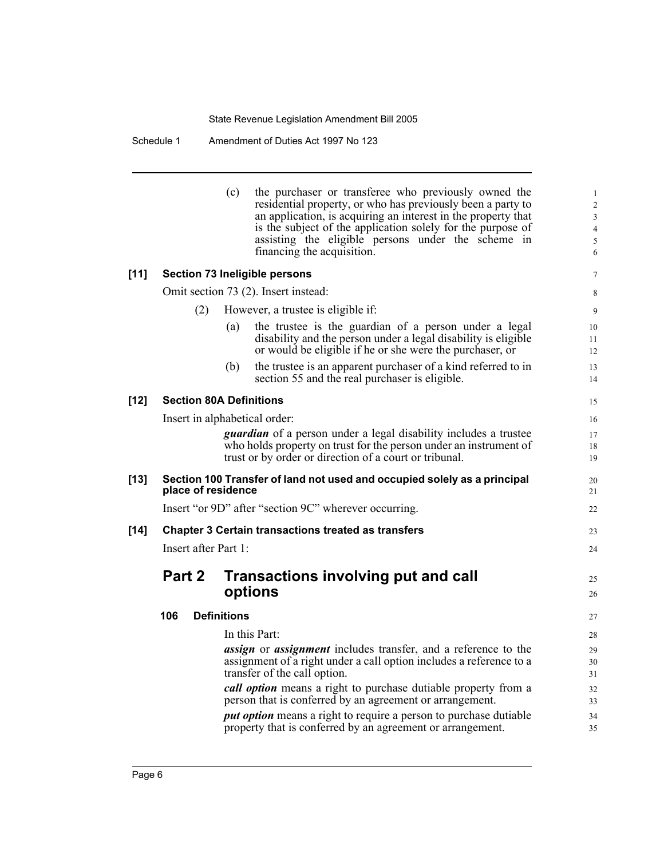Schedule 1 Amendment of Duties Act 1997 No 123

|        |                                                            | (c)                            | the purchaser or transferee who previously owned the<br>residential property, or who has previously been a party to<br>an application, is acquiring an interest in the property that<br>is the subject of the application solely for the purpose of<br>assisting the eligible persons under the scheme in<br>financing the acquisition. | $\mathbf{1}$<br>$\sqrt{2}$<br>$\mathfrak z$<br>$\overline{4}$<br>$\sqrt{5}$<br>6 |  |
|--------|------------------------------------------------------------|--------------------------------|-----------------------------------------------------------------------------------------------------------------------------------------------------------------------------------------------------------------------------------------------------------------------------------------------------------------------------------------|----------------------------------------------------------------------------------|--|
| [11]   |                                                            |                                | Section 73 Ineligible persons                                                                                                                                                                                                                                                                                                           | $\tau$                                                                           |  |
|        |                                                            |                                | Omit section 73 (2). Insert instead:                                                                                                                                                                                                                                                                                                    | 8                                                                                |  |
|        |                                                            | (2)                            | However, a trustee is eligible if:                                                                                                                                                                                                                                                                                                      | 9                                                                                |  |
|        |                                                            | (a)                            | the trustee is the guardian of a person under a legal<br>disability and the person under a legal disability is eligible<br>or would be eligible if he or she were the purchaser, or                                                                                                                                                     | 10<br>11<br>12                                                                   |  |
|        |                                                            | (b)                            | the trustee is an apparent purchaser of a kind referred to in<br>section 55 and the real purchaser is eligible.                                                                                                                                                                                                                         | 13<br>14                                                                         |  |
| $[12]$ |                                                            | <b>Section 80A Definitions</b> |                                                                                                                                                                                                                                                                                                                                         | 15                                                                               |  |
|        |                                                            |                                | Insert in alphabetical order:                                                                                                                                                                                                                                                                                                           | 16                                                                               |  |
|        |                                                            |                                | <i>guardian</i> of a person under a legal disability includes a trustee<br>who holds property on trust for the person under an instrument of<br>trust or by order or direction of a court or tribunal.                                                                                                                                  | 17<br>18<br>19                                                                   |  |
| $[13]$ |                                                            | place of residence             | Section 100 Transfer of land not used and occupied solely as a principal                                                                                                                                                                                                                                                                | 20<br>21                                                                         |  |
|        |                                                            |                                | Insert "or 9D" after "section 9C" wherever occurring.                                                                                                                                                                                                                                                                                   | 22                                                                               |  |
| $[14]$ | <b>Chapter 3 Certain transactions treated as transfers</b> |                                |                                                                                                                                                                                                                                                                                                                                         |                                                                                  |  |
|        |                                                            | Insert after Part 1:           |                                                                                                                                                                                                                                                                                                                                         | 24                                                                               |  |
|        | Part 2                                                     |                                | <b>Transactions involving put and call</b>                                                                                                                                                                                                                                                                                              |                                                                                  |  |
|        |                                                            |                                | options                                                                                                                                                                                                                                                                                                                                 | 25<br>26                                                                         |  |
|        | 106                                                        | <b>Definitions</b>             |                                                                                                                                                                                                                                                                                                                                         | 27                                                                               |  |
|        |                                                            |                                | In this Part:                                                                                                                                                                                                                                                                                                                           | 28                                                                               |  |
|        |                                                            |                                | <i>assign</i> or <i>assignment</i> includes transfer, and a reference to the                                                                                                                                                                                                                                                            | 29                                                                               |  |
|        |                                                            |                                | assignment of a right under a call option includes a reference to a<br>transfer of the call option.                                                                                                                                                                                                                                     | 30<br>31                                                                         |  |
|        |                                                            |                                | call option means a right to purchase dutiable property from a<br>person that is conferred by an agreement or arrangement.                                                                                                                                                                                                              | 32<br>33                                                                         |  |
|        |                                                            |                                | <i>put option</i> means a right to require a person to purchase dutiable<br>property that is conferred by an agreement or arrangement.                                                                                                                                                                                                  | 34<br>35                                                                         |  |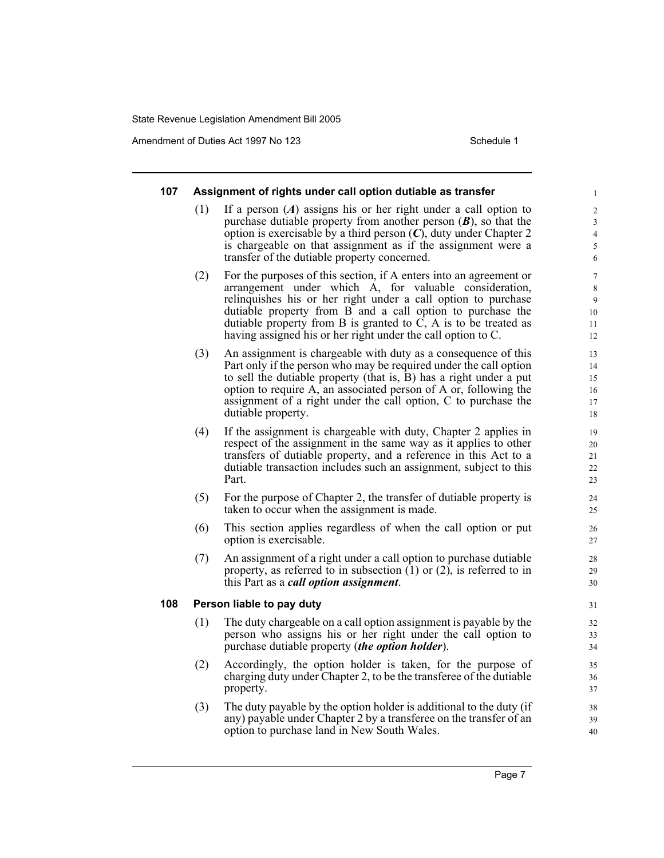Amendment of Duties Act 1997 No 123 Schedule 1

#### **107 Assignment of rights under call option dutiable as transfer**

- (1) If a person (*A*) assigns his or her right under a call option to purchase dutiable property from another person (*B*), so that the option is exercisable by a third person (*C*), duty under Chapter 2 is chargeable on that assignment as if the assignment were a transfer of the dutiable property concerned.
- (2) For the purposes of this section, if A enters into an agreement or arrangement under which A, for valuable consideration, relinquishes his or her right under a call option to purchase dutiable property from B and a call option to purchase the dutiable property from B is granted to  $\overline{C}$ , A is to be treated as having assigned his or her right under the call option to C.
- (3) An assignment is chargeable with duty as a consequence of this Part only if the person who may be required under the call option to sell the dutiable property (that is, B) has a right under a put option to require A, an associated person of A or, following the assignment of a right under the call option, C to purchase the dutiable property.
- (4) If the assignment is chargeable with duty, Chapter 2 applies in respect of the assignment in the same way as it applies to other transfers of dutiable property, and a reference in this Act to a dutiable transaction includes such an assignment, subject to this Part.
- (5) For the purpose of Chapter 2, the transfer of dutiable property is taken to occur when the assignment is made.
- (6) This section applies regardless of when the call option or put option is exercisable.
- (7) An assignment of a right under a call option to purchase dutiable property, as referred to in subsection  $(1)$  or  $(2)$ , is referred to in this Part as a *call option assignment*.

#### **108 Person liable to pay duty**

- (1) The duty chargeable on a call option assignment is payable by the person who assigns his or her right under the call option to purchase dutiable property (*the option holder*).
- (2) Accordingly, the option holder is taken, for the purpose of charging duty under Chapter 2, to be the transferee of the dutiable property.
- (3) The duty payable by the option holder is additional to the duty (if any) payable under Chapter 2 by a transferee on the transfer of an option to purchase land in New South Wales.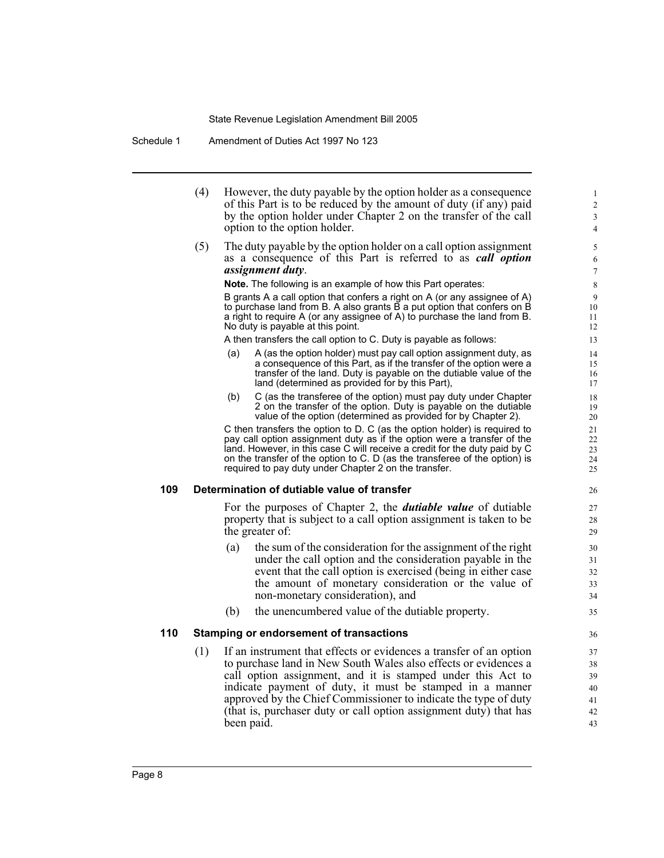Schedule 1 Amendment of Duties Act 1997 No 123

(4) However, the duty payable by the option holder as a consequence of this Part is to be reduced by the amount of duty (if any) paid by the option holder under Chapter 2 on the transfer of the call option to the option holder.

(5) The duty payable by the option holder on a call option assignment as a consequence of this Part is referred to as *call option assignment duty*.

**Note.** The following is an example of how this Part operates:

B grants A a call option that confers a right on A (or any assignee of A) to purchase land from B. A also grants B a put option that confers on B a right to require A (or any assignee of A) to purchase the land from B. No duty is payable at this point.

A then transfers the call option to C. Duty is payable as follows:

- A (as the option holder) must pay call option assignment duty, as a consequence of this Part, as if the transfer of the option were a transfer of the land. Duty is payable on the dutiable value of the land (determined as provided for by this Part),
- (b) C (as the transferee of the option) must pay duty under Chapter 2 on the transfer of the option. Duty is payable on the dutiable value of the option (determined as provided for by Chapter 2).

C then transfers the option to D. C (as the option holder) is required to pay call option assignment duty as if the option were a transfer of the land. However, in this case C will receive a credit for the duty paid by C on the transfer of the option to C. D (as the transferee of the option) is required to pay duty under Chapter 2 on the transfer.

#### **109 Determination of dutiable value of transfer**

For the purposes of Chapter 2, the *dutiable value* of dutiable property that is subject to a call option assignment is taken to be the greater of:

- (a) the sum of the consideration for the assignment of the right under the call option and the consideration payable in the event that the call option is exercised (being in either case the amount of monetary consideration or the value of non-monetary consideration), and
- (b) the unencumbered value of the dutiable property.

#### **110 Stamping or endorsement of transactions**

(1) If an instrument that effects or evidences a transfer of an option to purchase land in New South Wales also effects or evidences a call option assignment, and it is stamped under this Act to indicate payment of duty, it must be stamped in a manner approved by the Chief Commissioner to indicate the type of duty (that is, purchaser duty or call option assignment duty) that has been paid.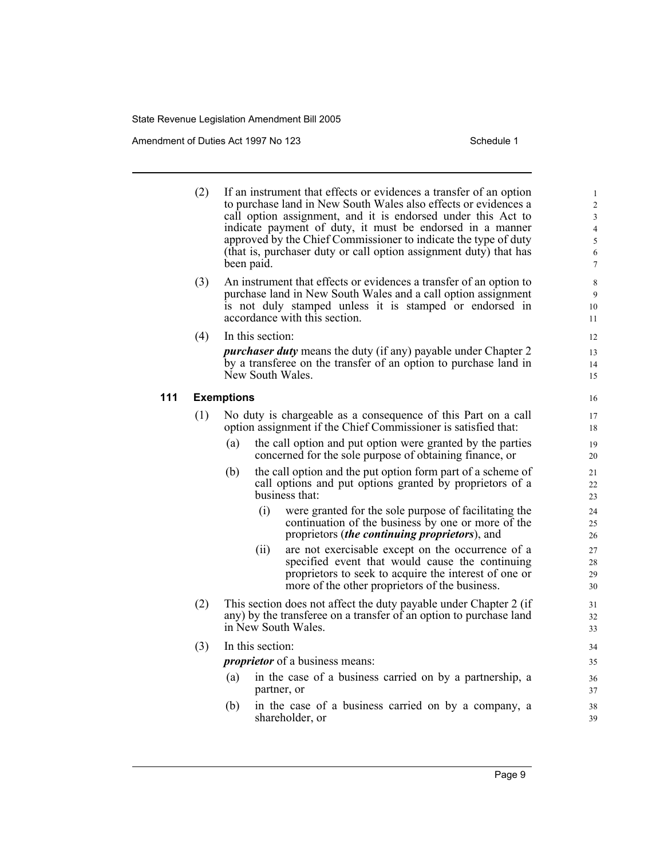Amendment of Duties Act 1997 No 123 Schedule 1

**111 Exemptions**

| (2) | If an instrument that effects or evidences a transfer of an option<br>to purchase land in New South Wales also effects or evidences a<br>call option assignment, and it is endorsed under this Act to<br>indicate payment of duty, it must be endorsed in a manner<br>approved by the Chief Commissioner to indicate the type of duty<br>(that is, purchaser duty or call option assignment duty) that has<br>been paid. |                      |  |  |  |  |  |  |
|-----|--------------------------------------------------------------------------------------------------------------------------------------------------------------------------------------------------------------------------------------------------------------------------------------------------------------------------------------------------------------------------------------------------------------------------|----------------------|--|--|--|--|--|--|
| (3) | An instrument that effects or evidences a transfer of an option to<br>purchase land in New South Wales and a call option assignment<br>is not duly stamped unless it is stamped or endorsed in<br>accordance with this section.                                                                                                                                                                                          |                      |  |  |  |  |  |  |
| (4) | In this section:<br><i>purchaser duty</i> means the duty (if any) payable under Chapter 2                                                                                                                                                                                                                                                                                                                                | 12<br>13             |  |  |  |  |  |  |
|     | by a transferee on the transfer of an option to purchase land in<br>New South Wales.                                                                                                                                                                                                                                                                                                                                     | 14<br>15             |  |  |  |  |  |  |
|     | <b>Exemptions</b>                                                                                                                                                                                                                                                                                                                                                                                                        | 16                   |  |  |  |  |  |  |
| (1) | No duty is chargeable as a consequence of this Part on a call<br>option assignment if the Chief Commissioner is satisfied that:                                                                                                                                                                                                                                                                                          | 17<br>18             |  |  |  |  |  |  |
|     | (a)<br>the call option and put option were granted by the parties<br>concerned for the sole purpose of obtaining finance, or                                                                                                                                                                                                                                                                                             | 19<br>20             |  |  |  |  |  |  |
|     | the call option and the put option form part of a scheme of<br>(b)<br>call options and put options granted by proprietors of a<br>business that:                                                                                                                                                                                                                                                                         | 21<br>22<br>23       |  |  |  |  |  |  |
|     | (i)<br>were granted for the sole purpose of facilitating the<br>continuation of the business by one or more of the<br>proprietors <i>(the continuing proprietors)</i> , and                                                                                                                                                                                                                                              | 24<br>25<br>26       |  |  |  |  |  |  |
|     | (ii)<br>are not exercisable except on the occurrence of a<br>specified event that would cause the continuing<br>proprietors to seek to acquire the interest of one or<br>more of the other proprietors of the business.                                                                                                                                                                                                  | 27<br>28<br>29<br>30 |  |  |  |  |  |  |
| (2) | This section does not affect the duty payable under Chapter 2 (if<br>any) by the transferee on a transfer of an option to purchase land<br>in New South Wales.                                                                                                                                                                                                                                                           | 31<br>32<br>33       |  |  |  |  |  |  |
| (3) | In this section:                                                                                                                                                                                                                                                                                                                                                                                                         | 34                   |  |  |  |  |  |  |
|     | <i>proprietor</i> of a business means:                                                                                                                                                                                                                                                                                                                                                                                   | 35                   |  |  |  |  |  |  |
|     | in the case of a business carried on by a partnership, a<br>(a)<br>partner, or                                                                                                                                                                                                                                                                                                                                           | 36<br>37             |  |  |  |  |  |  |
|     | in the case of a business carried on by a company, a<br>(b)<br>shareholder, or                                                                                                                                                                                                                                                                                                                                           | 38<br>39             |  |  |  |  |  |  |
|     |                                                                                                                                                                                                                                                                                                                                                                                                                          |                      |  |  |  |  |  |  |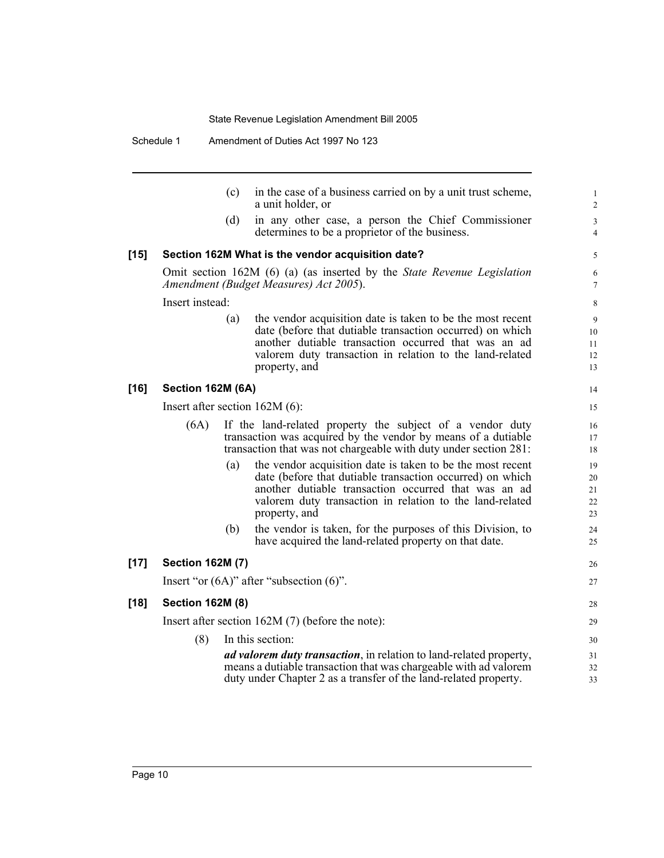Schedule 1 Amendment of Duties Act 1997 No 123

|        | (c)                              | in the case of a business carried on by a unit trust scheme,<br>a unit holder, or                                                                                                                                                                            | $\mathbf{1}$<br>$\overline{c}$ |
|--------|----------------------------------|--------------------------------------------------------------------------------------------------------------------------------------------------------------------------------------------------------------------------------------------------------------|--------------------------------|
|        | (d)                              | in any other case, a person the Chief Commissioner<br>determines to be a proprietor of the business.                                                                                                                                                         | 3<br>$\overline{4}$            |
| $[15]$ |                                  | Section 162M What is the vendor acquisition date?                                                                                                                                                                                                            | 5                              |
|        |                                  | Omit section 162M (6) (a) (as inserted by the State Revenue Legislation<br>Amendment (Budget Measures) Act 2005).                                                                                                                                            | 6<br>7                         |
|        | Insert instead:                  |                                                                                                                                                                                                                                                              | $\,8\,$                        |
|        | (a)                              | the vendor acquisition date is taken to be the most recent<br>date (before that dutiable transaction occurred) on which<br>another dutiable transaction occurred that was an ad<br>valorem duty transaction in relation to the land-related<br>property, and | 9<br>10<br>11<br>12<br>13      |
| $[16]$ | Section 162M (6A)                |                                                                                                                                                                                                                                                              | 14                             |
|        | Insert after section $162M(6)$ : |                                                                                                                                                                                                                                                              | 15                             |
|        | (6A)                             | If the land-related property the subject of a vendor duty<br>transaction was acquired by the vendor by means of a dutiable<br>transaction that was not chargeable with duty under section 281:                                                               | 16<br>17<br>18                 |
|        | (a)                              | the vendor acquisition date is taken to be the most recent<br>date (before that dutiable transaction occurred) on which<br>another dutiable transaction occurred that was an ad<br>valorem duty transaction in relation to the land-related<br>property, and | 19<br>20<br>21<br>22<br>23     |
|        | (b)                              | the vendor is taken, for the purposes of this Division, to<br>have acquired the land-related property on that date.                                                                                                                                          | 24<br>25                       |
| $[17]$ | <b>Section 162M (7)</b>          |                                                                                                                                                                                                                                                              | 26                             |
|        |                                  | Insert "or $(6A)$ " after "subsection $(6)$ ".                                                                                                                                                                                                               | 27                             |
| $[18]$ | <b>Section 162M (8)</b>          |                                                                                                                                                                                                                                                              | 28                             |
|        |                                  | Insert after section $162M(7)$ (before the note):                                                                                                                                                                                                            | 29                             |
|        | (8)                              | In this section:                                                                                                                                                                                                                                             | 30                             |
|        |                                  | <i>ad valorem duty transaction</i> , in relation to land-related property,                                                                                                                                                                                   | 31                             |
|        |                                  | means a dutiable transaction that was chargeable with ad valorem<br>duty under Chapter 2 as a transfer of the land-related property.                                                                                                                         | 32<br>33                       |
|        |                                  |                                                                                                                                                                                                                                                              |                                |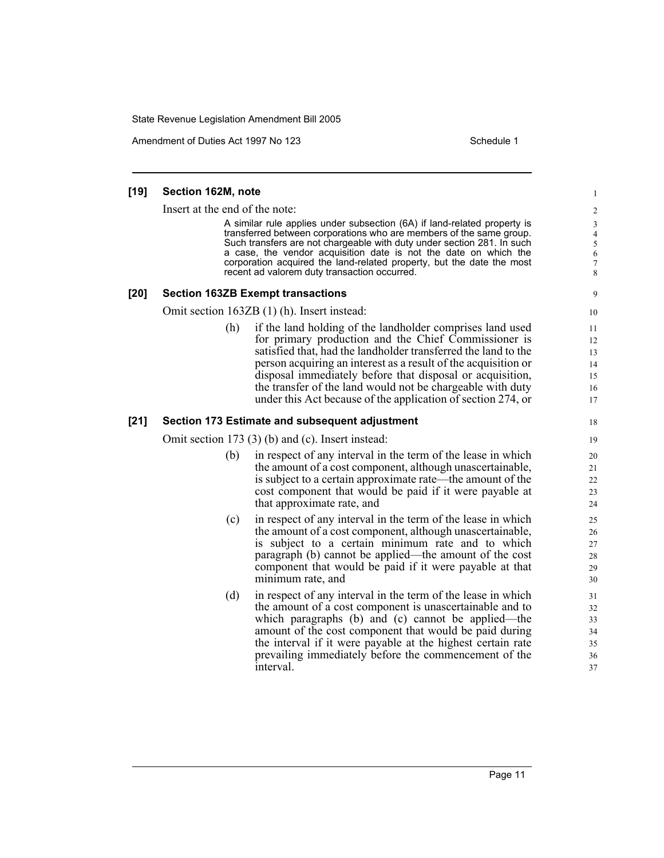Amendment of Duties Act 1997 No 123 Schedule 1

#### **[19] Section 162M, note** Insert at the end of the note: A similar rule applies under subsection (6A) if land-related property is transferred between corporations who are members of the same group. Such transfers are not chargeable with duty under section 281. In such a case, the vendor acquisition date is not the date on which the corporation acquired the land-related property, but the date the most recent ad valorem duty transaction occurred. **[20] Section 163ZB Exempt transactions** Omit section 163ZB (1) (h). Insert instead: (h) if the land holding of the landholder comprises land used for primary production and the Chief Commissioner is satisfied that, had the landholder transferred the land to the person acquiring an interest as a result of the acquisition or disposal immediately before that disposal or acquisition, the transfer of the land would not be chargeable with duty under this Act because of the application of section 274, or **[21] Section 173 Estimate and subsequent adjustment** Omit section 173 (3) (b) and (c). Insert instead: (b) in respect of any interval in the term of the lease in which the amount of a cost component, although unascertainable, is subject to a certain approximate rate—the amount of the cost component that would be paid if it were payable at that approximate rate, and (c) in respect of any interval in the term of the lease in which the amount of a cost component, although unascertainable, is subject to a certain minimum rate and to which paragraph (b) cannot be applied—the amount of the cost component that would be paid if it were payable at that minimum rate, and (d) in respect of any interval in the term of the lease in which the amount of a cost component is unascertainable and to which paragraphs (b) and (c) cannot be applied—the amount of the cost component that would be paid during the interval if it were payable at the highest certain rate prevailing immediately before the commencement of the interval. 1 2 3 4 5 6 7 8 9 10 11 12 13 14 15 16 17 18 19 20 21 22 23 24 25 26 27 28 29 30 31 32 33 34 35 36 37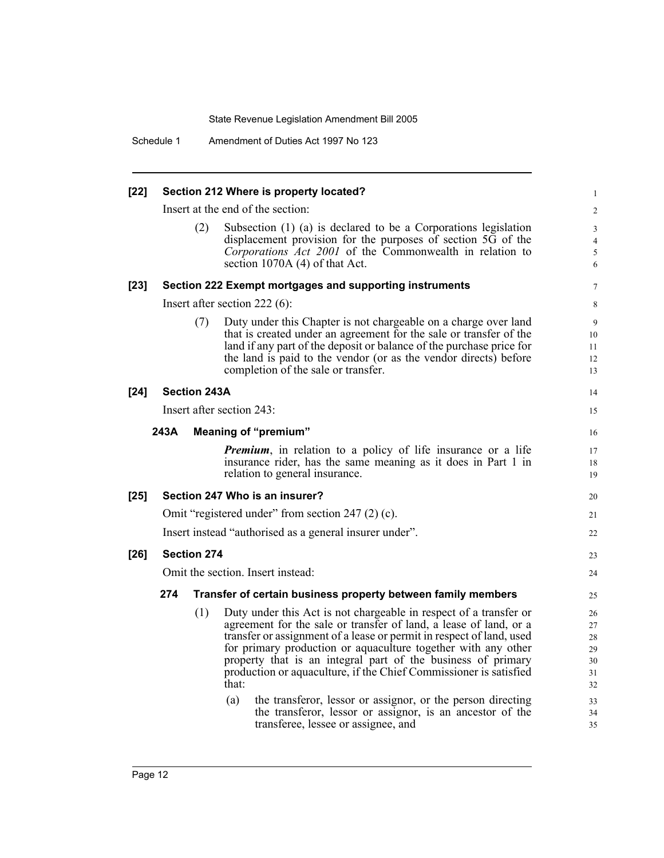Schedule 1 Amendment of Duties Act 1997 No 123

| Section 212 Where is property located?                  |     |                                                                                                                                                                                                                                                                                                                                                                                                                                                                                                                                                                                                         |                                                                                                                                                                                                                                                                                                                                                                                                       |  |  |  |
|---------------------------------------------------------|-----|---------------------------------------------------------------------------------------------------------------------------------------------------------------------------------------------------------------------------------------------------------------------------------------------------------------------------------------------------------------------------------------------------------------------------------------------------------------------------------------------------------------------------------------------------------------------------------------------------------|-------------------------------------------------------------------------------------------------------------------------------------------------------------------------------------------------------------------------------------------------------------------------------------------------------------------------------------------------------------------------------------------------------|--|--|--|
|                                                         |     |                                                                                                                                                                                                                                                                                                                                                                                                                                                                                                                                                                                                         | $\overline{\mathbf{c}}$                                                                                                                                                                                                                                                                                                                                                                               |  |  |  |
|                                                         | (2) | Subsection $(1)$ $(a)$ is declared to be a Corporations legislation<br>displacement provision for the purposes of section 5G of the<br>Corporations Act 2001 of the Commonwealth in relation to<br>section $1070A(4)$ of that Act.                                                                                                                                                                                                                                                                                                                                                                      | 3<br>$\overline{\mathcal{L}}$<br>5<br>6                                                                                                                                                                                                                                                                                                                                                               |  |  |  |
|                                                         |     |                                                                                                                                                                                                                                                                                                                                                                                                                                                                                                                                                                                                         | $\overline{7}$                                                                                                                                                                                                                                                                                                                                                                                        |  |  |  |
|                                                         |     |                                                                                                                                                                                                                                                                                                                                                                                                                                                                                                                                                                                                         | 8                                                                                                                                                                                                                                                                                                                                                                                                     |  |  |  |
|                                                         | (7) | Duty under this Chapter is not chargeable on a charge over land<br>that is created under an agreement for the sale or transfer of the<br>land if any part of the deposit or balance of the purchase price for<br>the land is paid to the vendor (or as the vendor directs) before<br>completion of the sale or transfer.                                                                                                                                                                                                                                                                                | 9<br>10<br>11<br>12<br>13                                                                                                                                                                                                                                                                                                                                                                             |  |  |  |
|                                                         |     |                                                                                                                                                                                                                                                                                                                                                                                                                                                                                                                                                                                                         | 14                                                                                                                                                                                                                                                                                                                                                                                                    |  |  |  |
|                                                         |     |                                                                                                                                                                                                                                                                                                                                                                                                                                                                                                                                                                                                         | 15                                                                                                                                                                                                                                                                                                                                                                                                    |  |  |  |
| <b>Meaning of "premium"</b><br>243A                     |     |                                                                                                                                                                                                                                                                                                                                                                                                                                                                                                                                                                                                         |                                                                                                                                                                                                                                                                                                                                                                                                       |  |  |  |
|                                                         |     | <b>Premium</b> , in relation to a policy of life insurance or a life<br>insurance rider, has the same meaning as it does in Part 1 in<br>relation to general insurance.                                                                                                                                                                                                                                                                                                                                                                                                                                 | 17<br>18<br>19                                                                                                                                                                                                                                                                                                                                                                                        |  |  |  |
|                                                         |     |                                                                                                                                                                                                                                                                                                                                                                                                                                                                                                                                                                                                         | 20                                                                                                                                                                                                                                                                                                                                                                                                    |  |  |  |
|                                                         |     |                                                                                                                                                                                                                                                                                                                                                                                                                                                                                                                                                                                                         | 21                                                                                                                                                                                                                                                                                                                                                                                                    |  |  |  |
| Insert instead "authorised as a general insurer under". |     |                                                                                                                                                                                                                                                                                                                                                                                                                                                                                                                                                                                                         |                                                                                                                                                                                                                                                                                                                                                                                                       |  |  |  |
|                                                         |     |                                                                                                                                                                                                                                                                                                                                                                                                                                                                                                                                                                                                         | 23                                                                                                                                                                                                                                                                                                                                                                                                    |  |  |  |
|                                                         |     |                                                                                                                                                                                                                                                                                                                                                                                                                                                                                                                                                                                                         | 24                                                                                                                                                                                                                                                                                                                                                                                                    |  |  |  |
| 274                                                     |     |                                                                                                                                                                                                                                                                                                                                                                                                                                                                                                                                                                                                         | 25                                                                                                                                                                                                                                                                                                                                                                                                    |  |  |  |
|                                                         | (1) | Duty under this Act is not chargeable in respect of a transfer or<br>agreement for the sale or transfer of land, a lease of land, or a<br>transfer or assignment of a lease or permit in respect of land, used<br>for primary production or aquaculture together with any other<br>property that is an integral part of the business of primary<br>production or aquaculture, if the Chief Commissioner is satisfied<br>that:<br>(a)<br>the transferor, lessor or assignor, or the person directing<br>the transferor, lessor or assignor, is an ancestor of the<br>transferee, lessee or assignee, and | 26<br>27<br>28<br>29<br>30<br>31<br>32<br>33<br>34<br>35                                                                                                                                                                                                                                                                                                                                              |  |  |  |
|                                                         |     |                                                                                                                                                                                                                                                                                                                                                                                                                                                                                                                                                                                                         | Insert at the end of the section:<br>Section 222 Exempt mortgages and supporting instruments<br>Insert after section $222(6)$ :<br><b>Section 243A</b><br>Insert after section 243:<br>Section 247 Who is an insurer?<br>Omit "registered under" from section 247 (2) (c).<br><b>Section 274</b><br>Omit the section. Insert instead:<br>Transfer of certain business property between family members |  |  |  |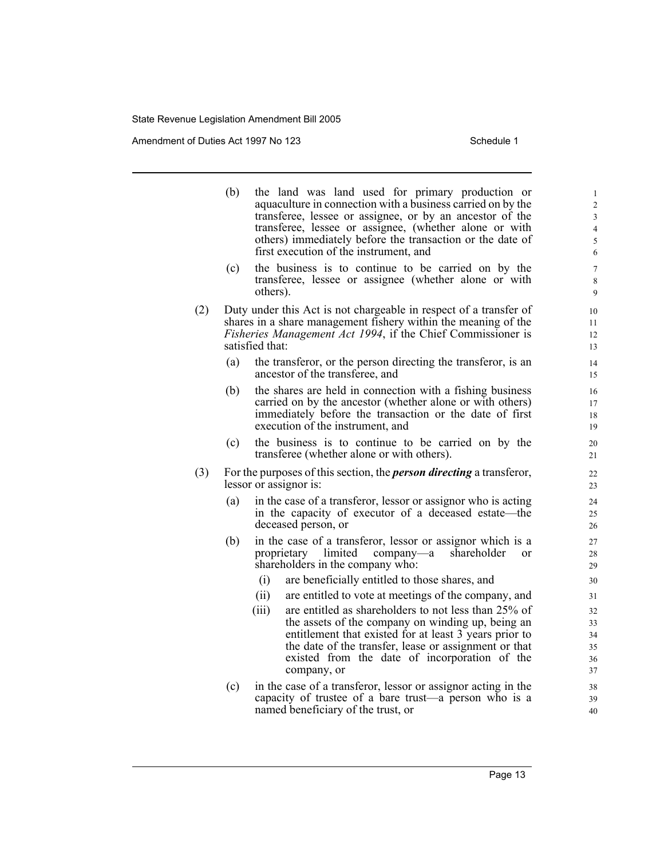Amendment of Duties Act 1997 No 123

|     | (b) | the land was land used for primary production or<br>aquaculture in connection with a business carried on by the<br>transferee, lessee or assignee, or by an ancestor of the<br>transferee, lessee or assignee, (whether alone or with<br>others) immediately before the transaction or the date of<br>first execution of the instrument, and | $\mathbf{1}$<br>$\overline{c}$<br>$\mathfrak{Z}$<br>$\overline{4}$<br>5<br>6 |
|-----|-----|----------------------------------------------------------------------------------------------------------------------------------------------------------------------------------------------------------------------------------------------------------------------------------------------------------------------------------------------|------------------------------------------------------------------------------|
|     | (c) | the business is to continue to be carried on by the<br>transferee, lessee or assignee (whether alone or with<br>others).                                                                                                                                                                                                                     | $\boldsymbol{7}$<br>8<br>9                                                   |
| (2) |     | Duty under this Act is not chargeable in respect of a transfer of<br>shares in a share management fishery within the meaning of the<br><i>Fisheries Management Act 1994</i> , if the Chief Commissioner is<br>satisfied that:                                                                                                                | 10<br>11<br>12<br>13                                                         |
|     | (a) | the transferor, or the person directing the transferor, is an<br>ancestor of the transferee, and                                                                                                                                                                                                                                             | 14<br>15                                                                     |
|     | (b) | the shares are held in connection with a fishing business<br>carried on by the ancestor (whether alone or with others)<br>immediately before the transaction or the date of first<br>execution of the instrument, and                                                                                                                        | 16<br>17<br>18<br>19                                                         |
|     | (c) | the business is to continue to be carried on by the<br>transferee (whether alone or with others).                                                                                                                                                                                                                                            | 20<br>21                                                                     |
| (3) |     | For the purposes of this section, the <b><i>person directing</i></b> a transferor,<br>lessor or assignor is:                                                                                                                                                                                                                                 | 22<br>23                                                                     |
|     | (a) | in the case of a transferor, lessor or assignor who is acting<br>in the capacity of executor of a deceased estate—the<br>deceased person, or                                                                                                                                                                                                 | 24<br>25<br>26                                                               |
|     | (b) | in the case of a transferor, lessor or assignor which is a<br>proprietary limited<br>company-a<br>shareholder<br><sub>or</sub><br>shareholders in the company who:                                                                                                                                                                           | 27<br>28<br>29                                                               |
|     |     | are beneficially entitled to those shares, and<br>(i)                                                                                                                                                                                                                                                                                        | 30                                                                           |
|     |     | (ii)<br>are entitled to vote at meetings of the company, and                                                                                                                                                                                                                                                                                 | 31                                                                           |
|     |     | are entitled as shareholders to not less than 25% of<br>(iii)                                                                                                                                                                                                                                                                                | 32                                                                           |
|     |     | the assets of the company on winding up, being an                                                                                                                                                                                                                                                                                            | 33                                                                           |
|     |     | entitlement that existed for at least 3 years prior to<br>the date of the transfer, lease or assignment or that                                                                                                                                                                                                                              | 34<br>35                                                                     |
|     |     | existed from the date of incorporation of the                                                                                                                                                                                                                                                                                                | 36                                                                           |
|     |     | company, or                                                                                                                                                                                                                                                                                                                                  | 37                                                                           |
|     | (c) | in the case of a transferor, lessor or assignor acting in the                                                                                                                                                                                                                                                                                | 38                                                                           |
|     |     | capacity of trustee of a bare trust—a person who is a                                                                                                                                                                                                                                                                                        | 39                                                                           |
|     |     | named beneficiary of the trust, or                                                                                                                                                                                                                                                                                                           | 40                                                                           |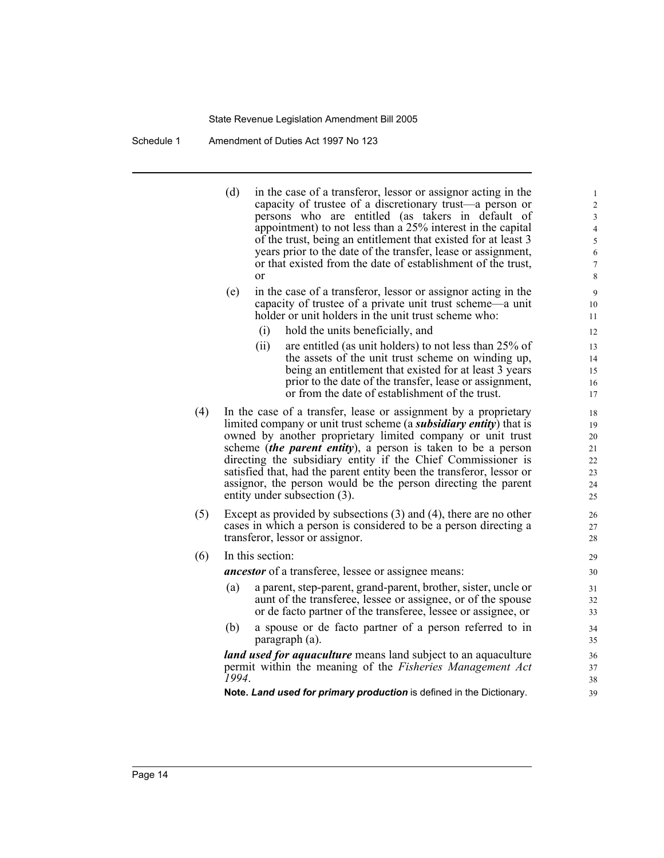Schedule 1 Amendment of Duties Act 1997 No 123

(d) in the case of a transferor, lessor or assignor acting in the capacity of trustee of a discretionary trust—a person or persons who are entitled (as takers in default of appointment) to not less than a 25% interest in the capital of the trust, being an entitlement that existed for at least 3 years prior to the date of the transfer, lease or assignment, or that existed from the date of establishment of the trust, or

- (e) in the case of a transferor, lessor or assignor acting in the capacity of trustee of a private unit trust scheme—a unit holder or unit holders in the unit trust scheme who:
	- (i) hold the units beneficially, and
	- (ii) are entitled (as unit holders) to not less than 25% of the assets of the unit trust scheme on winding up, being an entitlement that existed for at least 3 years prior to the date of the transfer, lease or assignment, or from the date of establishment of the trust.
- (4) In the case of a transfer, lease or assignment by a proprietary limited company or unit trust scheme (a *subsidiary entity*) that is owned by another proprietary limited company or unit trust scheme (*the parent entity*), a person is taken to be a person directing the subsidiary entity if the Chief Commissioner is satisfied that, had the parent entity been the transferor, lessor or assignor, the person would be the person directing the parent entity under subsection (3).
- (5) Except as provided by subsections (3) and (4), there are no other cases in which a person is considered to be a person directing a transferor, lessor or assignor.

#### (6) In this section:

*ancestor* of a transferee, lessee or assignee means:

- (a) a parent, step-parent, grand-parent, brother, sister, uncle or aunt of the transferee, lessee or assignee, or of the spouse or de facto partner of the transferee, lessee or assignee, or
- (b) a spouse or de facto partner of a person referred to in paragraph (a).

*land used for aquaculture* means land subject to an aquaculture permit within the meaning of the *Fisheries Management Act 1994*.

**Note.** *Land used for primary production* is defined in the Dictionary.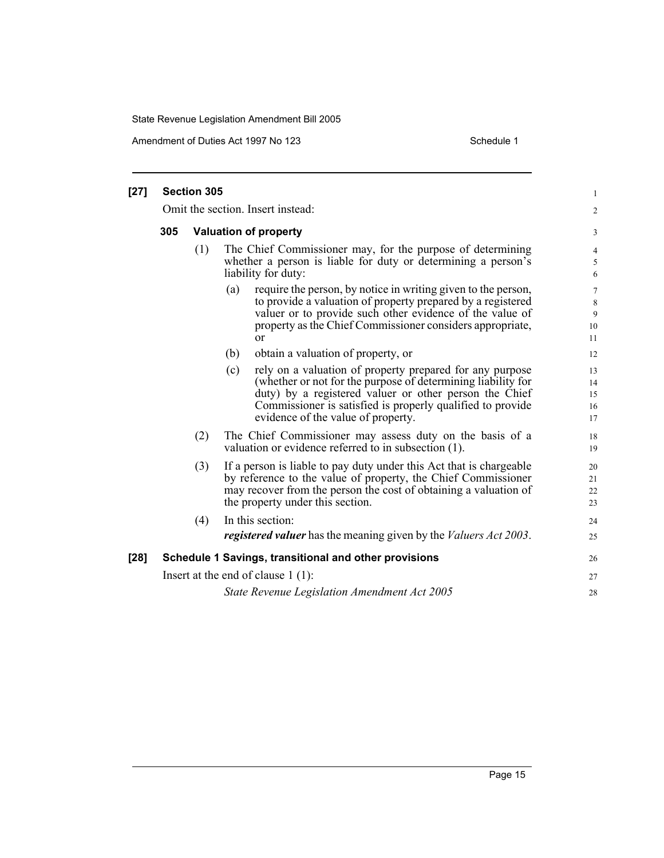Amendment of Duties Act 1997 No 123 Schedule 1

| $[27]$ | Section 305 |                                   |                                                                                                                                                                                                                                                                                               |                                              |  |  |  |
|--------|-------------|-----------------------------------|-----------------------------------------------------------------------------------------------------------------------------------------------------------------------------------------------------------------------------------------------------------------------------------------------|----------------------------------------------|--|--|--|
|        |             | Omit the section. Insert instead: |                                                                                                                                                                                                                                                                                               |                                              |  |  |  |
|        | 305         |                                   | <b>Valuation of property</b>                                                                                                                                                                                                                                                                  | 3                                            |  |  |  |
|        |             | (1)                               | The Chief Commissioner may, for the purpose of determining<br>whether a person is liable for duty or determining a person's<br>liability for duty:                                                                                                                                            | $\overline{4}$<br>$\sqrt{5}$<br>$\sqrt{6}$   |  |  |  |
|        |             |                                   | require the person, by notice in writing given to the person,<br>(a)<br>to provide a valuation of property prepared by a registered<br>valuer or to provide such other evidence of the value of<br>property as the Chief Commissioner considers appropriate,<br>$\alpha$                      | $\boldsymbol{7}$<br>$\,8\,$<br>9<br>10<br>11 |  |  |  |
|        |             |                                   | obtain a valuation of property, or<br>(b)                                                                                                                                                                                                                                                     | 12                                           |  |  |  |
|        |             |                                   | (c)<br>rely on a valuation of property prepared for any purpose<br>(whether or not for the purpose of determining liability for<br>duty) by a registered valuer or other person the Chief<br>Commissioner is satisfied is properly qualified to provide<br>evidence of the value of property. | 13<br>14<br>15<br>16<br>17                   |  |  |  |
|        |             | (2)                               | The Chief Commissioner may assess duty on the basis of a<br>valuation or evidence referred to in subsection (1).                                                                                                                                                                              | 18<br>19                                     |  |  |  |
|        |             | (3)                               | If a person is liable to pay duty under this Act that is chargeable<br>by reference to the value of property, the Chief Commissioner<br>may recover from the person the cost of obtaining a valuation of<br>the property under this section.                                                  | 20<br>21<br>22<br>23                         |  |  |  |
|        |             | (4)                               | In this section:<br><i>registered valuer</i> has the meaning given by the <i>Valuers Act 2003</i> .                                                                                                                                                                                           | 24<br>25                                     |  |  |  |
| $[28]$ |             |                                   | Schedule 1 Savings, transitional and other provisions                                                                                                                                                                                                                                         | 26                                           |  |  |  |
|        |             |                                   | Insert at the end of clause $1(1)$ :                                                                                                                                                                                                                                                          | 27                                           |  |  |  |
|        |             |                                   | State Revenue Legislation Amendment Act 2005                                                                                                                                                                                                                                                  | 28                                           |  |  |  |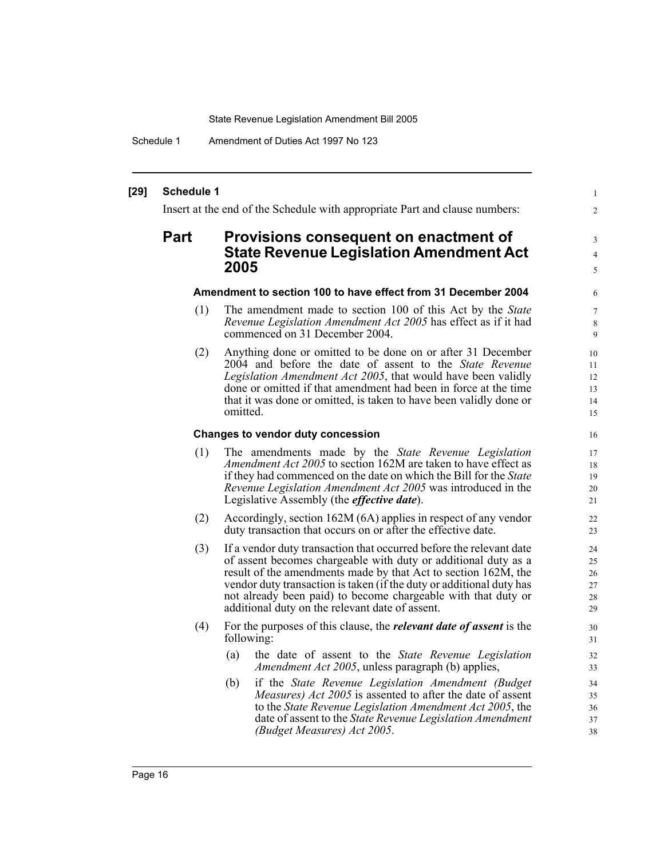Schedule 1 Amendment of Duties Act 1997 No 123

#### **[29] Schedule 1**

Insert at the end of the Schedule with appropriate Part and clause numbers:

# **Part Provisions consequent on enactment of State Revenue Legislation Amendment Act 2005**

#### **Amendment to section 100 to have effect from 31 December 2004**

1  $\mathfrak{D}$ 

3 4 5

- (1) The amendment made to section 100 of this Act by the *State Revenue Legislation Amendment Act 2005* has effect as if it had commenced on 31 December 2004.
- (2) Anything done or omitted to be done on or after 31 December 2004 and before the date of assent to the *State Revenue Legislation Amendment Act 2005*, that would have been validly done or omitted if that amendment had been in force at the time that it was done or omitted, is taken to have been validly done or omitted.

#### **Changes to vendor duty concession**

- (1) The amendments made by the *State Revenue Legislation Amendment Act 2005* to section 162M are taken to have effect as if they had commenced on the date on which the Bill for the *State Revenue Legislation Amendment Act 2005* was introduced in the Legislative Assembly (the *effective date*).
- (2) Accordingly, section 162M (6A) applies in respect of any vendor duty transaction that occurs on or after the effective date.
- (3) If a vendor duty transaction that occurred before the relevant date of assent becomes chargeable with duty or additional duty as a result of the amendments made by that Act to section 162M, the vendor duty transaction is taken (if the duty or additional duty has not already been paid) to become chargeable with that duty or additional duty on the relevant date of assent.
- (4) For the purposes of this clause, the *relevant date of assent* is the following:
	- (a) the date of assent to the *State Revenue Legislation Amendment Act 2005*, unless paragraph (b) applies,
	- (b) if the *State Revenue Legislation Amendment (Budget Measures) Act 2005* is assented to after the date of assent to the *State Revenue Legislation Amendment Act 2005*, the date of assent to the *State Revenue Legislation Amendment (Budget Measures) Act 2005*.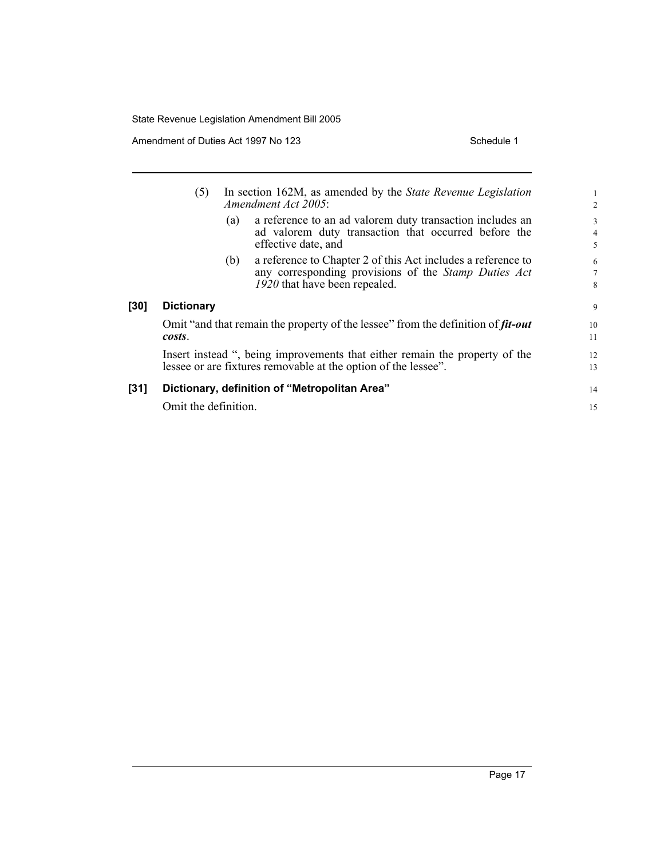Amendment of Duties Act 1997 No 123 Schedule 1

|        | (5)                  | In section 162M, as amended by the <i>State Revenue Legislation</i><br>Amendment Act 2005: | $\overline{2}$                                                                                                                                        |             |  |
|--------|----------------------|--------------------------------------------------------------------------------------------|-------------------------------------------------------------------------------------------------------------------------------------------------------|-------------|--|
|        |                      | (a)                                                                                        | a reference to an ad valorem duty transaction includes an<br>ad valorem duty transaction that occurred before the<br>effective date, and              | 3<br>4<br>5 |  |
|        |                      | (b)                                                                                        | a reference to Chapter 2 of this Act includes a reference to<br>any corresponding provisions of the Stamp Duties Act<br>1920 that have been repealed. | 6<br>7<br>8 |  |
| $[30]$ | <b>Dictionary</b>    |                                                                                            |                                                                                                                                                       |             |  |
|        | costs.               |                                                                                            | Omit "and that remain the property of the lessee" from the definition of fit-out                                                                      | 10<br>11    |  |
|        |                      |                                                                                            | Insert instead ", being improvements that either remain the property of the<br>lessee or are fixtures removable at the option of the lessee".         | 12<br>13    |  |
| $[31]$ |                      |                                                                                            | Dictionary, definition of "Metropolitan Area"                                                                                                         | 14          |  |
|        | Omit the definition. |                                                                                            |                                                                                                                                                       | 15          |  |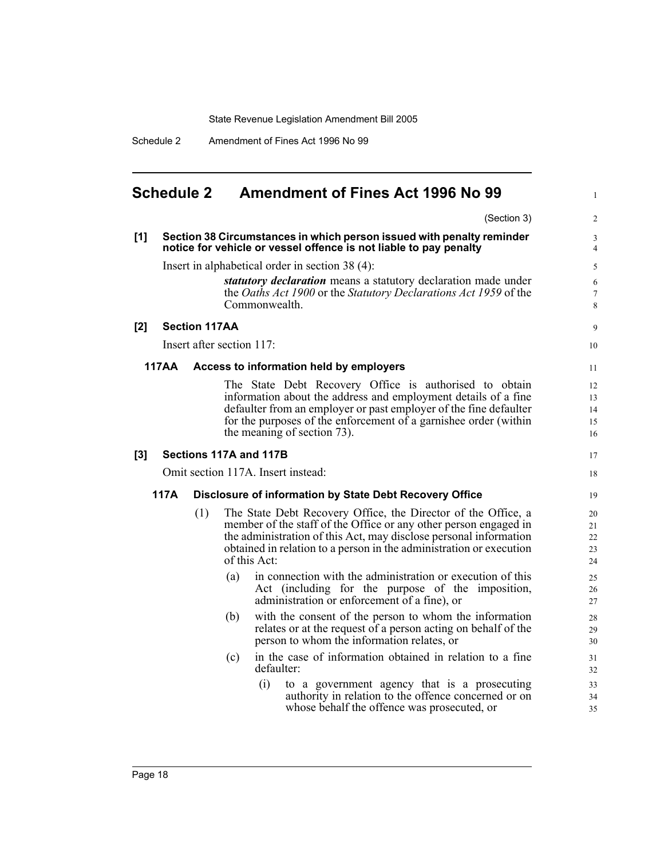Schedule 2 Amendment of Fines Act 1996 No 99

# **Schedule 2 Amendment of Fines Act 1996 No 99**

(Section 3)

1

|     |                                                   |                           |     |               | (Section 3)                                                                                                                                                                                                                                                                                      | $\overline{2}$             |  |
|-----|---------------------------------------------------|---------------------------|-----|---------------|--------------------------------------------------------------------------------------------------------------------------------------------------------------------------------------------------------------------------------------------------------------------------------------------------|----------------------------|--|
| [1] |                                                   |                           |     |               | Section 38 Circumstances in which person issued with penalty reminder<br>notice for vehicle or vessel offence is not liable to pay penalty                                                                                                                                                       | 3<br>$\overline{4}$        |  |
|     | Insert in alphabetical order in section $38(4)$ : |                           |     |               |                                                                                                                                                                                                                                                                                                  |                            |  |
|     |                                                   |                           |     | Commonwealth. | <i>statutory declaration</i> means a statutory declaration made under<br>the Oaths Act 1900 or the Statutory Declarations Act 1959 of the                                                                                                                                                        | 6<br>$\tau$<br>8           |  |
| [2] |                                                   | <b>Section 117AA</b>      |     |               |                                                                                                                                                                                                                                                                                                  | 9                          |  |
|     |                                                   | Insert after section 117: |     |               |                                                                                                                                                                                                                                                                                                  | 10                         |  |
|     | <b>117AA</b>                                      |                           |     |               | Access to information held by employers                                                                                                                                                                                                                                                          | 11                         |  |
|     |                                                   |                           |     |               | The State Debt Recovery Office is authorised to obtain<br>information about the address and employment details of a fine<br>defaulter from an employer or past employer of the fine defaulter<br>for the purposes of the enforcement of a garnishee order (within<br>the meaning of section 73). | 12<br>13<br>14<br>15<br>16 |  |
| [3] |                                                   | Sections 117A and 117B    |     |               |                                                                                                                                                                                                                                                                                                  | 17                         |  |
|     |                                                   |                           |     |               | Omit section 117A. Insert instead:                                                                                                                                                                                                                                                               | 18                         |  |
|     | 117A                                              |                           |     |               | Disclosure of information by State Debt Recovery Office                                                                                                                                                                                                                                          | 19                         |  |
|     |                                                   | (1)                       |     | of this Act:  | The State Debt Recovery Office, the Director of the Office, a<br>member of the staff of the Office or any other person engaged in<br>the administration of this Act, may disclose personal information<br>obtained in relation to a person in the administration or execution                    | 20<br>21<br>22<br>23<br>24 |  |
|     |                                                   |                           | (a) |               | in connection with the administration or execution of this<br>Act (including for the purpose of the imposition,<br>administration or enforcement of a fine), or                                                                                                                                  | 25<br>26<br>27             |  |
|     |                                                   |                           | (b) |               | with the consent of the person to whom the information<br>relates or at the request of a person acting on behalf of the<br>person to whom the information relates, or                                                                                                                            | 28<br>29<br>30             |  |
|     |                                                   |                           | (c) | defaulter:    | in the case of information obtained in relation to a fine                                                                                                                                                                                                                                        | 31<br>32                   |  |
|     |                                                   |                           |     | (i)           | to a government agency that is a prosecuting<br>authority in relation to the offence concerned or on<br>whose behalf the offence was prosecuted, or                                                                                                                                              | 33<br>34<br>35             |  |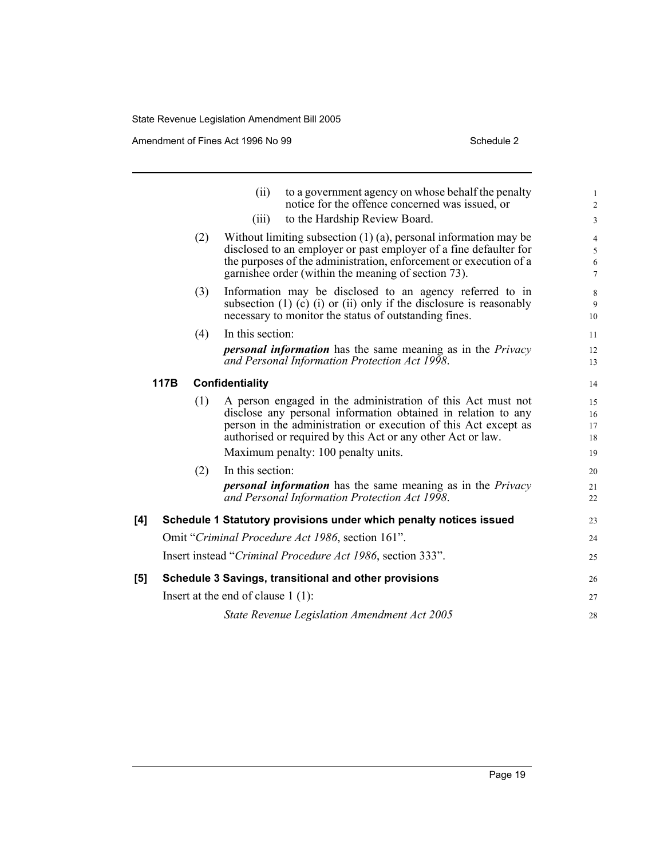Amendment of Fines Act 1996 No 99 Schedule 2

 $\overline{\phantom{0}}$ 

|      | to a government agency on whose behalf the penalty<br>(ii)<br>notice for the offence concerned was issued, or                                                                                                                                                                                         | 1<br>$\overline{c}$                                                                                                                                                                                                                                                                                                                       |
|------|-------------------------------------------------------------------------------------------------------------------------------------------------------------------------------------------------------------------------------------------------------------------------------------------------------|-------------------------------------------------------------------------------------------------------------------------------------------------------------------------------------------------------------------------------------------------------------------------------------------------------------------------------------------|
|      | (iii)                                                                                                                                                                                                                                                                                                 | 3                                                                                                                                                                                                                                                                                                                                         |
| (2)  | Without limiting subsection $(1)$ $(a)$ , personal information may be<br>disclosed to an employer or past employer of a fine defaulter for<br>the purposes of the administration, enforcement or execution of a<br>garnishee order (within the meaning of section 73).                                | 4<br>5<br>6<br>$\overline{7}$                                                                                                                                                                                                                                                                                                             |
| (3)  | Information may be disclosed to an agency referred to in<br>subsection $(1)$ $(c)$ $(i)$ or $(ii)$ only if the disclosure is reasonably<br>necessary to monitor the status of outstanding fines.                                                                                                      | 8<br>9<br>10                                                                                                                                                                                                                                                                                                                              |
| (4)  | In this section:                                                                                                                                                                                                                                                                                      | 11                                                                                                                                                                                                                                                                                                                                        |
|      | <b>personal information</b> has the same meaning as in the <i>Privacy</i><br>and Personal Information Protection Act 1998.                                                                                                                                                                            | 12<br>13                                                                                                                                                                                                                                                                                                                                  |
|      |                                                                                                                                                                                                                                                                                                       | 14                                                                                                                                                                                                                                                                                                                                        |
| (1)  | A person engaged in the administration of this Act must not<br>disclose any personal information obtained in relation to any<br>person in the administration or execution of this Act except as<br>authorised or required by this Act or any other Act or law.<br>Maximum penalty: 100 penalty units. | 15<br>16<br>17<br>18<br>19                                                                                                                                                                                                                                                                                                                |
| (2)  | In this section:                                                                                                                                                                                                                                                                                      | 20                                                                                                                                                                                                                                                                                                                                        |
|      | <b>personal information</b> has the same meaning as in the <i>Privacy</i><br>and Personal Information Protection Act 1998.                                                                                                                                                                            | 21<br>22                                                                                                                                                                                                                                                                                                                                  |
|      |                                                                                                                                                                                                                                                                                                       | 23                                                                                                                                                                                                                                                                                                                                        |
|      |                                                                                                                                                                                                                                                                                                       | 24                                                                                                                                                                                                                                                                                                                                        |
|      |                                                                                                                                                                                                                                                                                                       | 25                                                                                                                                                                                                                                                                                                                                        |
|      |                                                                                                                                                                                                                                                                                                       | 26                                                                                                                                                                                                                                                                                                                                        |
|      |                                                                                                                                                                                                                                                                                                       | 27                                                                                                                                                                                                                                                                                                                                        |
|      | State Revenue Legislation Amendment Act 2005                                                                                                                                                                                                                                                          | 28                                                                                                                                                                                                                                                                                                                                        |
| 117B |                                                                                                                                                                                                                                                                                                       | to the Hardship Review Board.<br>Confidentiality<br>Schedule 1 Statutory provisions under which penalty notices issued<br>Omit "Criminal Procedure Act 1986, section 161".<br>Insert instead "Criminal Procedure Act 1986, section 333".<br>Schedule 3 Savings, transitional and other provisions<br>Insert at the end of clause $1(1)$ : |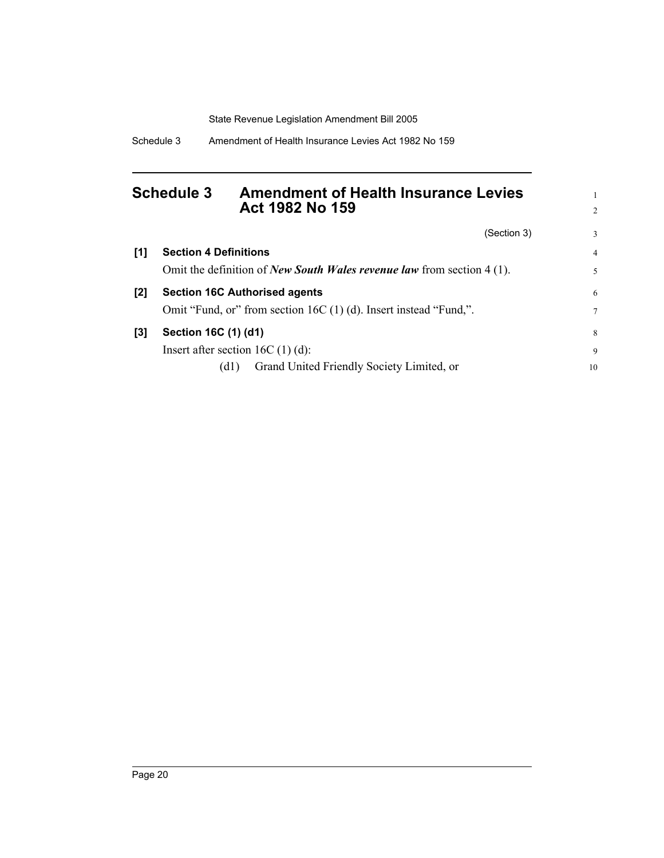Schedule 3 Amendment of Health Insurance Levies Act 1982 No 159

# **Schedule 3 Amendment of Health Insurance Levies Act 1982 No 159**

|       | (Section 3)                                                                     | 3              |
|-------|---------------------------------------------------------------------------------|----------------|
| [1]   | <b>Section 4 Definitions</b>                                                    | $\overline{4}$ |
|       | Omit the definition of <i>New South Wales revenue law</i> from section $4(1)$ . | 5              |
| [2]   | <b>Section 16C Authorised agents</b>                                            | 6              |
|       | Omit "Fund, or" from section 16C (1) (d). Insert instead "Fund,".               | 7              |
| $[3]$ | Section 16C (1) (d1)                                                            | 8              |
|       | Insert after section $16C(1)(d)$ :                                              | 9              |
|       | Grand United Friendly Society Limited, or<br>(d1)                               | 10             |

1 2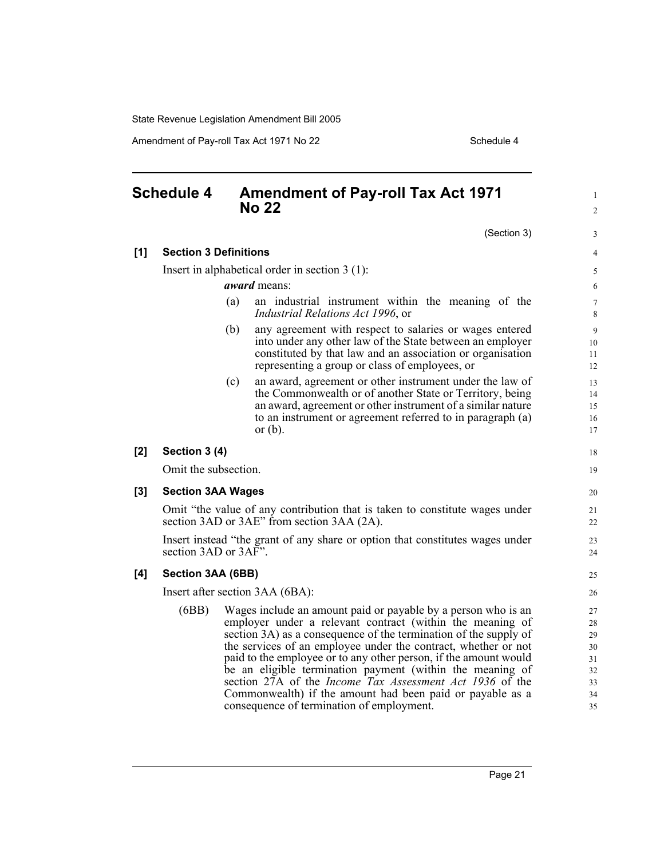Amendment of Pay-roll Tax Act 1971 No 22 Schedule 4

1  $\mathfrak{D}$ 

## **Schedule 4 Amendment of Pay-roll Tax Act 1971 No 22**

(Section 3) **[1] Section 3 Definitions** Insert in alphabetical order in section 3 (1): *award* means: (a) an industrial instrument within the meaning of the *Industrial Relations Act 1996*, or (b) any agreement with respect to salaries or wages entered into under any other law of the State between an employer constituted by that law and an association or organisation representing a group or class of employees, or (c) an award, agreement or other instrument under the law of the Commonwealth or of another State or Territory, being an award, agreement or other instrument of a similar nature to an instrument or agreement referred to in paragraph (a) or  $(b)$ . **[2] Section 3 (4)** Omit the subsection. **[3] Section 3AA Wages** Omit "the value of any contribution that is taken to constitute wages under section 3AD or 3AE" from section 3AA (2A). Insert instead "the grant of any share or option that constitutes wages under section 3AD or 3AF". **[4] Section 3AA (6BB)** Insert after section 3AA (6BA): (6BB) Wages include an amount paid or payable by a person who is an employer under a relevant contract (within the meaning of section 3A) as a consequence of the termination of the supply of the services of an employee under the contract, whether or not paid to the employee or to any other person, if the amount would be an eligible termination payment (within the meaning of section 27A of the *Income Tax Assessment Act 1936* of the Commonwealth) if the amount had been paid or payable as a consequence of termination of employment. 3 4 5 6 7 8 9 10 11 12 13 14 15 16 17 18 19 20  $21$ 22 23 24 25 26 27 28 29 30 31 32 33 34 35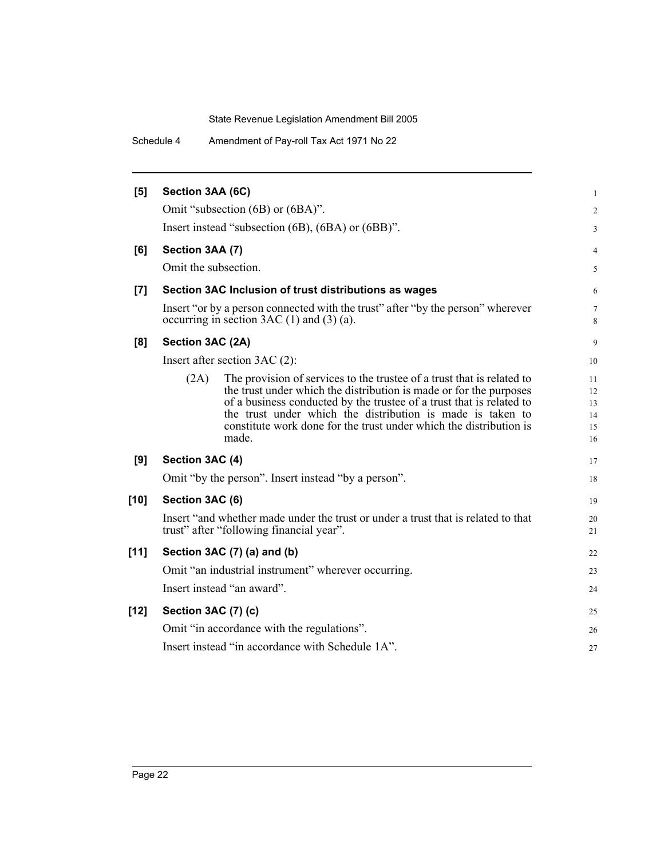Schedule 4 Amendment of Pay-roll Tax Act 1971 No 22

| [5]    | Section 3AA (6C)     |                                                                                                                                                                                                                      | $\mathbf{1}$   |
|--------|----------------------|----------------------------------------------------------------------------------------------------------------------------------------------------------------------------------------------------------------------|----------------|
|        |                      | Omit "subsection (6B) or (6BA)".                                                                                                                                                                                     | 2              |
|        |                      | Insert instead "subsection (6B), (6BA) or (6BB)".                                                                                                                                                                    | 3              |
| [6]    | Section 3AA (7)      |                                                                                                                                                                                                                      | 4              |
|        | Omit the subsection. |                                                                                                                                                                                                                      | 5              |
| [7]    |                      | Section 3AC Inclusion of trust distributions as wages                                                                                                                                                                | 6              |
|        |                      | Insert "or by a person connected with the trust" after "by the person" wherever<br>occurring in section $3AC(1)$ and $(3)(a)$ .                                                                                      | $\tau$<br>8    |
| [8]    | Section 3AC (2A)     |                                                                                                                                                                                                                      | 9              |
|        |                      | Insert after section $3AC(2)$ :                                                                                                                                                                                      | 10             |
|        | (2A)                 | The provision of services to the trustee of a trust that is related to<br>the trust under which the distribution is made or for the purposes<br>of a business conducted by the trustee of a trust that is related to | 11<br>12<br>13 |
|        |                      | the trust under which the distribution is made is taken to<br>constitute work done for the trust under which the distribution is<br>made.                                                                            | 14<br>15<br>16 |
| [9]    | Section 3AC (4)      |                                                                                                                                                                                                                      | 17             |
|        |                      | Omit "by the person". Insert instead "by a person".                                                                                                                                                                  | 18             |
| $[10]$ | Section 3AC (6)      |                                                                                                                                                                                                                      | 19             |
|        |                      | Insert "and whether made under the trust or under a trust that is related to that<br>trust" after "following financial year".                                                                                        | 20<br>21       |
| [11]   |                      | Section 3AC (7) (a) and (b)                                                                                                                                                                                          | 22             |
|        |                      | Omit "an industrial instrument" wherever occurring.                                                                                                                                                                  | 23             |
|        |                      | Insert instead "an award".                                                                                                                                                                                           | 24             |
| $[12]$ | Section 3AC (7) (c)  |                                                                                                                                                                                                                      | 25             |
|        |                      | Omit "in accordance with the regulations".                                                                                                                                                                           | 26             |
|        |                      | Insert instead "in accordance with Schedule 1A".                                                                                                                                                                     | 27             |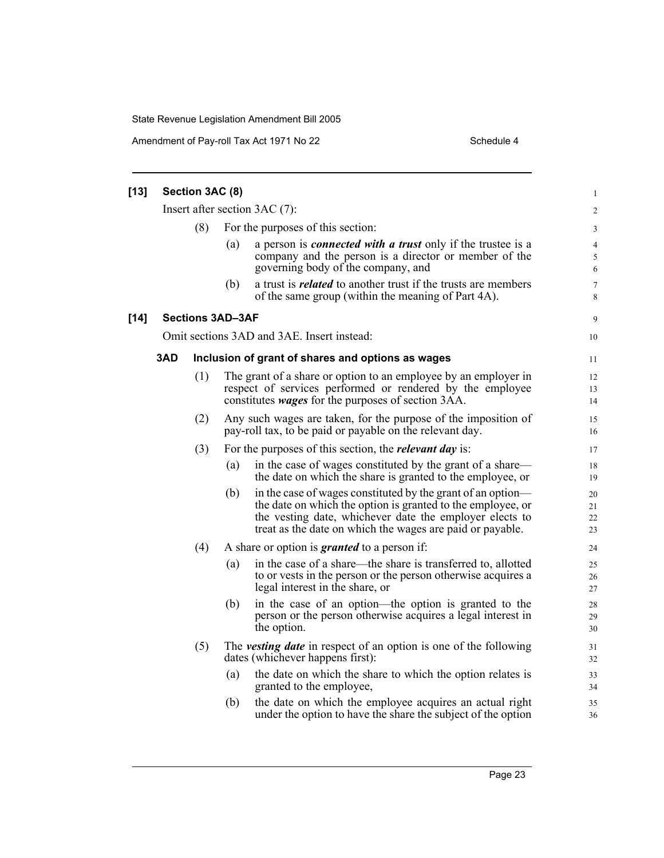Amendment of Pay-roll Tax Act 1971 No 22

| Schedule 4 |  |  |
|------------|--|--|
|            |  |  |

| $[13]$ |     | Section 3AC (8)         |     |                                                                                                                                                                                                                                                    | 1                                  |
|--------|-----|-------------------------|-----|----------------------------------------------------------------------------------------------------------------------------------------------------------------------------------------------------------------------------------------------------|------------------------------------|
|        |     |                         |     | Insert after section 3AC (7):                                                                                                                                                                                                                      | $\overline{\mathbf{c}}$            |
|        |     | (8)                     |     | For the purposes of this section:                                                                                                                                                                                                                  | 3                                  |
|        |     |                         | (a) | a person is <i>connected with a trust</i> only if the trustee is a<br>company and the person is a director or member of the<br>governing body of the company, and                                                                                  | $\overline{\mathcal{L}}$<br>5<br>6 |
|        |     |                         | (b) | a trust is <i>related</i> to another trust if the trusts are members<br>of the same group (within the meaning of Part 4A).                                                                                                                         | 7<br>8                             |
| $[14]$ |     | <b>Sections 3AD-3AF</b> |     |                                                                                                                                                                                                                                                    | 9                                  |
|        |     |                         |     | Omit sections 3AD and 3AE. Insert instead:                                                                                                                                                                                                         | 10                                 |
|        | 3AD |                         |     | Inclusion of grant of shares and options as wages                                                                                                                                                                                                  | 11                                 |
|        |     | (1)                     |     | The grant of a share or option to an employee by an employer in<br>respect of services performed or rendered by the employee<br>constitutes wages for the purposes of section 3AA.                                                                 | 12<br>13<br>14                     |
|        |     | (2)                     |     | Any such wages are taken, for the purpose of the imposition of<br>pay-roll tax, to be paid or payable on the relevant day.                                                                                                                         | 15<br>16                           |
|        |     | (3)                     |     | For the purposes of this section, the <i>relevant day</i> is:                                                                                                                                                                                      | 17                                 |
|        |     |                         | (a) | in the case of wages constituted by the grant of a share—<br>the date on which the share is granted to the employee, or                                                                                                                            | 18<br>19                           |
|        |     |                         | (b) | in the case of wages constituted by the grant of an option—<br>the date on which the option is granted to the employee, or<br>the vesting date, whichever date the employer elects to<br>treat as the date on which the wages are paid or payable. | 20<br>21<br>22<br>23               |
|        |     | (4)                     |     | A share or option is <i>granted</i> to a person if:                                                                                                                                                                                                | 24                                 |
|        |     |                         | (a) | in the case of a share—the share is transferred to, allotted<br>to or vests in the person or the person otherwise acquires a<br>legal interest in the share, or                                                                                    | 25<br>26<br>27                     |
|        |     |                         | (b) | in the case of an option—the option is granted to the<br>person or the person otherwise acquires a legal interest in<br>the option.                                                                                                                | 28<br>29<br>30                     |
|        |     | (5)                     |     | The <b>vesting date</b> in respect of an option is one of the following<br>dates (whichever happens first):                                                                                                                                        | 31<br>32                           |
|        |     |                         | (a) | the date on which the share to which the option relates is<br>granted to the employee,                                                                                                                                                             | 33<br>34                           |
|        |     |                         | (b) | the date on which the employee acquires an actual right<br>under the option to have the share the subject of the option                                                                                                                            | 35<br>36                           |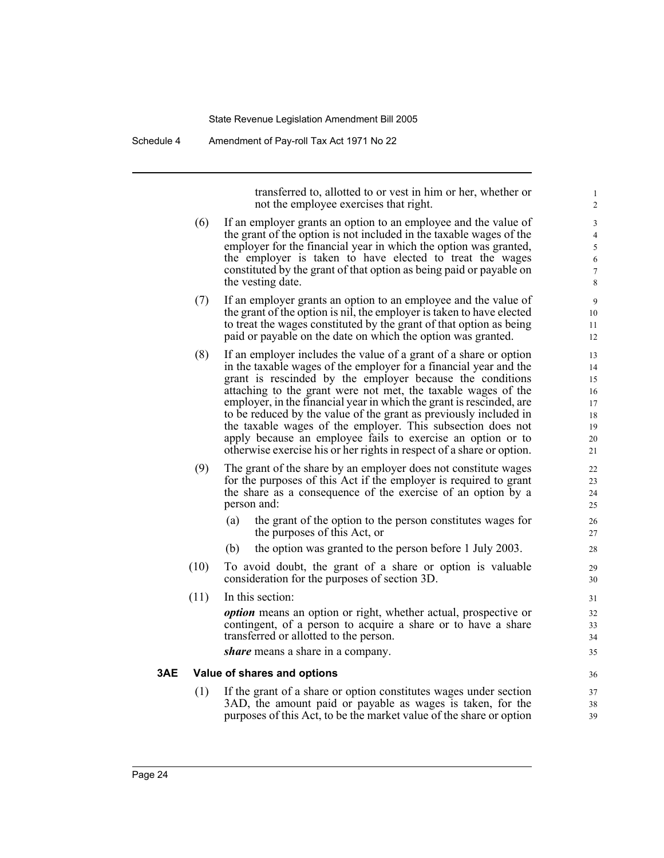Schedule 4 Amendment of Pay-roll Tax Act 1971 No 22

transferred to, allotted to or vest in him or her, whether or not the employee exercises that right.

- (6) If an employer grants an option to an employee and the value of the grant of the option is not included in the taxable wages of the employer for the financial year in which the option was granted, the employer is taken to have elected to treat the wages constituted by the grant of that option as being paid or payable on the vesting date.
- (7) If an employer grants an option to an employee and the value of the grant of the option is nil, the employer is taken to have elected to treat the wages constituted by the grant of that option as being paid or payable on the date on which the option was granted.
- (8) If an employer includes the value of a grant of a share or option in the taxable wages of the employer for a financial year and the grant is rescinded by the employer because the conditions attaching to the grant were not met, the taxable wages of the employer, in the financial year in which the grant is rescinded, are to be reduced by the value of the grant as previously included in the taxable wages of the employer. This subsection does not apply because an employee fails to exercise an option or to otherwise exercise his or her rights in respect of a share or option.
- (9) The grant of the share by an employer does not constitute wages for the purposes of this Act if the employer is required to grant the share as a consequence of the exercise of an option by a person and:
	- (a) the grant of the option to the person constitutes wages for the purposes of this Act, or
	- (b) the option was granted to the person before 1 July 2003.
- (10) To avoid doubt, the grant of a share or option is valuable consideration for the purposes of section 3D.
- (11) In this section: *option* means an option or right, whether actual, prospective or contingent, of a person to acquire a share or to have a share transferred or allotted to the person. *share* means a share in a company. **3AE Value of shares and options**
	- (1) If the grant of a share or option constitutes wages under section 3AD, the amount paid or payable as wages is taken, for the purposes of this Act, to be the market value of the share or option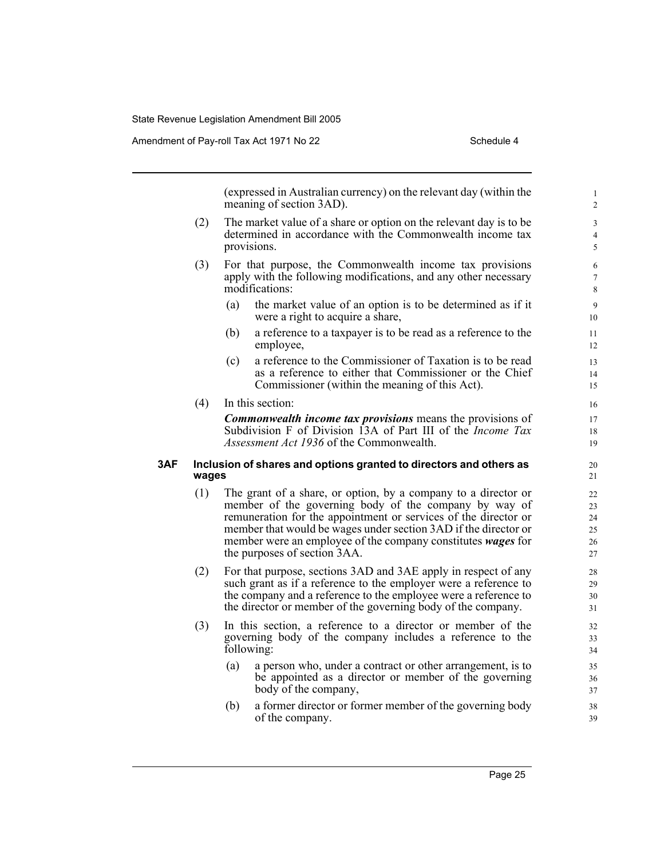Amendment of Pay-roll Tax Act 1971 No 22 Schedule 4

(expressed in Australian currency) on the relevant day (within the meaning of section 3AD).

- (2) The market value of a share or option on the relevant day is to be determined in accordance with the Commonwealth income tax provisions.
- (3) For that purpose, the Commonwealth income tax provisions apply with the following modifications, and any other necessary modifications:
	- (a) the market value of an option is to be determined as if it were a right to acquire a share,
	- (b) a reference to a taxpayer is to be read as a reference to the employee,
	- (c) a reference to the Commissioner of Taxation is to be read as a reference to either that Commissioner or the Chief Commissioner (within the meaning of this Act).
- (4) In this section:

*Commonwealth income tax provisions* means the provisions of Subdivision F of Division 13A of Part III of the *Income Tax Assessment Act 1936* of the Commonwealth.

#### **3AF Inclusion of shares and options granted to directors and others as wages**

- (1) The grant of a share, or option, by a company to a director or member of the governing body of the company by way of remuneration for the appointment or services of the director or member that would be wages under section 3AD if the director or member were an employee of the company constitutes *wages* for the purposes of section 3AA.
- (2) For that purpose, sections 3AD and 3AE apply in respect of any such grant as if a reference to the employer were a reference to the company and a reference to the employee were a reference to the director or member of the governing body of the company.
- (3) In this section, a reference to a director or member of the governing body of the company includes a reference to the following:
	- (a) a person who, under a contract or other arrangement, is to be appointed as a director or member of the governing body of the company,
	- (b) a former director or former member of the governing body of the company.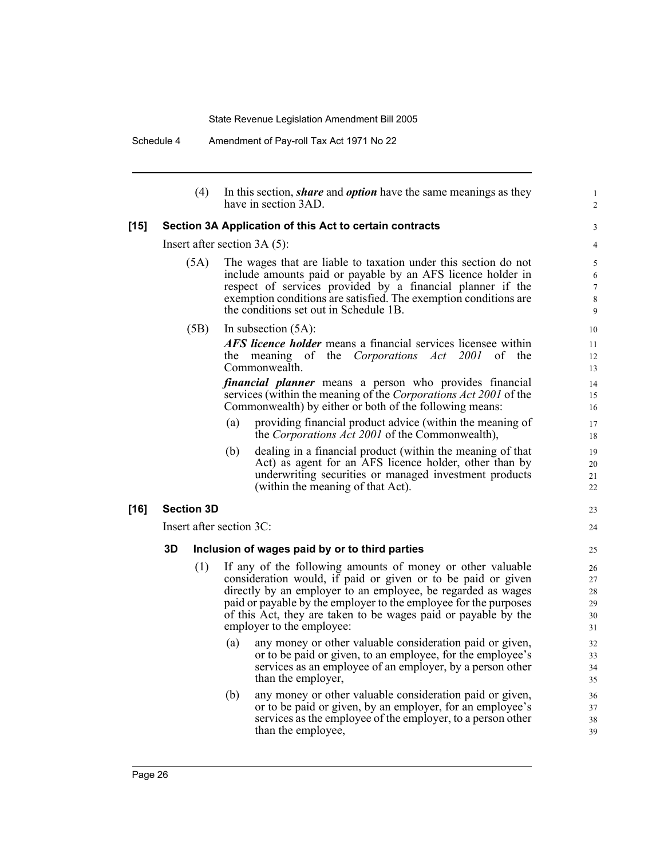Schedule 4 Amendment of Pay-roll Tax Act 1971 No 22

| In this section, <i>share</i> and <i>option</i> have the same meanings as they |
|--------------------------------------------------------------------------------|
| have in section 3AD.                                                           |

23  $24$ 

#### **[15] Section 3A Application of this Act to certain contracts**

Insert after section 3A (5):

- (5A) The wages that are liable to taxation under this section do not include amounts paid or payable by an AFS licence holder in respect of services provided by a financial planner if the exemption conditions are satisfied. The exemption conditions are the conditions set out in Schedule 1B.
- (5B) In subsection (5A):

*AFS licence holder* means a financial services licensee within the meaning of the *Corporations Act 2001* of the Commonwealth.

*financial planner* means a person who provides financial services (within the meaning of the *Corporations Act 2001* of the Commonwealth) by either or both of the following means:

- (a) providing financial product advice (within the meaning of the *Corporations Act 2001* of the Commonwealth),
- (b) dealing in a financial product (within the meaning of that Act) as agent for an AFS licence holder, other than by underwriting securities or managed investment products (within the meaning of that Act).
- **[16] Section 3D**

Insert after section 3C:

#### **3D Inclusion of wages paid by or to third parties**

- (1) If any of the following amounts of money or other valuable consideration would, if paid or given or to be paid or given directly by an employer to an employee, be regarded as wages paid or payable by the employer to the employee for the purposes of this Act, they are taken to be wages paid or payable by the employer to the employee:
	- (a) any money or other valuable consideration paid or given, or to be paid or given, to an employee, for the employee's services as an employee of an employer, by a person other than the employer,
	- (b) any money or other valuable consideration paid or given, or to be paid or given, by an employer, for an employee's services as the employee of the employer, to a person other than the employee,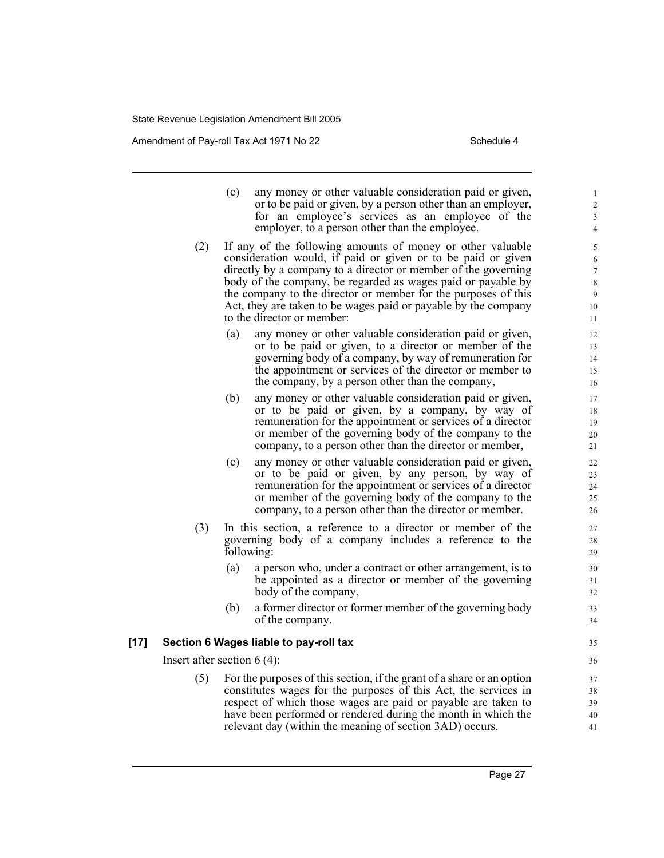Amendment of Pay-roll Tax Act 1971 No 22 Schedule 4

- (c) any money or other valuable consideration paid or given, or to be paid or given, by a person other than an employer, for an employee's services as an employee of the employer, to a person other than the employee.
- (2) If any of the following amounts of money or other valuable consideration would, if paid or given or to be paid or given directly by a company to a director or member of the governing body of the company, be regarded as wages paid or payable by the company to the director or member for the purposes of this Act, they are taken to be wages paid or payable by the company to the director or member:
	- (a) any money or other valuable consideration paid or given, or to be paid or given, to a director or member of the governing body of a company, by way of remuneration for the appointment or services of the director or member to the company, by a person other than the company,
	- (b) any money or other valuable consideration paid or given, or to be paid or given, by a company, by way of remuneration for the appointment or services of a director or member of the governing body of the company to the company, to a person other than the director or member,
	- (c) any money or other valuable consideration paid or given, or to be paid or given, by any person, by way of remuneration for the appointment or services of a director or member of the governing body of the company to the company, to a person other than the director or member.
- (3) In this section, a reference to a director or member of the governing body of a company includes a reference to the following:
	- (a) a person who, under a contract or other arrangement, is to be appointed as a director or member of the governing body of the company,
	- (b) a former director or former member of the governing body of the company.

#### **[17] Section 6 Wages liable to pay-roll tax**

Insert after section 6 (4):

(5) For the purposes of this section, if the grant of a share or an option constitutes wages for the purposes of this Act, the services in respect of which those wages are paid or payable are taken to have been performed or rendered during the month in which the relevant day (within the meaning of section 3AD) occurs.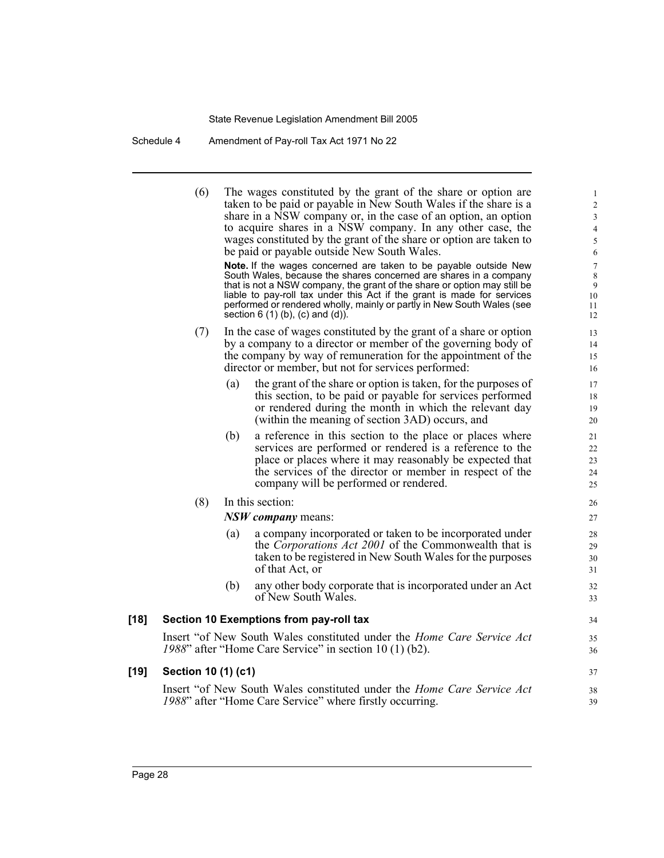Schedule 4 Amendment of Pay-roll Tax Act 1971 No 22

|      | (6)                 |     | The wages constituted by the grant of the share or option are<br>taken to be paid or payable in New South Wales if the share is a<br>share in a NSW company or, in the case of an option, an option<br>to acquire shares in a NSW company. In any other case, the<br>wages constituted by the grant of the share or option are taken to<br>be paid or payable outside New South Wales.<br>Note. If the wages concerned are taken to be payable outside New<br>South Wales, because the shares concerned are shares in a company<br>that is not a NSW company, the grant of the share or option may still be<br>liable to pay-roll tax under this Act if the grant is made for services<br>performed or rendered wholly, mainly or partly in New South Wales (see<br>section $6(1)(b)$ , $(c)$ and $(d)$ ). | 1<br>$\overline{\mathbf{c}}$<br>3<br>$\overline{\mathcal{L}}$<br>5<br>6<br>7<br>8<br>9<br>10<br>11<br>12 |
|------|---------------------|-----|------------------------------------------------------------------------------------------------------------------------------------------------------------------------------------------------------------------------------------------------------------------------------------------------------------------------------------------------------------------------------------------------------------------------------------------------------------------------------------------------------------------------------------------------------------------------------------------------------------------------------------------------------------------------------------------------------------------------------------------------------------------------------------------------------------|----------------------------------------------------------------------------------------------------------|
|      | (7)                 |     | In the case of wages constituted by the grant of a share or option<br>by a company to a director or member of the governing body of<br>the company by way of remuneration for the appointment of the<br>director or member, but not for services performed:                                                                                                                                                                                                                                                                                                                                                                                                                                                                                                                                                | 13<br>14<br>15<br>16                                                                                     |
|      |                     | (a) | the grant of the share or option is taken, for the purposes of<br>this section, to be paid or payable for services performed<br>or rendered during the month in which the relevant day<br>(within the meaning of section 3AD) occurs, and                                                                                                                                                                                                                                                                                                                                                                                                                                                                                                                                                                  | 17<br>18<br>19<br>20                                                                                     |
|      |                     | (b) | a reference in this section to the place or places where<br>services are performed or rendered is a reference to the<br>place or places where it may reasonably be expected that<br>the services of the director or member in respect of the<br>company will be performed or rendered.                                                                                                                                                                                                                                                                                                                                                                                                                                                                                                                     | 21<br>22<br>23<br>24<br>25                                                                               |
|      | (8)                 |     | In this section:                                                                                                                                                                                                                                                                                                                                                                                                                                                                                                                                                                                                                                                                                                                                                                                           | 26                                                                                                       |
|      |                     |     | <b>NSW</b> company means:                                                                                                                                                                                                                                                                                                                                                                                                                                                                                                                                                                                                                                                                                                                                                                                  | 27                                                                                                       |
|      |                     | (a) | a company incorporated or taken to be incorporated under<br>the Corporations Act 2001 of the Commonwealth that is<br>taken to be registered in New South Wales for the purposes<br>of that Act, or                                                                                                                                                                                                                                                                                                                                                                                                                                                                                                                                                                                                         | 28<br>29<br>30<br>31                                                                                     |
|      |                     | (b) | any other body corporate that is incorporated under an Act<br>of New South Wales.                                                                                                                                                                                                                                                                                                                                                                                                                                                                                                                                                                                                                                                                                                                          | 32<br>33                                                                                                 |
| [18] |                     |     | Section 10 Exemptions from pay-roll tax                                                                                                                                                                                                                                                                                                                                                                                                                                                                                                                                                                                                                                                                                                                                                                    | 34                                                                                                       |
|      |                     |     | Insert "of New South Wales constituted under the Home Care Service Act<br>1988" after "Home Care Service" in section 10 (1) (b2).                                                                                                                                                                                                                                                                                                                                                                                                                                                                                                                                                                                                                                                                          | 35<br>36                                                                                                 |
| [19] | Section 10 (1) (c1) |     |                                                                                                                                                                                                                                                                                                                                                                                                                                                                                                                                                                                                                                                                                                                                                                                                            | 37                                                                                                       |
|      |                     |     | Insert "of New South Wales constituted under the <i>Home Care Service Act</i><br>1988" after "Home Care Service" where firstly occurring.                                                                                                                                                                                                                                                                                                                                                                                                                                                                                                                                                                                                                                                                  | 38<br>39                                                                                                 |

**[19] Section 10 (1) (c1)**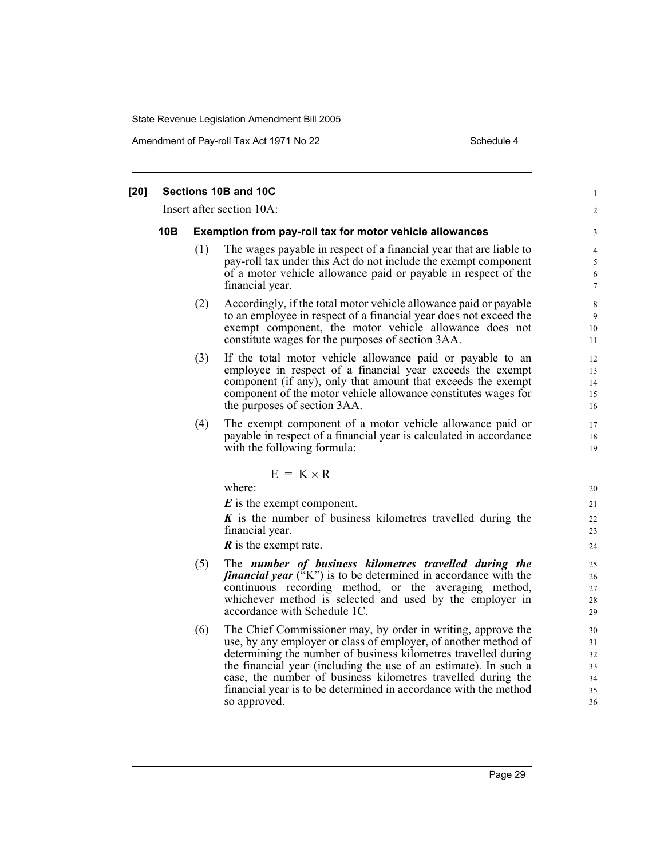Amendment of Pay-roll Tax Act 1971 No 22

| Schedule 4 |
|------------|
|------------|

| $[20]$ | Sections 10B and 10C |                                                          |                                                                                                                                                                                                                                                                                                                                                                                                                           |                                              |  |  |  |
|--------|----------------------|----------------------------------------------------------|---------------------------------------------------------------------------------------------------------------------------------------------------------------------------------------------------------------------------------------------------------------------------------------------------------------------------------------------------------------------------------------------------------------------------|----------------------------------------------|--|--|--|
|        |                      | Insert after section 10A:                                | 2                                                                                                                                                                                                                                                                                                                                                                                                                         |                                              |  |  |  |
|        | 10B                  | Exemption from pay-roll tax for motor vehicle allowances |                                                                                                                                                                                                                                                                                                                                                                                                                           |                                              |  |  |  |
|        |                      | (1)                                                      | The wages payable in respect of a financial year that are liable to<br>pay-roll tax under this Act do not include the exempt component<br>of a motor vehicle allowance paid or payable in respect of the<br>financial year.                                                                                                                                                                                               | $\overline{4}$<br>5<br>6<br>$\boldsymbol{7}$ |  |  |  |
|        |                      | (2)                                                      | Accordingly, if the total motor vehicle allowance paid or payable<br>to an employee in respect of a financial year does not exceed the<br>exempt component, the motor vehicle allowance does not<br>constitute wages for the purposes of section 3AA.                                                                                                                                                                     | 8<br>9<br>10<br>11                           |  |  |  |
|        |                      | (3)                                                      | If the total motor vehicle allowance paid or payable to an<br>employee in respect of a financial year exceeds the exempt<br>component (if any), only that amount that exceeds the exempt<br>component of the motor vehicle allowance constitutes wages for<br>the purposes of section 3AA.                                                                                                                                | 12<br>13<br>14<br>15<br>16                   |  |  |  |
|        |                      | (4)                                                      | The exempt component of a motor vehicle allowance paid or<br>payable in respect of a financial year is calculated in accordance<br>with the following formula:                                                                                                                                                                                                                                                            | 17<br>18<br>19                               |  |  |  |
|        |                      |                                                          | $E = K \times R$                                                                                                                                                                                                                                                                                                                                                                                                          |                                              |  |  |  |
|        |                      |                                                          | where:                                                                                                                                                                                                                                                                                                                                                                                                                    | 20                                           |  |  |  |
|        |                      |                                                          | $\boldsymbol{E}$ is the exempt component.                                                                                                                                                                                                                                                                                                                                                                                 | 21                                           |  |  |  |
|        |                      |                                                          | $\boldsymbol{K}$ is the number of business kilometres travelled during the<br>financial year.                                                                                                                                                                                                                                                                                                                             | 22<br>23                                     |  |  |  |
|        |                      |                                                          | $R$ is the exempt rate.                                                                                                                                                                                                                                                                                                                                                                                                   | 24                                           |  |  |  |
|        |                      | (5)                                                      | The number of business kilometres travelled during the<br><i>financial year</i> ("K") is to be determined in accordance with the<br>continuous recording method, or the averaging method,<br>whichever method is selected and used by the employer in<br>accordance with Schedule 1C.                                                                                                                                     | 25<br>26<br>27<br>28<br>29                   |  |  |  |
|        |                      | (6)                                                      | The Chief Commissioner may, by order in writing, approve the<br>use, by any employer or class of employer, of another method of<br>determining the number of business kilometres travelled during<br>the financial year (including the use of an estimate). In such a<br>case, the number of business kilometres travelled during the<br>financial year is to be determined in accordance with the method<br>so approved. | 30<br>31<br>32<br>33<br>34<br>35<br>36       |  |  |  |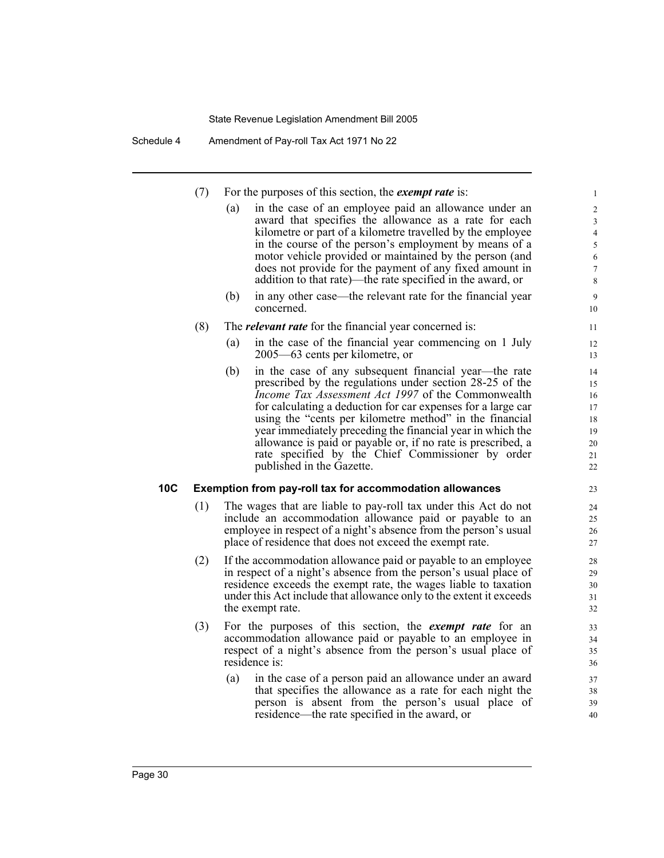Schedule 4 Amendment of Pay-roll Tax Act 1971 No 22

- (7) For the purposes of this section, the *exempt rate* is:
	- (a) in the case of an employee paid an allowance under an award that specifies the allowance as a rate for each kilometre or part of a kilometre travelled by the employee in the course of the person's employment by means of a motor vehicle provided or maintained by the person (and does not provide for the payment of any fixed amount in addition to that rate)—the rate specified in the award, or

- (b) in any other case—the relevant rate for the financial year concerned.
- (8) The *relevant rate* for the financial year concerned is:
	- (a) in the case of the financial year commencing on 1 July 2005—63 cents per kilometre, or
	- (b) in the case of any subsequent financial year—the rate prescribed by the regulations under section 28-25 of the *Income Tax Assessment Act 1997* of the Commonwealth for calculating a deduction for car expenses for a large car using the "cents per kilometre method" in the financial year immediately preceding the financial year in which the allowance is paid or payable or, if no rate is prescribed, a rate specified by the Chief Commissioner by order published in the Gazette.

#### **10C Exemption from pay-roll tax for accommodation allowances**

- (1) The wages that are liable to pay-roll tax under this Act do not include an accommodation allowance paid or payable to an employee in respect of a night's absence from the person's usual place of residence that does not exceed the exempt rate.
- (2) If the accommodation allowance paid or payable to an employee in respect of a night's absence from the person's usual place of residence exceeds the exempt rate, the wages liable to taxation under this Act include that allowance only to the extent it exceeds the exempt rate.
- (3) For the purposes of this section, the *exempt rate* for an accommodation allowance paid or payable to an employee in respect of a night's absence from the person's usual place of residence is:
	- (a) in the case of a person paid an allowance under an award that specifies the allowance as a rate for each night the person is absent from the person's usual place of residence—the rate specified in the award, or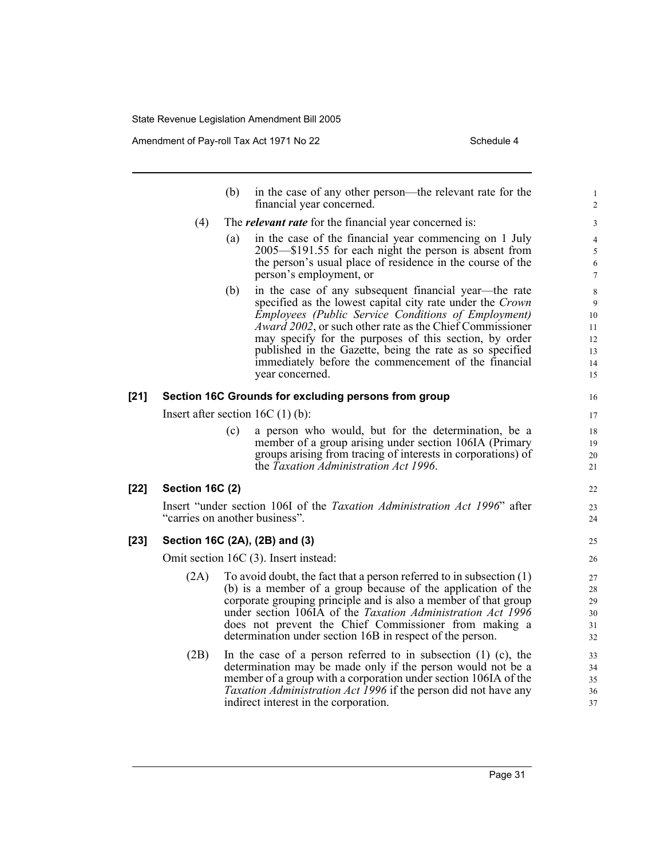Amendment of Pay-roll Tax Act 1971 No 22 Schedule 4

|      |     | financial year concerned.                                                                                                                                                                                                                                                                                                                                                                                                                      | $\overline{2}$                                                                                                                                                                                                                                                                                                                                                                                                                                                                                                                                                                                                                                                                                                                                                                                                                                                                                                                                                                                                                                                                              |
|------|-----|------------------------------------------------------------------------------------------------------------------------------------------------------------------------------------------------------------------------------------------------------------------------------------------------------------------------------------------------------------------------------------------------------------------------------------------------|---------------------------------------------------------------------------------------------------------------------------------------------------------------------------------------------------------------------------------------------------------------------------------------------------------------------------------------------------------------------------------------------------------------------------------------------------------------------------------------------------------------------------------------------------------------------------------------------------------------------------------------------------------------------------------------------------------------------------------------------------------------------------------------------------------------------------------------------------------------------------------------------------------------------------------------------------------------------------------------------------------------------------------------------------------------------------------------------|
| (4)  |     |                                                                                                                                                                                                                                                                                                                                                                                                                                                | 3                                                                                                                                                                                                                                                                                                                                                                                                                                                                                                                                                                                                                                                                                                                                                                                                                                                                                                                                                                                                                                                                                           |
|      | (a) | in the case of the financial year commencing on 1 July<br>2005—\$191.55 for each night the person is absent from<br>the person's usual place of residence in the course of the<br>person's employment, or                                                                                                                                                                                                                                      | $\overline{4}$<br>5<br>6<br>$\tau$                                                                                                                                                                                                                                                                                                                                                                                                                                                                                                                                                                                                                                                                                                                                                                                                                                                                                                                                                                                                                                                          |
|      | (b) | in the case of any subsequent financial year—the rate<br>specified as the lowest capital city rate under the Crown<br>Employees (Public Service Conditions of Employment)<br><i>Award 2002</i> , or such other rate as the Chief Commissioner<br>may specify for the purposes of this section, by order<br>published in the Gazette, being the rate as so specified<br>immediately before the commencement of the financial<br>year concerned. | 8<br>9<br>10<br>11<br>12<br>13<br>14<br>15                                                                                                                                                                                                                                                                                                                                                                                                                                                                                                                                                                                                                                                                                                                                                                                                                                                                                                                                                                                                                                                  |
|      |     |                                                                                                                                                                                                                                                                                                                                                                                                                                                | 16                                                                                                                                                                                                                                                                                                                                                                                                                                                                                                                                                                                                                                                                                                                                                                                                                                                                                                                                                                                                                                                                                          |
|      |     |                                                                                                                                                                                                                                                                                                                                                                                                                                                | 17                                                                                                                                                                                                                                                                                                                                                                                                                                                                                                                                                                                                                                                                                                                                                                                                                                                                                                                                                                                                                                                                                          |
|      | (c) | a person who would, but for the determination, be a<br>member of a group arising under section 106IA (Primary<br>groups arising from tracing of interests in corporations) of<br>the Taxation Administration Act 1996.                                                                                                                                                                                                                         | 18<br>19<br>20<br>21                                                                                                                                                                                                                                                                                                                                                                                                                                                                                                                                                                                                                                                                                                                                                                                                                                                                                                                                                                                                                                                                        |
|      |     |                                                                                                                                                                                                                                                                                                                                                                                                                                                | 22                                                                                                                                                                                                                                                                                                                                                                                                                                                                                                                                                                                                                                                                                                                                                                                                                                                                                                                                                                                                                                                                                          |
|      |     |                                                                                                                                                                                                                                                                                                                                                                                                                                                | 23<br>24                                                                                                                                                                                                                                                                                                                                                                                                                                                                                                                                                                                                                                                                                                                                                                                                                                                                                                                                                                                                                                                                                    |
|      |     |                                                                                                                                                                                                                                                                                                                                                                                                                                                | 25                                                                                                                                                                                                                                                                                                                                                                                                                                                                                                                                                                                                                                                                                                                                                                                                                                                                                                                                                                                                                                                                                          |
|      |     |                                                                                                                                                                                                                                                                                                                                                                                                                                                | 26                                                                                                                                                                                                                                                                                                                                                                                                                                                                                                                                                                                                                                                                                                                                                                                                                                                                                                                                                                                                                                                                                          |
| (2A) |     |                                                                                                                                                                                                                                                                                                                                                                                                                                                | 27<br>28<br>29<br>30<br>31<br>32                                                                                                                                                                                                                                                                                                                                                                                                                                                                                                                                                                                                                                                                                                                                                                                                                                                                                                                                                                                                                                                            |
| (2B) |     |                                                                                                                                                                                                                                                                                                                                                                                                                                                | 33<br>34<br>35<br>36<br>37                                                                                                                                                                                                                                                                                                                                                                                                                                                                                                                                                                                                                                                                                                                                                                                                                                                                                                                                                                                                                                                                  |
|      |     | <b>Section 16C (2)</b>                                                                                                                                                                                                                                                                                                                                                                                                                         | The <i>relevant rate</i> for the financial year concerned is:<br>Section 16C Grounds for excluding persons from group<br>Insert after section $16C(1)(b)$ :<br>Insert "under section 106I of the <i>Taxation Administration Act 1996</i> " after<br>"carries on another business".<br>Section 16C (2A), (2B) and (3)<br>Omit section 16C (3). Insert instead:<br>To avoid doubt, the fact that a person referred to in subsection $(1)$<br>(b) is a member of a group because of the application of the<br>corporate grouping principle and is also a member of that group<br>under section 106IA of the Taxation Administration Act 1996<br>does not prevent the Chief Commissioner from making a<br>determination under section 16B in respect of the person.<br>In the case of a person referred to in subsection $(1)$ $(c)$ , the<br>determination may be made only if the person would not be a<br>member of a group with a corporation under section 106IA of the<br><i>Taxation Administration Act 1996</i> if the person did not have any<br>indirect interest in the corporation. |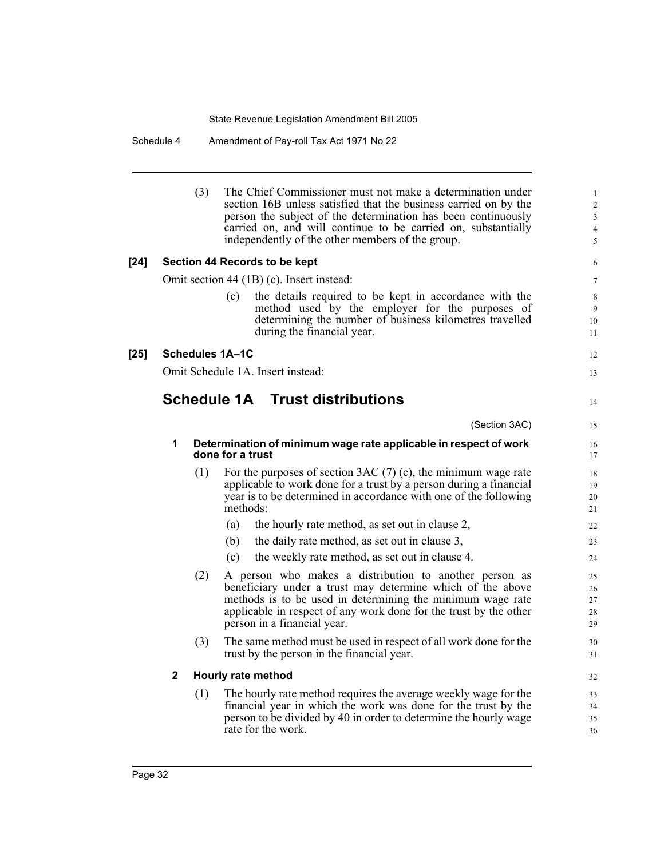Schedule 4 Amendment of Pay-roll Tax Act 1971 No 22

|        |              | (3) | The Chief Commissioner must not make a determination under<br>section 16B unless satisfied that the business carried on by the<br>person the subject of the determination has been continuously<br>carried on, and will continue to be carried on, substantially<br>independently of the other members of the group. | 1<br>$\overline{\mathbf{c}}$<br>3<br>$\overline{\mathcal{L}}$<br>5 |
|--------|--------------|-----|----------------------------------------------------------------------------------------------------------------------------------------------------------------------------------------------------------------------------------------------------------------------------------------------------------------------|--------------------------------------------------------------------|
| [24]   |              |     | Section 44 Records to be kept                                                                                                                                                                                                                                                                                        | 6                                                                  |
|        |              |     | Omit section 44 (1B) (c). Insert instead:                                                                                                                                                                                                                                                                            | 7                                                                  |
|        |              |     | the details required to be kept in accordance with the<br>(c)<br>method used by the employer for the purposes of<br>determining the number of business kilometres travelled<br>during the financial year.                                                                                                            | 8<br>9<br>10<br>11                                                 |
| $[25]$ |              |     | <b>Schedules 1A-1C</b>                                                                                                                                                                                                                                                                                               | 12                                                                 |
|        |              |     | Omit Schedule 1A. Insert instead:                                                                                                                                                                                                                                                                                    | 13                                                                 |
|        |              |     | <b>Schedule 1A</b> Trust distributions                                                                                                                                                                                                                                                                               | 14                                                                 |
|        |              |     | (Section 3AC)                                                                                                                                                                                                                                                                                                        | 15                                                                 |
|        | 1            |     | Determination of minimum wage rate applicable in respect of work<br>done for a trust                                                                                                                                                                                                                                 | 16<br>17                                                           |
|        |              | (1) | For the purposes of section $3AC(7)$ (c), the minimum wage rate<br>applicable to work done for a trust by a person during a financial<br>year is to be determined in accordance with one of the following<br>methods:                                                                                                | 18<br>19<br>20<br>21                                               |
|        |              |     | the hourly rate method, as set out in clause 2,<br>(a)                                                                                                                                                                                                                                                               | 22                                                                 |
|        |              |     | (b)<br>the daily rate method, as set out in clause 3,                                                                                                                                                                                                                                                                | 23                                                                 |
|        |              |     | (c)<br>the weekly rate method, as set out in clause 4.                                                                                                                                                                                                                                                               | 24                                                                 |
|        |              | (2) | A person who makes a distribution to another person as<br>beneficiary under a trust may determine which of the above<br>methods is to be used in determining the minimum wage rate<br>applicable in respect of any work done for the trust by the other<br>person in a financial year.                               | 25<br>26<br>27<br>28<br>29                                         |
|        |              | (3) | The same method must be used in respect of all work done for the<br>trust by the person in the financial year.                                                                                                                                                                                                       | 30<br>31                                                           |
|        | $\mathbf{2}$ |     | <b>Hourly rate method</b>                                                                                                                                                                                                                                                                                            | 32                                                                 |
|        |              | (1) | The hourly rate method requires the average weekly wage for the<br>financial year in which the work was done for the trust by the<br>person to be divided by 40 in order to determine the hourly wage<br>rate for the work.                                                                                          | 33<br>34<br>35<br>36                                               |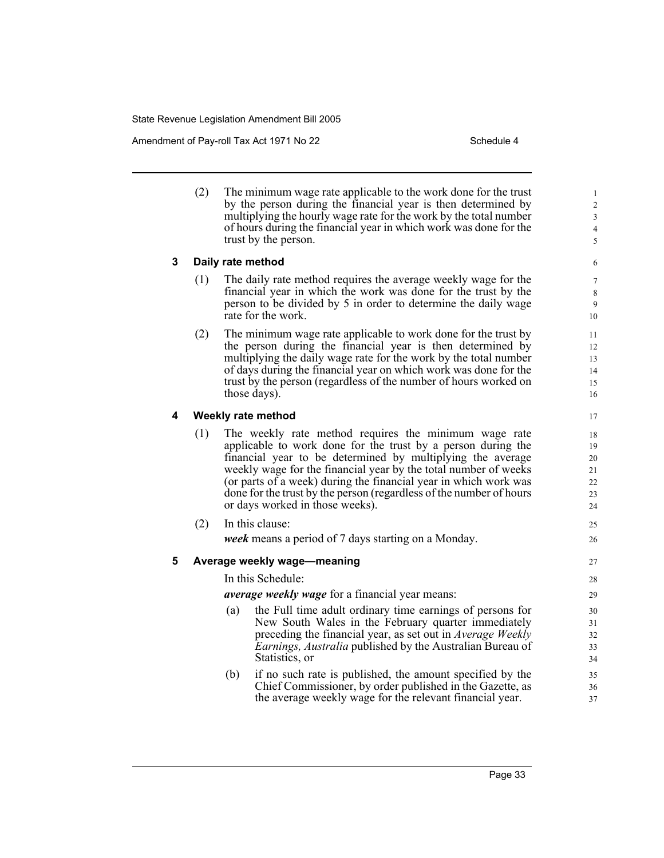Amendment of Pay-roll Tax Act 1971 No 22 Schedule 4

(2) The minimum wage rate applicable to the work done for the trust by the person during the financial year is then determined by multiplying the hourly wage rate for the work by the total number of hours during the financial year in which work was done for the trust by the person.

#### **3 Daily rate method**

- (1) The daily rate method requires the average weekly wage for the financial year in which the work was done for the trust by the person to be divided by 5 in order to determine the daily wage rate for the work.
- (2) The minimum wage rate applicable to work done for the trust by the person during the financial year is then determined by multiplying the daily wage rate for the work by the total number of days during the financial year on which work was done for the trust by the person (regardless of the number of hours worked on those days).

#### **4 Weekly rate method**

(1) The weekly rate method requires the minimum wage rate applicable to work done for the trust by a person during the financial year to be determined by multiplying the average weekly wage for the financial year by the total number of weeks (or parts of a week) during the financial year in which work was done for the trust by the person (regardless of the number of hours or days worked in those weeks).

# (2) In this clause:

*week* means a period of 7 days starting on a Monday.

#### **5 Average weekly wage—meaning**

In this Schedule:

*average weekly wage* for a financial year means:

- (a) the Full time adult ordinary time earnings of persons for New South Wales in the February quarter immediately preceding the financial year, as set out in *Average Weekly Earnings, Australia* published by the Australian Bureau of Statistics, or
- (b) if no such rate is published, the amount specified by the Chief Commissioner, by order published in the Gazette, as the average weekly wage for the relevant financial year.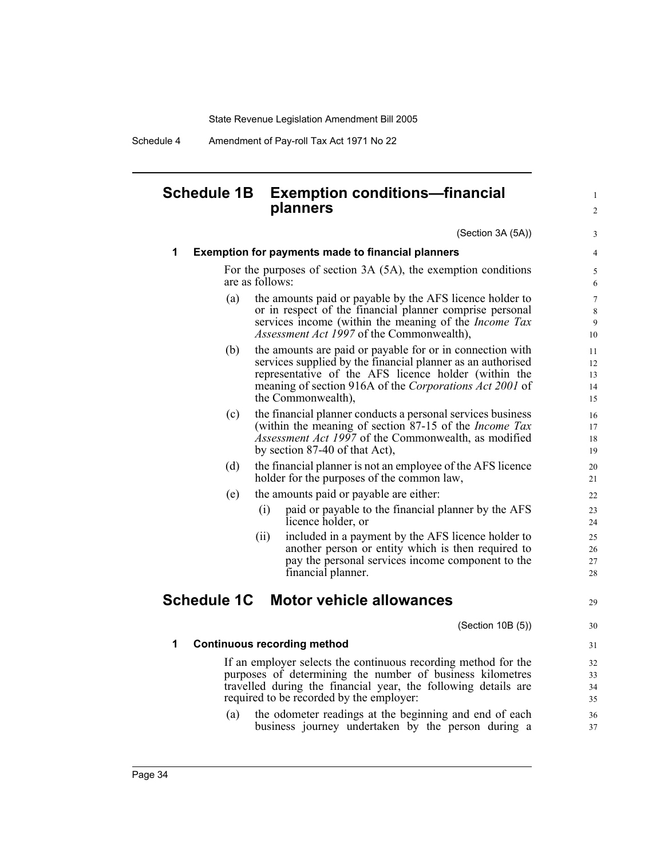Schedule 4 Amendment of Pay-roll Tax Act 1971 No 22

## **Schedule 1B Exemption conditions—financial planners**

(Section 3A (5A)) **1 Exemption for payments made to financial planners** For the purposes of section 3A (5A), the exemption conditions are as follows: (a) the amounts paid or payable by the AFS licence holder to or in respect of the financial planner comprise personal services income (within the meaning of the *Income Tax Assessment Act 1997* of the Commonwealth), (b) the amounts are paid or payable for or in connection with services supplied by the financial planner as an authorised representative of the AFS licence holder (within the meaning of section 916A of the *Corporations Act 2001* of the Commonwealth), (c) the financial planner conducts a personal services business (within the meaning of section 87-15 of the *Income Tax Assessment Act 1997* of the Commonwealth, as modified by section 87-40 of that Act), (d) the financial planner is not an employee of the AFS licence holder for the purposes of the common law, (e) the amounts paid or payable are either: (i) paid or payable to the financial planner by the AFS licence holder, or (ii) included in a payment by the AFS licence holder to another person or entity which is then required to pay the personal services income component to the financial planner. **Schedule 1C Motor vehicle allowances** (Section 10B (5)) **1 Continuous recording method** If an employer selects the continuous recording method for the purposes of determining the number of business kilometres travelled during the financial year, the following details are required to be recorded by the employer:

1  $\mathfrak{D}$ 

29

(a) the odometer readings at the beginning and end of each business journey undertaken by the person during a

Page 34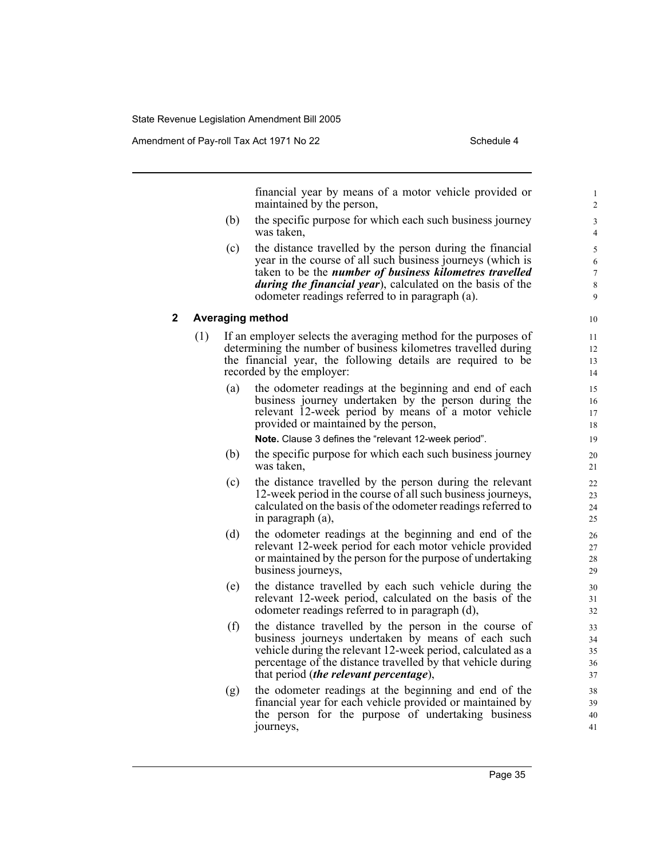financial year by means of a motor vehicle provided or maintained by the person,

- (b) the specific purpose for which each such business journey was taken,
- (c) the distance travelled by the person during the financial year in the course of all such business journeys (which is taken to be the *number of business kilometres travelled during the financial year*), calculated on the basis of the odometer readings referred to in paragraph (a).

#### **2 Averaging method**

- (1) If an employer selects the averaging method for the purposes of determining the number of business kilometres travelled during the financial year, the following details are required to be recorded by the employer:
	- (a) the odometer readings at the beginning and end of each business journey undertaken by the person during the relevant 12-week period by means of a motor vehicle provided or maintained by the person,

**Note.** Clause 3 defines the "relevant 12-week period".

- (b) the specific purpose for which each such business journey was taken,
- (c) the distance travelled by the person during the relevant 12-week period in the course of all such business journeys, calculated on the basis of the odometer readings referred to in paragraph (a),
- (d) the odometer readings at the beginning and end of the relevant 12-week period for each motor vehicle provided or maintained by the person for the purpose of undertaking business journeys,
- (e) the distance travelled by each such vehicle during the relevant 12-week period, calculated on the basis of the odometer readings referred to in paragraph (d),
- (f) the distance travelled by the person in the course of business journeys undertaken by means of each such vehicle during the relevant 12-week period, calculated as a percentage of the distance travelled by that vehicle during that period (*the relevant percentage*),
- (g) the odometer readings at the beginning and end of the financial year for each vehicle provided or maintained by the person for the purpose of undertaking business journeys,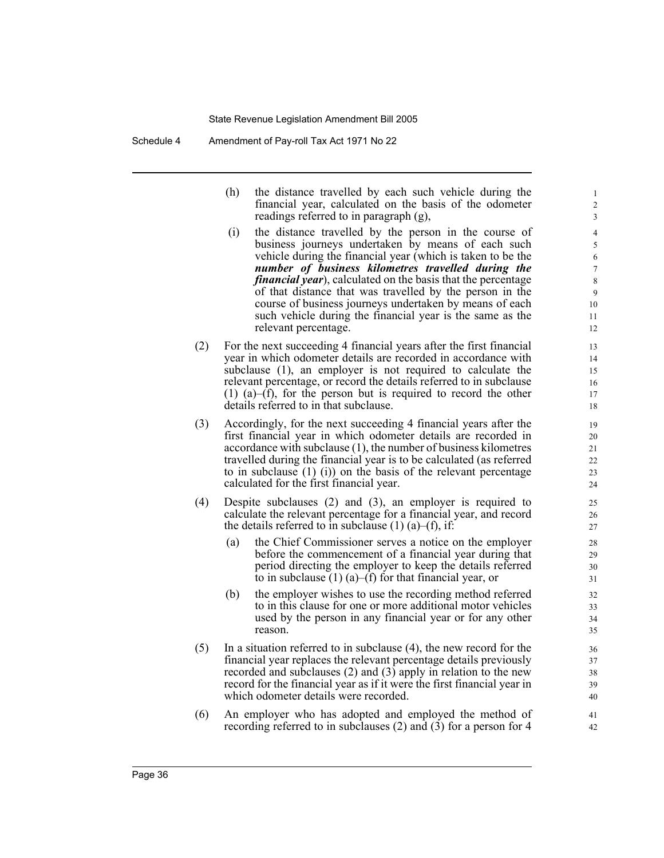(h) the distance travelled by each such vehicle during the financial year, calculated on the basis of the odometer readings referred to in paragraph (g),

- (i) the distance travelled by the person in the course of business journeys undertaken by means of each such vehicle during the financial year (which is taken to be the *number of business kilometres travelled during the financial year*), calculated on the basis that the percentage of that distance that was travelled by the person in the course of business journeys undertaken by means of each such vehicle during the financial year is the same as the relevant percentage.
- (2) For the next succeeding 4 financial years after the first financial year in which odometer details are recorded in accordance with subclause (1), an employer is not required to calculate the relevant percentage, or record the details referred to in subclause (1) (a)–(f), for the person but is required to record the other details referred to in that subclause.
- (3) Accordingly, for the next succeeding 4 financial years after the first financial year in which odometer details are recorded in accordance with subclause (1), the number of business kilometres travelled during the financial year is to be calculated (as referred to in subclause (1) (i)) on the basis of the relevant percentage calculated for the first financial year.
- (4) Despite subclauses (2) and (3), an employer is required to calculate the relevant percentage for a financial year, and record the details referred to in subclause  $(1)$   $(a)$ – $(f)$ , if:
	- (a) the Chief Commissioner serves a notice on the employer before the commencement of a financial year during that period directing the employer to keep the details referred to in subclause  $(1)$  (a)–(f) for that financial year, or
	- (b) the employer wishes to use the recording method referred to in this clause for one or more additional motor vehicles used by the person in any financial year or for any other reason.
- (5) In a situation referred to in subclause (4), the new record for the financial year replaces the relevant percentage details previously recorded and subclauses (2) and (3) apply in relation to the new record for the financial year as if it were the first financial year in which odometer details were recorded.
- (6) An employer who has adopted and employed the method of recording referred to in subclauses (2) and (3) for a person for 4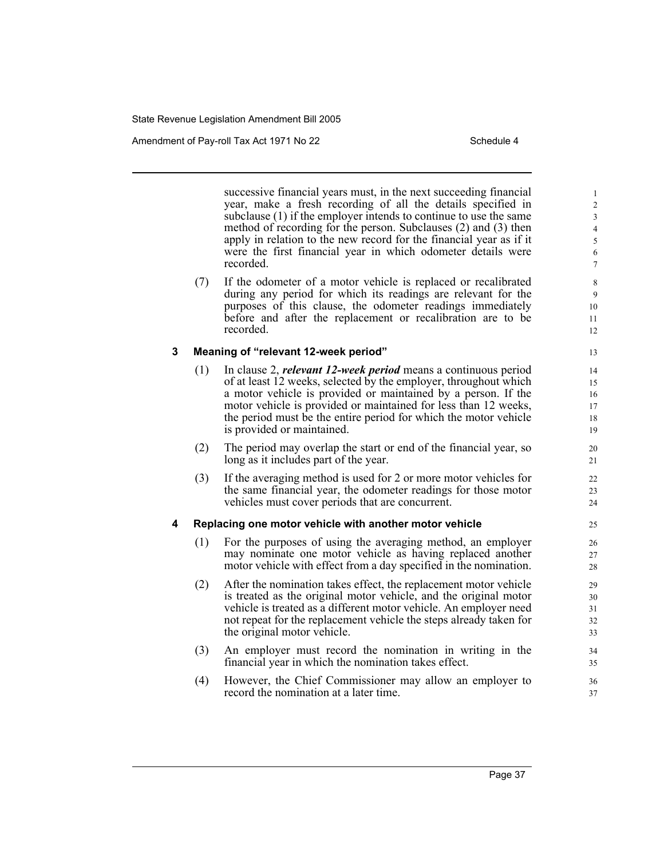Amendment of Pay-roll Tax Act 1971 No 22 Schedule 4

successive financial years must, in the next succeeding financial year, make a fresh recording of all the details specified in subclause (1) if the employer intends to continue to use the same method of recording for the person. Subclauses (2) and (3) then apply in relation to the new record for the financial year as if it were the first financial year in which odometer details were recorded.

(7) If the odometer of a motor vehicle is replaced or recalibrated during any period for which its readings are relevant for the purposes of this clause, the odometer readings immediately before and after the replacement or recalibration are to be recorded.

#### **3 Meaning of "relevant 12-week period"**

- (1) In clause 2, *relevant 12-week period* means a continuous period of at least 12 weeks, selected by the employer, throughout which a motor vehicle is provided or maintained by a person. If the motor vehicle is provided or maintained for less than 12 weeks, the period must be the entire period for which the motor vehicle is provided or maintained.
- (2) The period may overlap the start or end of the financial year, so long as it includes part of the year.
- (3) If the averaging method is used for 2 or more motor vehicles for the same financial year, the odometer readings for those motor vehicles must cover periods that are concurrent.

#### **4 Replacing one motor vehicle with another motor vehicle**

- (1) For the purposes of using the averaging method, an employer may nominate one motor vehicle as having replaced another motor vehicle with effect from a day specified in the nomination.
- (2) After the nomination takes effect, the replacement motor vehicle is treated as the original motor vehicle, and the original motor vehicle is treated as a different motor vehicle. An employer need not repeat for the replacement vehicle the steps already taken for the original motor vehicle.
- (3) An employer must record the nomination in writing in the financial year in which the nomination takes effect.
- (4) However, the Chief Commissioner may allow an employer to record the nomination at a later time.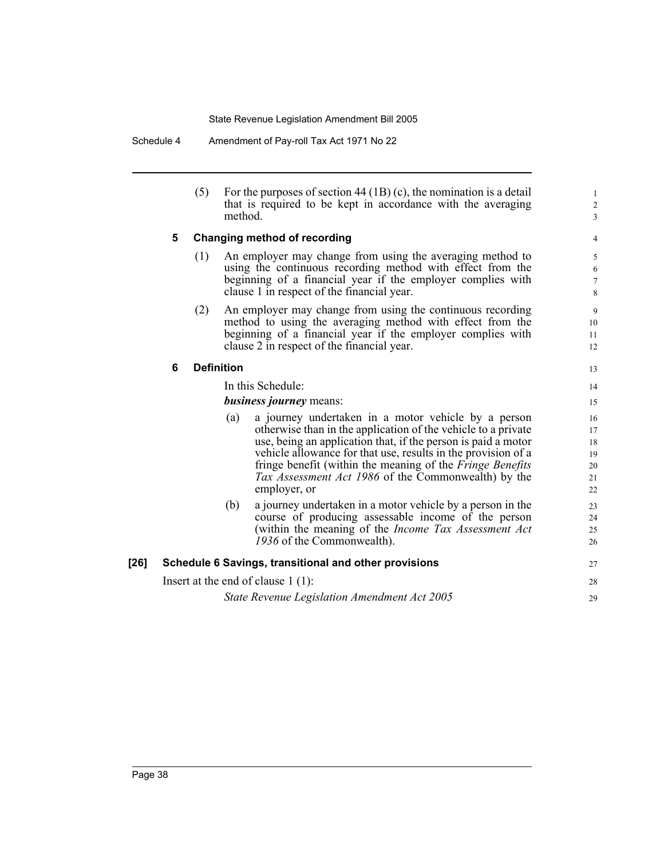Schedule 4 Amendment of Pay-roll Tax Act 1971 No 22

(5) For the purposes of section 44 (1B) (c), the nomination is a detail that is required to be kept in accordance with the averaging method.

1 2 3

29

#### **5 Changing method of recording**

- (1) An employer may change from using the averaging method to using the continuous recording method with effect from the beginning of a financial year if the employer complies with clause 1 in respect of the financial year.
- (2) An employer may change from using the continuous recording method to using the averaging method with effect from the beginning of a financial year if the employer complies with clause 2 in respect of the financial year.

In this Schedule:

#### *business journey* means:

| (a) | a journey undertaken in a motor vehicle by a person<br>otherwise than in the application of the vehicle to a private<br>use, being an application that, if the person is paid a motor<br>vehicle allowance for that use, results in the provision of a<br>fringe benefit (within the meaning of the <i>Fringe Benefits</i><br>Tax Assessment Act 1986 of the Commonwealth) by the<br>employer, or |  |
|-----|---------------------------------------------------------------------------------------------------------------------------------------------------------------------------------------------------------------------------------------------------------------------------------------------------------------------------------------------------------------------------------------------------|--|
| (b) | a journey undertaken in a motor vehicle by a person in the                                                                                                                                                                                                                                                                                                                                        |  |

course of producing assessable income of the person (within the meaning of the *Income Tax Assessment Act 1936* of the Commonwealth).

| [26] | Schedule 6 Savings, transitional and other provisions |  |  |  |  |
|------|-------------------------------------------------------|--|--|--|--|
|      | Insert at the end of clause $1(1)$ :                  |  |  |  |  |

*State Revenue Legislation Amendment Act 2005*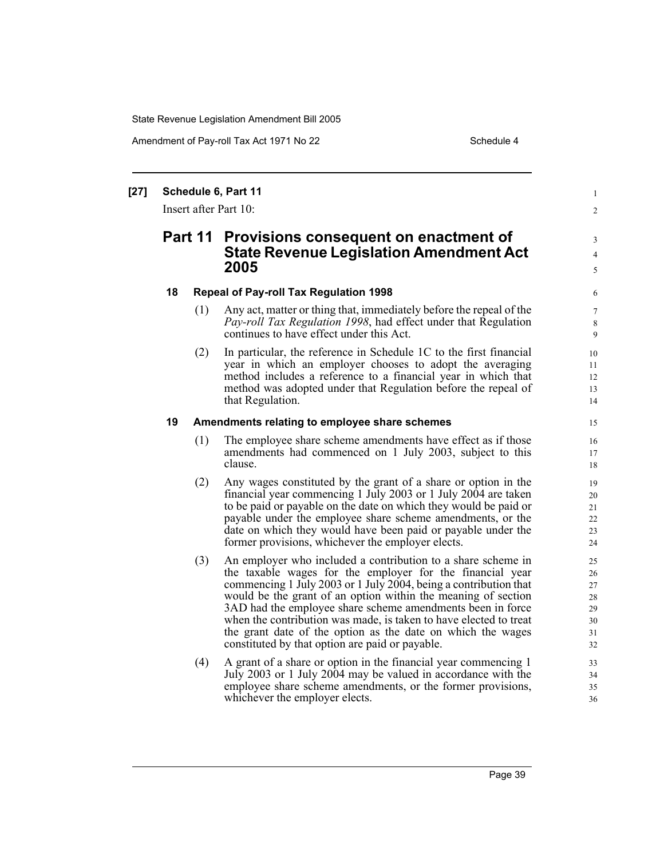1  $\mathfrak{D}$ 

3 4 5

#### **[27] Schedule 6, Part 11**

Insert after Part 10:

# **Part 11 Provisions consequent on enactment of State Revenue Legislation Amendment Act 2005**

#### **18 Repeal of Pay-roll Tax Regulation 1998**

- (1) Any act, matter or thing that, immediately before the repeal of the *Pay-roll Tax Regulation 1998*, had effect under that Regulation continues to have effect under this Act.
- (2) In particular, the reference in Schedule 1C to the first financial year in which an employer chooses to adopt the averaging method includes a reference to a financial year in which that method was adopted under that Regulation before the repeal of that Regulation.

#### **19 Amendments relating to employee share schemes**

- (1) The employee share scheme amendments have effect as if those amendments had commenced on 1 July 2003, subject to this clause.
- (2) Any wages constituted by the grant of a share or option in the financial year commencing 1 July 2003 or 1 July 2004 are taken to be paid or payable on the date on which they would be paid or payable under the employee share scheme amendments, or the date on which they would have been paid or payable under the former provisions, whichever the employer elects.
- (3) An employer who included a contribution to a share scheme in the taxable wages for the employer for the financial year commencing 1 July 2003 or 1 July 2004, being a contribution that would be the grant of an option within the meaning of section 3AD had the employee share scheme amendments been in force when the contribution was made, is taken to have elected to treat the grant date of the option as the date on which the wages constituted by that option are paid or payable.
- (4) A grant of a share or option in the financial year commencing 1 July 2003 or 1 July 2004 may be valued in accordance with the employee share scheme amendments, or the former provisions, whichever the employer elects.

Page 39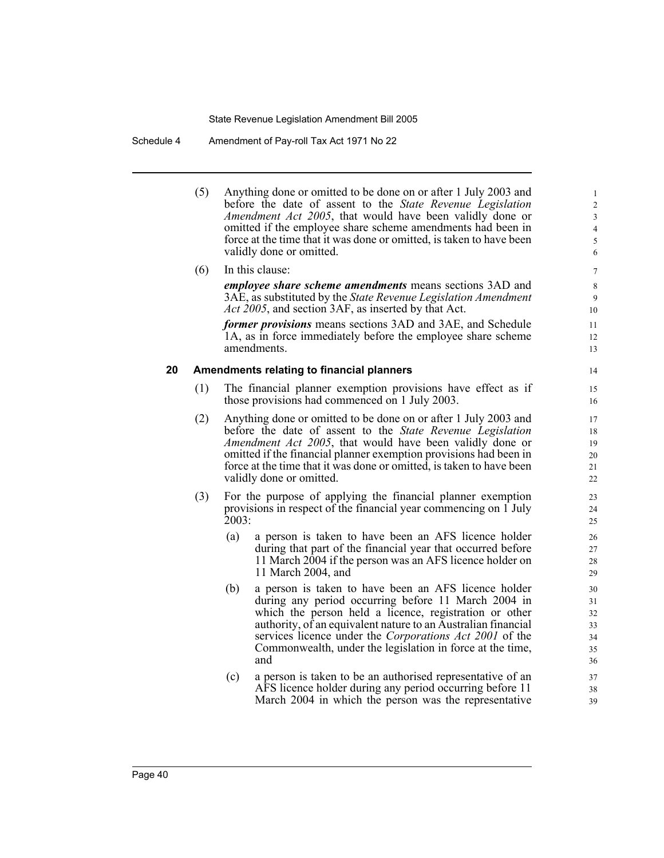Schedule 4 Amendment of Pay-roll Tax Act 1971 No 22

- (5) Anything done or omitted to be done on or after 1 July 2003 and before the date of assent to the *State Revenue Legislation Amendment Act 2005*, that would have been validly done or omitted if the employee share scheme amendments had been in force at the time that it was done or omitted, is taken to have been validly done or omitted.
- (6) In this clause:

*employee share scheme amendments* means sections 3AD and 3AE, as substituted by the *State Revenue Legislation Amendment Act 2005*, and section 3AF, as inserted by that Act.

*former provisions* means sections 3AD and 3AE, and Schedule 1A, as in force immediately before the employee share scheme amendments.

#### **20 Amendments relating to financial planners**

- (1) The financial planner exemption provisions have effect as if those provisions had commenced on 1 July 2003.
- (2) Anything done or omitted to be done on or after 1 July 2003 and before the date of assent to the *State Revenue Legislation Amendment Act 2005*, that would have been validly done or omitted if the financial planner exemption provisions had been in force at the time that it was done or omitted, is taken to have been validly done or omitted.
- (3) For the purpose of applying the financial planner exemption provisions in respect of the financial year commencing on 1 July 2003:
	- (a) a person is taken to have been an AFS licence holder during that part of the financial year that occurred before 11 March 2004 if the person was an AFS licence holder on 11 March 2004, and
	- (b) a person is taken to have been an AFS licence holder during any period occurring before 11 March 2004 in which the person held a licence, registration or other authority, of an equivalent nature to an Australian financial services licence under the *Corporations Act 2001* of the Commonwealth, under the legislation in force at the time, and
	- (c) a person is taken to be an authorised representative of an AFS licence holder during any period occurring before 11 March 2004 in which the person was the representative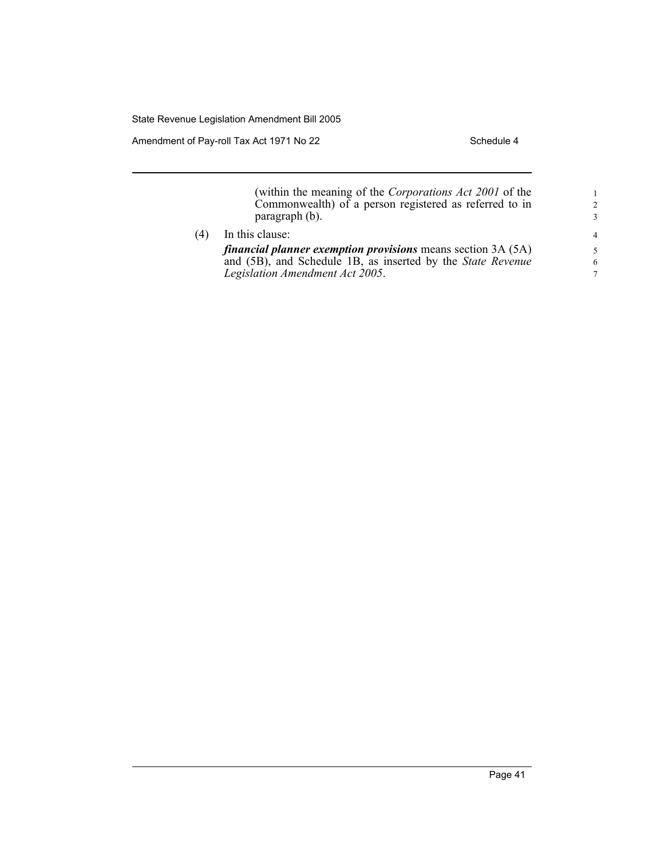Amendment of Pay-roll Tax Act 1971 No 22 Schedule 4

|     | (within the meaning of the <i>Corporations Act 2001</i> of the       |                |
|-----|----------------------------------------------------------------------|----------------|
|     | Commonwealth) of a person registered as referred to in               | $\mathfrak{D}$ |
|     | paragraph (b).                                                       | 3              |
| (4) | In this clause:                                                      | $\overline{4}$ |
|     | <i>financial planner exemption provisions</i> means section $3A(5A)$ | 5              |
|     | and (5B), and Schedule 1B, as inserted by the <i>State Revenue</i>   | 6              |
|     | Legislation Amendment Act 2005.                                      | 7              |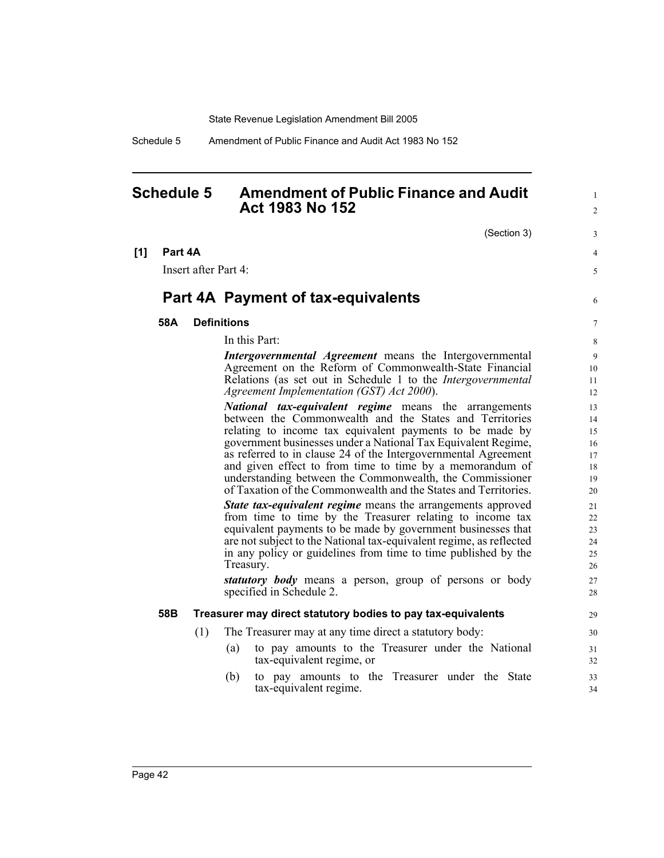Schedule 5 Amendment of Public Finance and Audit Act 1983 No 152

# **Schedule 5 Amendment of Public Finance and Audit Act 1983 No 152**

1 2

|     |         |                      | (Section 3)                                                                                                                                                                                                                                                                                                                                                                                                                                                                                                                                                                                                                                                                                                                                                                                                                                                                                                                                  | $\mathfrak{Z}$                                                                         |
|-----|---------|----------------------|----------------------------------------------------------------------------------------------------------------------------------------------------------------------------------------------------------------------------------------------------------------------------------------------------------------------------------------------------------------------------------------------------------------------------------------------------------------------------------------------------------------------------------------------------------------------------------------------------------------------------------------------------------------------------------------------------------------------------------------------------------------------------------------------------------------------------------------------------------------------------------------------------------------------------------------------|----------------------------------------------------------------------------------------|
| [1] | Part 4A |                      |                                                                                                                                                                                                                                                                                                                                                                                                                                                                                                                                                                                                                                                                                                                                                                                                                                                                                                                                              | $\overline{4}$                                                                         |
|     |         | Insert after Part 4: |                                                                                                                                                                                                                                                                                                                                                                                                                                                                                                                                                                                                                                                                                                                                                                                                                                                                                                                                              | 5                                                                                      |
|     |         |                      | Part 4A Payment of tax-equivalents                                                                                                                                                                                                                                                                                                                                                                                                                                                                                                                                                                                                                                                                                                                                                                                                                                                                                                           | 6                                                                                      |
|     | 58A     |                      | <b>Definitions</b>                                                                                                                                                                                                                                                                                                                                                                                                                                                                                                                                                                                                                                                                                                                                                                                                                                                                                                                           | $\tau$                                                                                 |
|     |         |                      | In this Part:                                                                                                                                                                                                                                                                                                                                                                                                                                                                                                                                                                                                                                                                                                                                                                                                                                                                                                                                | 8                                                                                      |
|     |         |                      | <b>Intergovernmental Agreement</b> means the Intergovernmental<br>Agreement on the Reform of Commonwealth-State Financial<br>Relations (as set out in Schedule 1 to the <i>Intergovernmental</i><br>Agreement Implementation (GST) Act 2000).                                                                                                                                                                                                                                                                                                                                                                                                                                                                                                                                                                                                                                                                                                | 9<br>10<br>11<br>12                                                                    |
|     |         |                      | <i>National tax-equivalent regime</i> means the arrangements<br>between the Commonwealth and the States and Territories<br>relating to income tax equivalent payments to be made by<br>government businesses under a National Tax Equivalent Regime,<br>as referred to in clause 24 of the Intergovernmental Agreement<br>and given effect to from time to time by a memorandum of<br>understanding between the Commonwealth, the Commissioner<br>of Taxation of the Commonwealth and the States and Territories.<br><b>State tax-equivalent regime</b> means the arrangements approved<br>from time to time by the Treasurer relating to income tax<br>equivalent payments to be made by government businesses that<br>are not subject to the National tax-equivalent regime, as reflected<br>in any policy or guidelines from time to time published by the<br>Treasury.<br><i>statutory body</i> means a person, group of persons or body | 13<br>14<br>15<br>16<br>17<br>18<br>19<br>20<br>21<br>22<br>23<br>24<br>25<br>26<br>27 |
|     |         |                      | specified in Schedule 2.                                                                                                                                                                                                                                                                                                                                                                                                                                                                                                                                                                                                                                                                                                                                                                                                                                                                                                                     | 28                                                                                     |
|     | 58B     |                      | Treasurer may direct statutory bodies to pay tax-equivalents                                                                                                                                                                                                                                                                                                                                                                                                                                                                                                                                                                                                                                                                                                                                                                                                                                                                                 | 29                                                                                     |
|     |         | (1)                  | The Treasurer may at any time direct a statutory body:<br>to pay amounts to the Treasurer under the National<br>(a)<br>tax-equivalent regime, or<br>(b)<br>to pay amounts to the Treasurer under the State                                                                                                                                                                                                                                                                                                                                                                                                                                                                                                                                                                                                                                                                                                                                   | 30<br>31<br>32<br>33                                                                   |
|     |         |                      | tax-equivalent regime.                                                                                                                                                                                                                                                                                                                                                                                                                                                                                                                                                                                                                                                                                                                                                                                                                                                                                                                       | 34                                                                                     |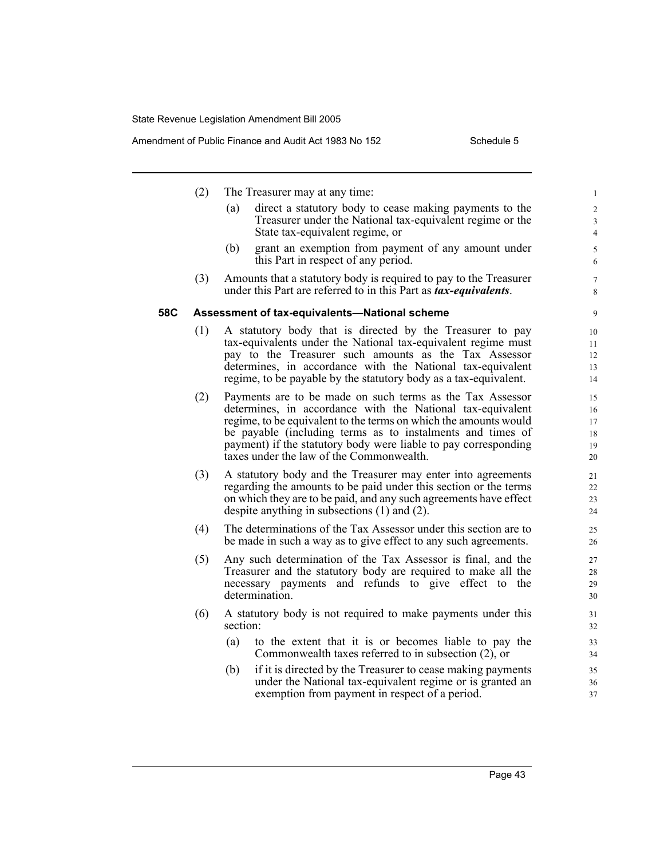- (2) The Treasurer may at any time:
	- (a) direct a statutory body to cease making payments to the Treasurer under the National tax-equivalent regime or the State tax-equivalent regime, or
	- (b) grant an exemption from payment of any amount under this Part in respect of any period.
- (3) Amounts that a statutory body is required to pay to the Treasurer under this Part are referred to in this Part as *tax-equivalents*.

#### **58C Assessment of tax-equivalents—National scheme**

- (1) A statutory body that is directed by the Treasurer to pay tax-equivalents under the National tax-equivalent regime must pay to the Treasurer such amounts as the Tax Assessor determines, in accordance with the National tax-equivalent regime, to be payable by the statutory body as a tax-equivalent.
- (2) Payments are to be made on such terms as the Tax Assessor determines, in accordance with the National tax-equivalent regime, to be equivalent to the terms on which the amounts would be payable (including terms as to instalments and times of payment) if the statutory body were liable to pay corresponding taxes under the law of the Commonwealth.
- (3) A statutory body and the Treasurer may enter into agreements regarding the amounts to be paid under this section or the terms on which they are to be paid, and any such agreements have effect despite anything in subsections (1) and (2).
- (4) The determinations of the Tax Assessor under this section are to be made in such a way as to give effect to any such agreements.
- (5) Any such determination of the Tax Assessor is final, and the Treasurer and the statutory body are required to make all the necessary payments and refunds to give effect to the determination.
- (6) A statutory body is not required to make payments under this section:
	- (a) to the extent that it is or becomes liable to pay the Commonwealth taxes referred to in subsection (2), or
	- (b) if it is directed by the Treasurer to cease making payments under the National tax-equivalent regime or is granted an exemption from payment in respect of a period.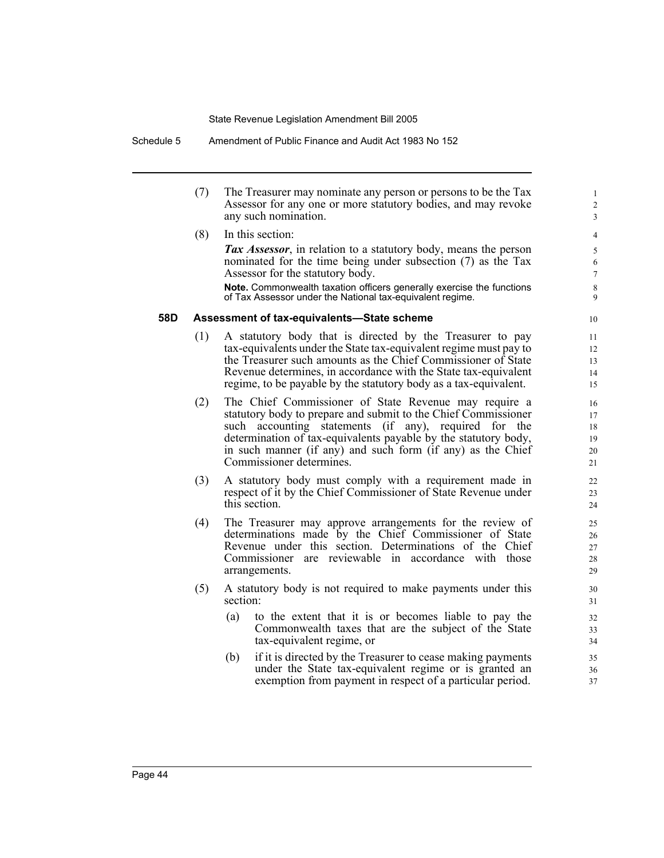Schedule 5 Amendment of Public Finance and Audit Act 1983 No 152

- (7) The Treasurer may nominate any person or persons to be the Tax Assessor for any one or more statutory bodies, and may revoke any such nomination.
- (8) In this section:

*Tax Assessor*, in relation to a statutory body, means the person nominated for the time being under subsection (7) as the Tax Assessor for the statutory body.

**Note.** Commonwealth taxation officers generally exercise the functions of Tax Assessor under the National tax-equivalent regime.

#### **58D Assessment of tax-equivalents—State scheme**

- (1) A statutory body that is directed by the Treasurer to pay tax-equivalents under the State tax-equivalent regime must pay to the Treasurer such amounts as the Chief Commissioner of State Revenue determines, in accordance with the State tax-equivalent regime, to be payable by the statutory body as a tax-equivalent.
- (2) The Chief Commissioner of State Revenue may require a statutory body to prepare and submit to the Chief Commissioner such accounting statements (if any), required for the determination of tax-equivalents payable by the statutory body, in such manner (if any) and such form (if any) as the Chief Commissioner determines.
- (3) A statutory body must comply with a requirement made in respect of it by the Chief Commissioner of State Revenue under this section.
- (4) The Treasurer may approve arrangements for the review of determinations made by the Chief Commissioner of State Revenue under this section. Determinations of the Chief Commissioner are reviewable in accordance with those arrangements.
- (5) A statutory body is not required to make payments under this section:
	- (a) to the extent that it is or becomes liable to pay the Commonwealth taxes that are the subject of the State tax-equivalent regime, or
	- (b) if it is directed by the Treasurer to cease making payments under the State tax-equivalent regime or is granted an exemption from payment in respect of a particular period.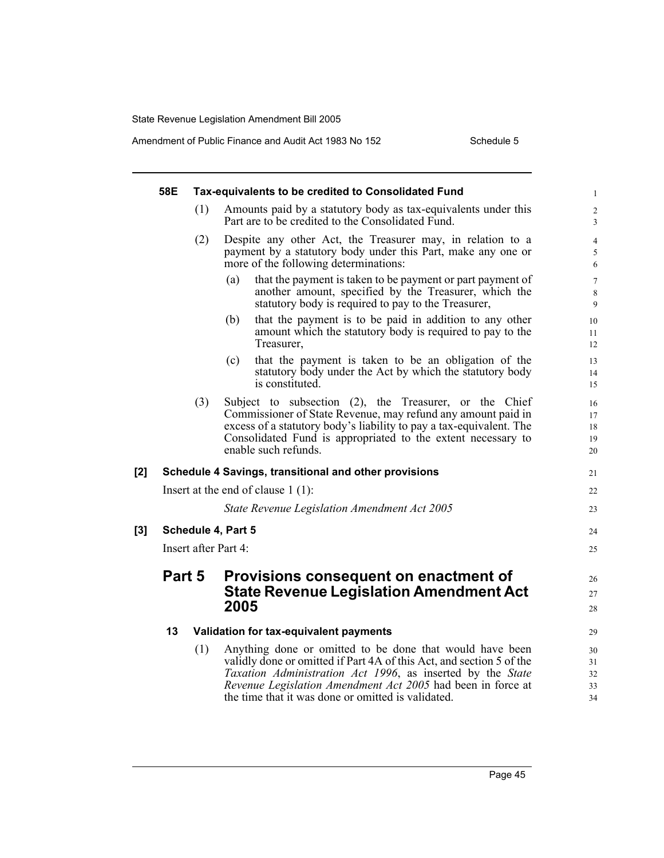Amendment of Public Finance and Audit Act 1983 No 152 Schedule 5

|       | 58E    |     | Tax-equivalents to be credited to Consolidated Fund                                                                                                                                                                                                                                                                 | $\mathbf{1}$                       |
|-------|--------|-----|---------------------------------------------------------------------------------------------------------------------------------------------------------------------------------------------------------------------------------------------------------------------------------------------------------------------|------------------------------------|
|       |        | (1) | Amounts paid by a statutory body as tax-equivalents under this<br>Part are to be credited to the Consolidated Fund.                                                                                                                                                                                                 | $\overline{\mathbf{c}}$<br>3       |
|       |        | (2) | Despite any other Act, the Treasurer may, in relation to a<br>payment by a statutory body under this Part, make any one or<br>more of the following determinations:                                                                                                                                                 | $\overline{\mathcal{A}}$<br>5<br>6 |
|       |        |     | (a)<br>that the payment is taken to be payment or part payment of<br>another amount, specified by the Treasurer, which the<br>statutory body is required to pay to the Treasurer,                                                                                                                                   | $\overline{7}$<br>8<br>9           |
|       |        |     | that the payment is to be paid in addition to any other<br>(b)<br>amount which the statutory body is required to pay to the<br>Treasurer,                                                                                                                                                                           | 10<br>11<br>12                     |
|       |        |     | that the payment is taken to be an obligation of the<br>(c)<br>statutory body under the Act by which the statutory body<br>is constituted.                                                                                                                                                                          | 13<br>14<br>15                     |
|       |        | (3) | Subject to subsection (2), the Treasurer, or the Chief<br>Commissioner of State Revenue, may refund any amount paid in<br>excess of a statutory body's liability to pay a tax-equivalent. The<br>Consolidated Fund is appropriated to the extent necessary to<br>enable such refunds.                               | 16<br>17<br>18<br>19<br>20         |
| $[2]$ |        |     | Schedule 4 Savings, transitional and other provisions                                                                                                                                                                                                                                                               | 21                                 |
|       |        |     | Insert at the end of clause $1(1)$ :                                                                                                                                                                                                                                                                                | 22                                 |
|       |        |     | State Revenue Legislation Amendment Act 2005                                                                                                                                                                                                                                                                        | 23                                 |
| [3]   |        |     | Schedule 4, Part 5                                                                                                                                                                                                                                                                                                  | 24                                 |
|       |        |     | Insert after Part 4:                                                                                                                                                                                                                                                                                                | 25                                 |
|       | Part 5 |     | Provisions consequent on enactment of<br><b>State Revenue Legislation Amendment Act</b><br>2005                                                                                                                                                                                                                     | 26<br>27<br>28                     |
|       | 13     |     | Validation for tax-equivalent payments                                                                                                                                                                                                                                                                              | 29                                 |
|       |        | (1) | Anything done or omitted to be done that would have been<br>validly done or omitted if Part 4A of this Act, and section 5 of the<br>Taxation Administration Act 1996, as inserted by the State<br>Revenue Legislation Amendment Act 2005 had been in force at<br>the time that it was done or omitted is validated. | 30<br>31<br>32<br>33<br>34         |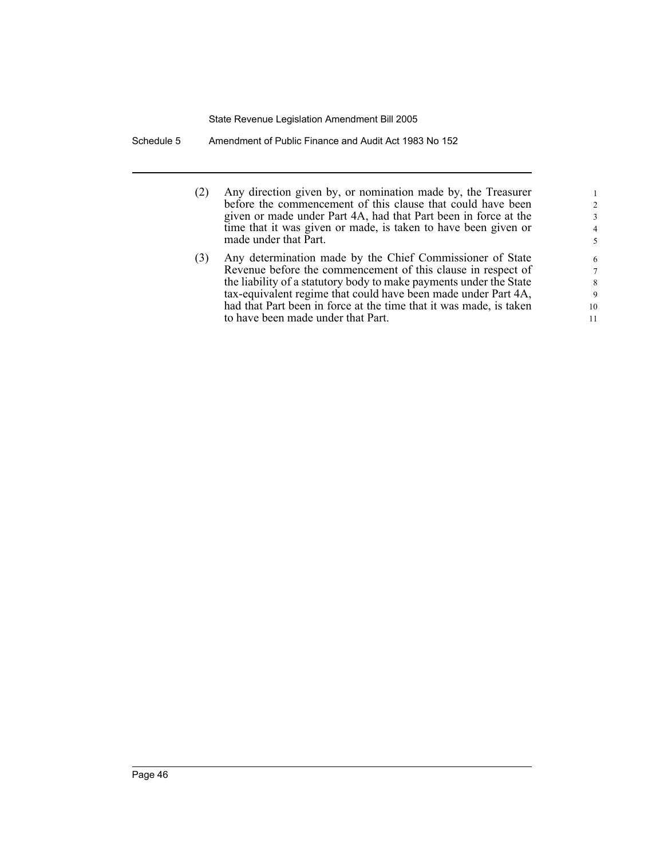Schedule 5 Amendment of Public Finance and Audit Act 1983 No 152

(2) Any direction given by, or nomination made by, the Treasurer before the commencement of this clause that could have been given or made under Part 4A, had that Part been in force at the time that it was given or made, is taken to have been given or made under that Part.

(3) Any determination made by the Chief Commissioner of State Revenue before the commencement of this clause in respect of the liability of a statutory body to make payments under the State tax-equivalent regime that could have been made under Part 4A, had that Part been in force at the time that it was made, is taken to have been made under that Part.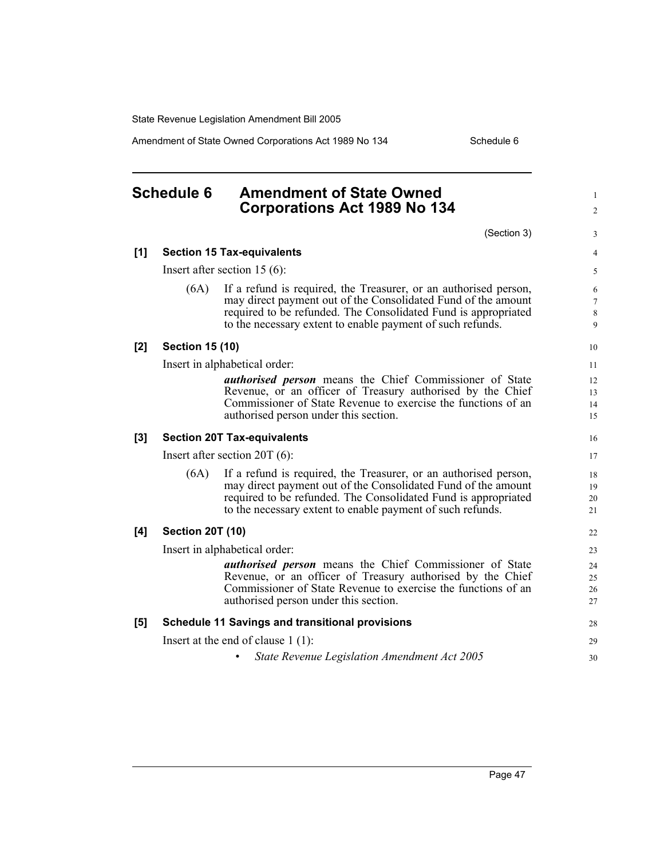Amendment of State Owned Corporations Act 1989 No 134 Schedule 6

1 2

## **Schedule 6 Amendment of State Owned Corporations Act 1989 No 134**

|     |                         | (Section 3)                                                                                                                                                                                                                                                       | $\mathfrak{Z}$                  |
|-----|-------------------------|-------------------------------------------------------------------------------------------------------------------------------------------------------------------------------------------------------------------------------------------------------------------|---------------------------------|
| [1] |                         | <b>Section 15 Tax-equivalents</b>                                                                                                                                                                                                                                 | $\overline{4}$                  |
|     |                         | Insert after section 15 $(6)$ :                                                                                                                                                                                                                                   | 5                               |
|     | (6A)                    | If a refund is required, the Treasurer, or an authorised person,<br>may direct payment out of the Consolidated Fund of the amount<br>required to be refunded. The Consolidated Fund is appropriated<br>to the necessary extent to enable payment of such refunds. | 6<br>$\tau$<br>$\,$ 8 $\,$<br>9 |
| [2] | <b>Section 15 (10)</b>  |                                                                                                                                                                                                                                                                   | 10                              |
|     |                         | Insert in alphabetical order:                                                                                                                                                                                                                                     | 11                              |
|     |                         | <i>authorised person</i> means the Chief Commissioner of State<br>Revenue, or an officer of Treasury authorised by the Chief<br>Commissioner of State Revenue to exercise the functions of an<br>authorised person under this section.                            | 12<br>13<br>14<br>15            |
| [3] |                         | <b>Section 20T Tax-equivalents</b>                                                                                                                                                                                                                                | 16                              |
|     |                         | Insert after section $20T(6)$ :                                                                                                                                                                                                                                   | 17                              |
|     | (6A)                    | If a refund is required, the Treasurer, or an authorised person,<br>may direct payment out of the Consolidated Fund of the amount<br>required to be refunded. The Consolidated Fund is appropriated<br>to the necessary extent to enable payment of such refunds. | 18<br>19<br>20<br>21            |
| [4] | <b>Section 20T (10)</b> |                                                                                                                                                                                                                                                                   | 22                              |
|     |                         | Insert in alphabetical order:                                                                                                                                                                                                                                     | 23                              |
|     |                         | <i>authorised person</i> means the Chief Commissioner of State<br>Revenue, or an officer of Treasury authorised by the Chief<br>Commissioner of State Revenue to exercise the functions of an<br>authorised person under this section.                            | 24<br>25<br>26<br>27            |
| [5] |                         | <b>Schedule 11 Savings and transitional provisions</b>                                                                                                                                                                                                            | 28                              |
|     |                         | Insert at the end of clause $1(1)$ :                                                                                                                                                                                                                              | 29                              |
|     |                         | State Revenue Legislation Amendment Act 2005                                                                                                                                                                                                                      | 30                              |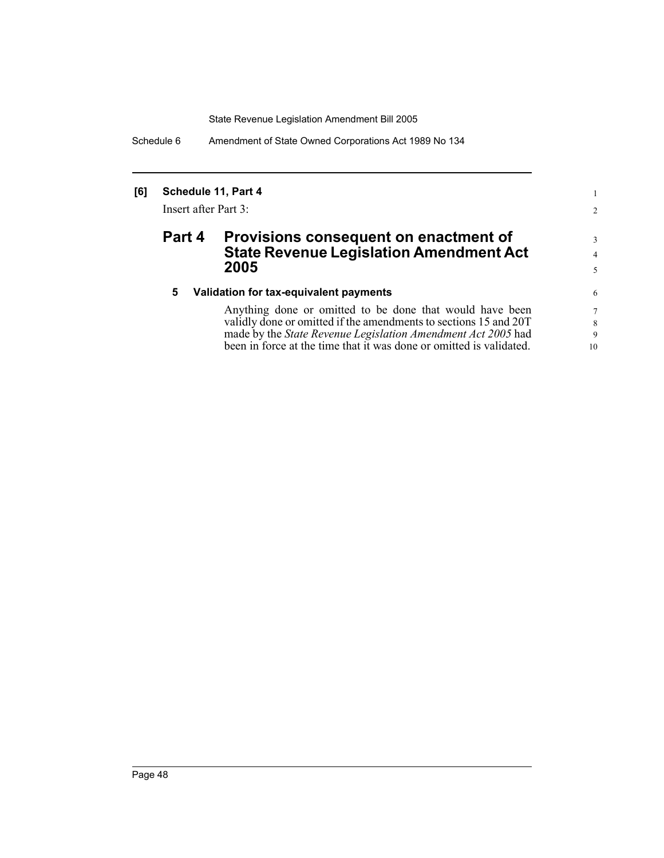Schedule 6 Amendment of State Owned Corporations Act 1989 No 134

#### **[6] Schedule 11, Part 4**

Insert after Part 3:

# **Part 4 Provisions consequent on enactment of State Revenue Legislation Amendment Act 2005**

#### **5 Validation for tax-equivalent payments**

Anything done or omitted to be done that would have been validly done or omitted if the amendments to sections 15 and 20T made by the *State Revenue Legislation Amendment Act 2005* had been in force at the time that it was done or omitted is validated.

1 2

3 4 5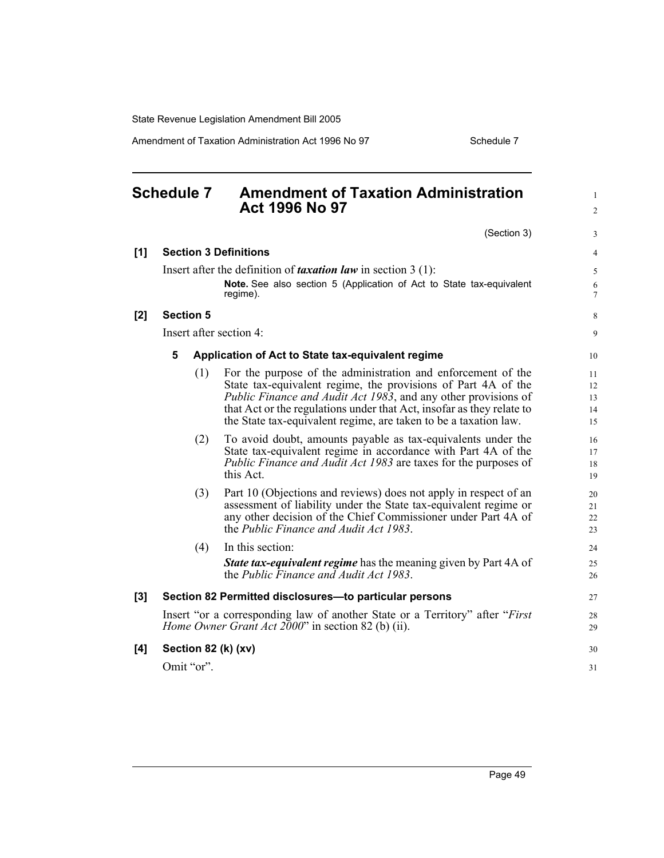Amendment of Taxation Administration Act 1996 No 97 Schedule 7

#### **Schedule 7 Amendment of Taxation Administration Act 1996 No 97** (Section 3) **[1] Section 3 Definitions** Insert after the definition of *taxation law* in section 3 (1): **Note.** See also section 5 (Application of Act to State tax-equivalent regime). **[2] Section 5** Insert after section 4: **5 Application of Act to State tax-equivalent regime** (1) For the purpose of the administration and enforcement of the State tax-equivalent regime, the provisions of Part 4A of the *Public Finance and Audit Act 1983*, and any other provisions of that Act or the regulations under that Act, insofar as they relate to the State tax-equivalent regime, are taken to be a taxation law. (2) To avoid doubt, amounts payable as tax-equivalents under the State tax-equivalent regime in accordance with Part 4A of the *Public Finance and Audit Act 1983* are taxes for the purposes of this Act. (3) Part 10 (Objections and reviews) does not apply in respect of an assessment of liability under the State tax-equivalent regime or any other decision of the Chief Commissioner under Part 4A of the *Public Finance and Audit Act 1983*. (4) In this section: *State tax-equivalent regime* has the meaning given by Part 4A of the *Public Finance and Audit Act 1983*. **[3] Section 82 Permitted disclosures—to particular persons** Insert "or a corresponding law of another State or a Territory" after "*First Home Owner Grant Act 2000*" in section 82 (b) (ii). **[4] Section 82 (k) (xv)** Omit "or". 1  $\mathfrak{D}$ 3 4 5 6 7 8 9 10 11 12 13 14 15 16 17 18 19 20 21  $22$ 23 24 25 26 27 28 29 30 31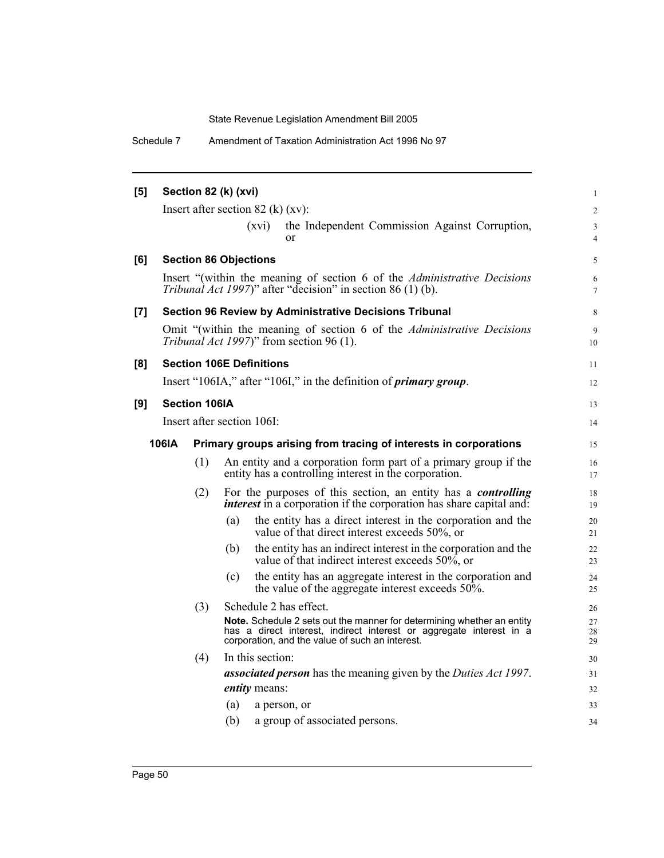Schedule 7 Amendment of Taxation Administration Act 1996 No 97

| [5]                                                                    |                                                       |                      | Section 82 (k) (xvi)                                                                                                                                                                             | 1                   |
|------------------------------------------------------------------------|-------------------------------------------------------|----------------------|--------------------------------------------------------------------------------------------------------------------------------------------------------------------------------------------------|---------------------|
|                                                                        |                                                       |                      | Insert after section 82 (k) $(xv)$ :                                                                                                                                                             | $\overline{c}$      |
|                                                                        |                                                       |                      | the Independent Commission Against Corruption,<br>(xvi)<br>or                                                                                                                                    | 3<br>4              |
| [6]                                                                    |                                                       |                      | <b>Section 86 Objections</b>                                                                                                                                                                     | 5                   |
|                                                                        |                                                       |                      | Insert "(within the meaning of section 6 of the <i>Administrative Decisions</i><br><i>Tribunal Act 1997</i> )" after "decision" in section 86 (1) (b).                                           | 6<br>$\overline{7}$ |
| [7]                                                                    |                                                       |                      | <b>Section 96 Review by Administrative Decisions Tribunal</b>                                                                                                                                    | 8                   |
|                                                                        |                                                       |                      | Omit "(within the meaning of section 6 of the <i>Administrative Decisions</i><br>Tribunal Act 1997)" from section 96 (1).                                                                        | 9<br>10             |
| [8]                                                                    |                                                       |                      | <b>Section 106E Definitions</b>                                                                                                                                                                  | 11                  |
|                                                                        |                                                       |                      | Insert "106IA," after "106I," in the definition of <i>primary group</i> .                                                                                                                        | 12                  |
| [9]                                                                    |                                                       | <b>Section 106IA</b> |                                                                                                                                                                                                  | 13                  |
|                                                                        |                                                       |                      | Insert after section 106I:                                                                                                                                                                       | 14                  |
|                                                                        | <b>106IA</b>                                          |                      | Primary groups arising from tracing of interests in corporations                                                                                                                                 | 15                  |
| An entity and a corporation form part of a primary group if the<br>(1) |                                                       |                      |                                                                                                                                                                                                  |                     |
|                                                                        | entity has a controlling interest in the corporation. |                      |                                                                                                                                                                                                  | 16<br>17            |
|                                                                        |                                                       | (2)                  | For the purposes of this section, an entity has a <i>controlling</i><br><i>interest</i> in a corporation if the corporation has share capital and:                                               | 18<br>19            |
|                                                                        |                                                       |                      | the entity has a direct interest in the corporation and the<br>(a)<br>value of that direct interest exceeds 50%, or                                                                              | 20<br>21            |
|                                                                        |                                                       |                      | the entity has an indirect interest in the corporation and the<br>(b)<br>value of that indirect interest exceeds 50%, or                                                                         | 22<br>23            |
|                                                                        |                                                       |                      | the entity has an aggregate interest in the corporation and<br>(c)<br>the value of the aggregate interest exceeds 50%.                                                                           | 24<br>25            |
|                                                                        |                                                       | (3)                  | Schedule 2 has effect.                                                                                                                                                                           | 26                  |
|                                                                        |                                                       |                      | Note. Schedule 2 sets out the manner for determining whether an entity<br>has a direct interest, indirect interest or aggregate interest in a<br>corporation, and the value of such an interest. | 27<br>28<br>29      |
|                                                                        |                                                       | (4)                  | In this section:                                                                                                                                                                                 | 30                  |
|                                                                        |                                                       |                      | <i>associated person</i> has the meaning given by the <i>Duties Act 1997</i> .                                                                                                                   | 31                  |
|                                                                        |                                                       |                      | <i>entity</i> means:                                                                                                                                                                             | 32                  |
|                                                                        |                                                       |                      | (a)<br>a person, or                                                                                                                                                                              | 33                  |
|                                                                        |                                                       |                      | a group of associated persons.<br>(b)                                                                                                                                                            | 34                  |
|                                                                        |                                                       |                      |                                                                                                                                                                                                  |                     |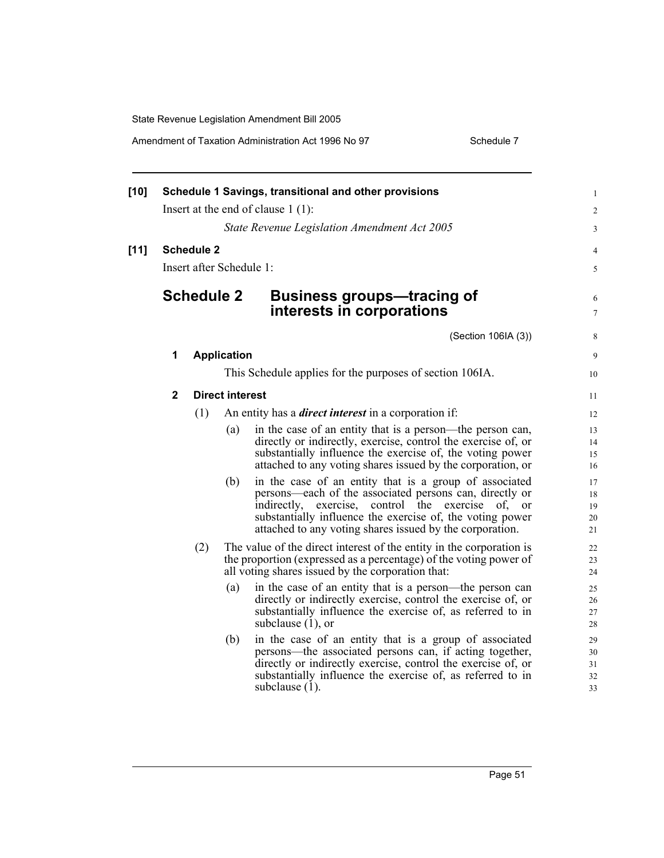Amendment of Taxation Administration Act 1996 No 97 Schedule 7

| $[10]$ |              |                   |                          | Schedule 1 Savings, transitional and other provisions                                                                                                                                                                                                                                           | 1                          |
|--------|--------------|-------------------|--------------------------|-------------------------------------------------------------------------------------------------------------------------------------------------------------------------------------------------------------------------------------------------------------------------------------------------|----------------------------|
|        |              |                   |                          | Insert at the end of clause $1(1)$ :                                                                                                                                                                                                                                                            | $\overline{c}$             |
|        |              |                   |                          | State Revenue Legislation Amendment Act 2005                                                                                                                                                                                                                                                    | 3                          |
| $[11]$ |              | <b>Schedule 2</b> |                          |                                                                                                                                                                                                                                                                                                 | 4                          |
|        |              |                   | Insert after Schedule 1: |                                                                                                                                                                                                                                                                                                 | 5                          |
|        |              | <b>Schedule 2</b> |                          | <b>Business groups—tracing of</b><br>interests in corporations                                                                                                                                                                                                                                  | 6<br>$\overline{7}$        |
|        |              |                   |                          | (Section 106IA (3))                                                                                                                                                                                                                                                                             | 8                          |
|        | 1            |                   | <b>Application</b>       |                                                                                                                                                                                                                                                                                                 | 9                          |
|        |              |                   |                          | This Schedule applies for the purposes of section 106IA.                                                                                                                                                                                                                                        | 10                         |
|        | $\mathbf{2}$ |                   | <b>Direct interest</b>   |                                                                                                                                                                                                                                                                                                 | 11                         |
|        |              | (1)               |                          | An entity has a <i>direct interest</i> in a corporation if:                                                                                                                                                                                                                                     | 12                         |
|        |              |                   | (a)                      | in the case of an entity that is a person—the person can,<br>directly or indirectly, exercise, control the exercise of, or<br>substantially influence the exercise of, the voting power<br>attached to any voting shares issued by the corporation, or                                          | 13<br>14<br>15<br>16       |
|        |              |                   | (b)                      | in the case of an entity that is a group of associated<br>persons—each of the associated persons can, directly or<br>indirectly, exercise, control the exercise of, or<br>substantially influence the exercise of, the voting power<br>attached to any voting shares issued by the corporation. | 17<br>18<br>19<br>20<br>21 |
|        |              | (2)               |                          | The value of the direct interest of the entity in the corporation is<br>the proportion (expressed as a percentage) of the voting power of<br>all voting shares issued by the corporation that:                                                                                                  | 22<br>23<br>24             |
|        |              |                   | (a)                      | in the case of an entity that is a person—the person can<br>directly or indirectly exercise, control the exercise of, or<br>substantially influence the exercise of, as referred to in<br>subclause $(1)$ , or                                                                                  | 25<br>26<br>27<br>28       |
|        |              |                   | (b)                      | in the case of an entity that is a group of associated<br>persons—the associated persons can, if acting together,<br>directly or indirectly exercise, control the exercise of, or<br>substantially influence the exercise of, as referred to in<br>subclause $(1)$ .                            | 29<br>30<br>31<br>32<br>33 |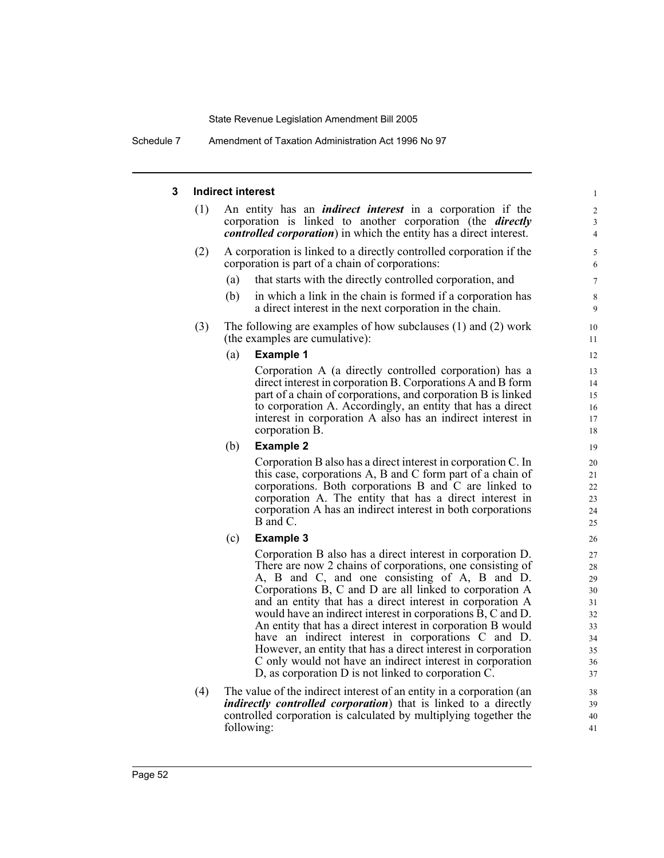Schedule 7 Amendment of Taxation Administration Act 1996 No 97

#### **3 Indirect interest**

|     |                                                                                                                                                                                                                      | Indirect interest                                                                                                                                                                                                                                                                                                                                                                                                                                                                                                                                                                                                                                                             | $\mathbf{1}$                                                   |  |  |  |
|-----|----------------------------------------------------------------------------------------------------------------------------------------------------------------------------------------------------------------------|-------------------------------------------------------------------------------------------------------------------------------------------------------------------------------------------------------------------------------------------------------------------------------------------------------------------------------------------------------------------------------------------------------------------------------------------------------------------------------------------------------------------------------------------------------------------------------------------------------------------------------------------------------------------------------|----------------------------------------------------------------|--|--|--|
| (1) | An entity has an <i>indirect interest</i> in a corporation if the<br>corporation is linked to another corporation (the <i>directly</i><br><i>controlled corporation</i> ) in which the entity has a direct interest. |                                                                                                                                                                                                                                                                                                                                                                                                                                                                                                                                                                                                                                                                               |                                                                |  |  |  |
| (2) |                                                                                                                                                                                                                      | A corporation is linked to a directly controlled corporation if the<br>corporation is part of a chain of corporations:                                                                                                                                                                                                                                                                                                                                                                                                                                                                                                                                                        | $\sqrt{5}$<br>6                                                |  |  |  |
|     | (a)                                                                                                                                                                                                                  | that starts with the directly controlled corporation, and                                                                                                                                                                                                                                                                                                                                                                                                                                                                                                                                                                                                                     | 7                                                              |  |  |  |
|     | (b)                                                                                                                                                                                                                  | in which a link in the chain is formed if a corporation has<br>a direct interest in the next corporation in the chain.                                                                                                                                                                                                                                                                                                                                                                                                                                                                                                                                                        | 8<br>9                                                         |  |  |  |
| (3) |                                                                                                                                                                                                                      | The following are examples of how subclauses $(1)$ and $(2)$ work<br>(the examples are cumulative):                                                                                                                                                                                                                                                                                                                                                                                                                                                                                                                                                                           | 10<br>11                                                       |  |  |  |
|     | (a)                                                                                                                                                                                                                  | <b>Example 1</b>                                                                                                                                                                                                                                                                                                                                                                                                                                                                                                                                                                                                                                                              | 12                                                             |  |  |  |
|     |                                                                                                                                                                                                                      | Corporation A (a directly controlled corporation) has a<br>direct interest in corporation B. Corporations A and B form<br>part of a chain of corporations, and corporation B is linked<br>to corporation A. Accordingly, an entity that has a direct<br>interest in corporation A also has an indirect interest in<br>corporation B.                                                                                                                                                                                                                                                                                                                                          | 13<br>14<br>15<br>16<br>17<br>18                               |  |  |  |
|     | (b)                                                                                                                                                                                                                  | <b>Example 2</b>                                                                                                                                                                                                                                                                                                                                                                                                                                                                                                                                                                                                                                                              | 19                                                             |  |  |  |
|     |                                                                                                                                                                                                                      | Corporation B also has a direct interest in corporation C. In<br>this case, corporations A, B and C form part of a chain of<br>corporations. Both corporations B and C are linked to<br>corporation A. The entity that has a direct interest in<br>corporation A has an indirect interest in both corporations<br>B and C.                                                                                                                                                                                                                                                                                                                                                    | 20<br>21<br>22<br>23<br>24<br>25                               |  |  |  |
|     | (c)                                                                                                                                                                                                                  | <b>Example 3</b>                                                                                                                                                                                                                                                                                                                                                                                                                                                                                                                                                                                                                                                              | 26                                                             |  |  |  |
|     |                                                                                                                                                                                                                      | Corporation B also has a direct interest in corporation D.<br>There are now 2 chains of corporations, one consisting of<br>A, B and C, and one consisting of A, B and D.<br>Corporations B, C and D are all linked to corporation A<br>and an entity that has a direct interest in corporation A<br>would have an indirect interest in corporations B, C and D.<br>An entity that has a direct interest in corporation B would<br>have an indirect interest in corporations C and D.<br>However, an entity that has a direct interest in corporation<br>C only would not have an indirect interest in corporation<br>D, as corporation $D$ is not linked to corporation $C$ . | 27<br>28<br>29<br>30<br>31<br>32<br>33<br>34<br>35<br>36<br>37 |  |  |  |
| (4) |                                                                                                                                                                                                                      | The value of the indirect interest of an entity in a corporation (an<br><i>indirectly controlled corporation</i> ) that is linked to a directly<br>controlled corporation is calculated by multiplying together the<br>following:                                                                                                                                                                                                                                                                                                                                                                                                                                             | 38<br>39<br>40<br>41                                           |  |  |  |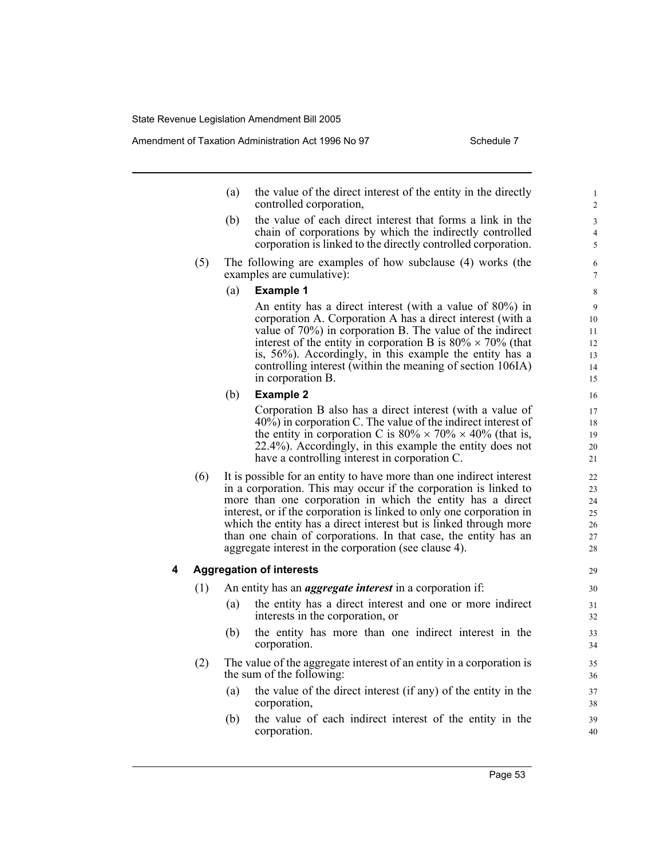Amendment of Taxation Administration Act 1996 No 97 Schedule 7

- (a) the value of the direct interest of the entity in the directly controlled corporation,
- (b) the value of each direct interest that forms a link in the chain of corporations by which the indirectly controlled corporation is linked to the directly controlled corporation.
- (5) The following are examples of how subclause (4) works (the examples are cumulative):
	- (a) **Example 1**

An entity has a direct interest (with a value of 80%) in corporation A. Corporation A has a direct interest (with a value of 70%) in corporation B. The value of the indirect interest of the entity in corporation B is  $80\% \times 70\%$  (that is, 56%). Accordingly, in this example the entity has a controlling interest (within the meaning of section 106IA) in corporation B.

(b) **Example 2**

Corporation B also has a direct interest (with a value of  $40\%$ ) in corporation C. The value of the indirect interest of the entity in corporation C is  $80\% \times 70\% \times 40\%$  (that is, 22.4%). Accordingly, in this example the entity does not have a controlling interest in corporation C.

(6) It is possible for an entity to have more than one indirect interest in a corporation. This may occur if the corporation is linked to more than one corporation in which the entity has a direct interest, or if the corporation is linked to only one corporation in which the entity has a direct interest but is linked through more than one chain of corporations. In that case, the entity has an aggregate interest in the corporation (see clause 4).

#### **4 Aggregation of interests**

- (1) An entity has an *aggregate interest* in a corporation if:
	- (a) the entity has a direct interest and one or more indirect interests in the corporation, or
	- (b) the entity has more than one indirect interest in the corporation.
- (2) The value of the aggregate interest of an entity in a corporation is the sum of the following:
	- (a) the value of the direct interest (if any) of the entity in the corporation,
	- (b) the value of each indirect interest of the entity in the corporation.